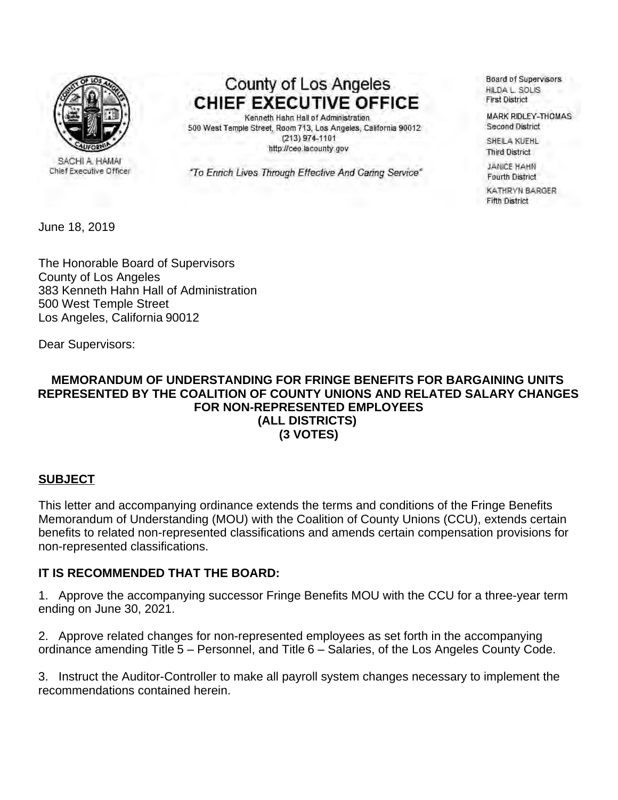

SACHI A. HAMAI Chief Executive Officer

County of Los Angeles **CHIEF EXECUTIVE OFFICE** 

Kenneth Hahn Hall of Administration 500 West Temple Street, Room 713, Los Angeles, California 90012  $(213)$  974-1101 http://ceo.lacounty.gov

"To Enrich Lives Through Effective And Caring Service"

Board of Supervisors HILDA L. SOLIS **First District** 

**MARK RIDLEY-THOMAS** Second District

SHEILA KUEHL **Third District** 

**JANICE HAHN Fourth District** 

KATHRYN BARGER **Fifth District** 

June 18, 2019

The Honorable Board of Supervisors County of Los Angeles 383 Kenneth Hahn Hall of Administration 500 West Temple Street Los Angeles, California 90012

Dear Supervisors:

## **MEMORANDUM OF UNDERSTANDING FOR FRINGE BENEFITS FOR BARGAINING UNITS REPRESENTED BY THE COALITION OF COUNTY UNIONS AND RELATED SALARY CHANGES FOR NON-REPRESENTED EMPLOYEES (ALL DISTRICTS) (3 VOTES)**

## **SUBJECT**

This letter and accompanying ordinance extends the terms and conditions of the Fringe Benefits Memorandum of Understanding (MOU) with the Coalition of County Unions (CCU), extends certain benefits to related non-represented classifications and amends certain compensation provisions for non-represented classifications.

## **IT IS RECOMMENDED THAT THE BOARD:**

1. Approve the accompanying successor Fringe Benefits MOU with the CCU for a three-year term ending on June 30, 2021.

2. Approve related changes for non-represented employees as set forth in the accompanying ordinance amending Title 5 - Personnel, and Title 6 - Salaries, of the Los Angeles County Code.

3. Instruct the Auditor-Controller to make all payroll system changes necessary to implement the recommendations contained herein.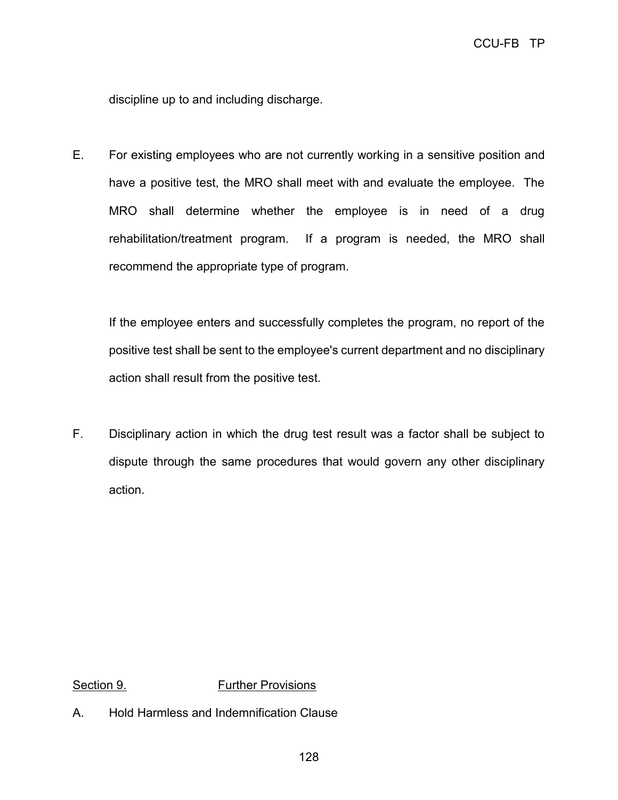discipline up to and including discharge.

E. For existing employees who are not currently working in a sensitive position and have a positive test, the MRO shall meet with and evaluate the employee. The MRO shall determine whether the employee is in need of a drug rehabilitation/treatment program. If a program is needed, the MRO shall recommend the appropriate type of program.

If the employee enters and successfully completes the program, no report of the positive test shall be sent to the employee's current department and no disciplinary action shall result from the positive test.

F. Disciplinary action in which the drug test result was a factor shall be subject to dispute through the same procedures that would govern any other disciplinary action.

Section 9. **Further Provisions** 

A. Hold Harmless and Indemnification Clause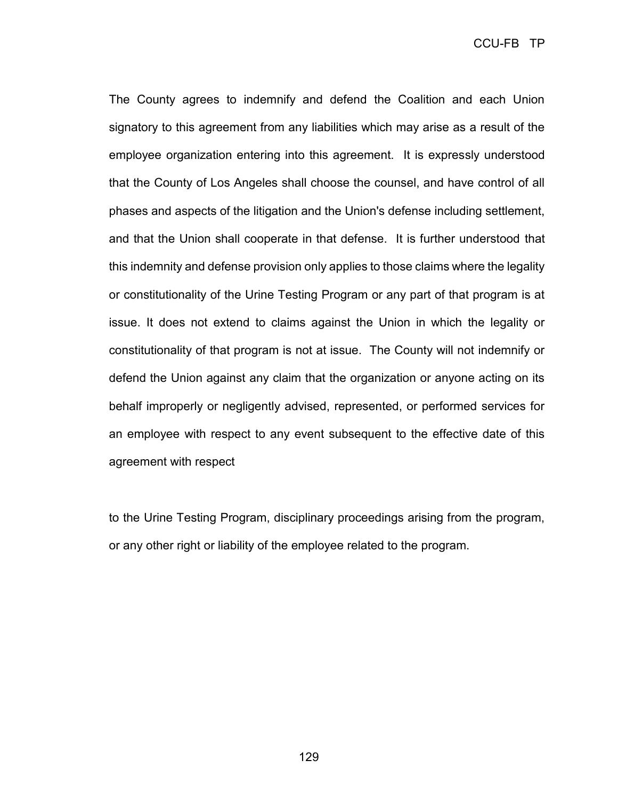CCU-FB TP

The County agrees to indemnify and defend the Coalition and each Union signatory to this agreement from any liabilities which may arise as a result of the employee organization entering into this agreement. It is expressly understood that the County of Los Angeles shall choose the counsel, and have control of all phases and aspects of the litigation and the Union's defense including settlement, and that the Union shall cooperate in that defense. It is further understood that this indemnity and defense provision only applies to those claims where the legality or constitutionality of the Urine Testing Program or any part of that program is at issue. It does not extend to claims against the Union in which the legality or constitutionality of that program is not at issue. The County will not indemnify or defend the Union against any claim that the organization or anyone acting on its behalf improperly or negligently advised, represented, or performed services for an employee with respect to any event subsequent to the effective date of this agreement with respect

to the Urine Testing Program, disciplinary proceedings arising from the program, or any other right or liability of the employee related to the program.

129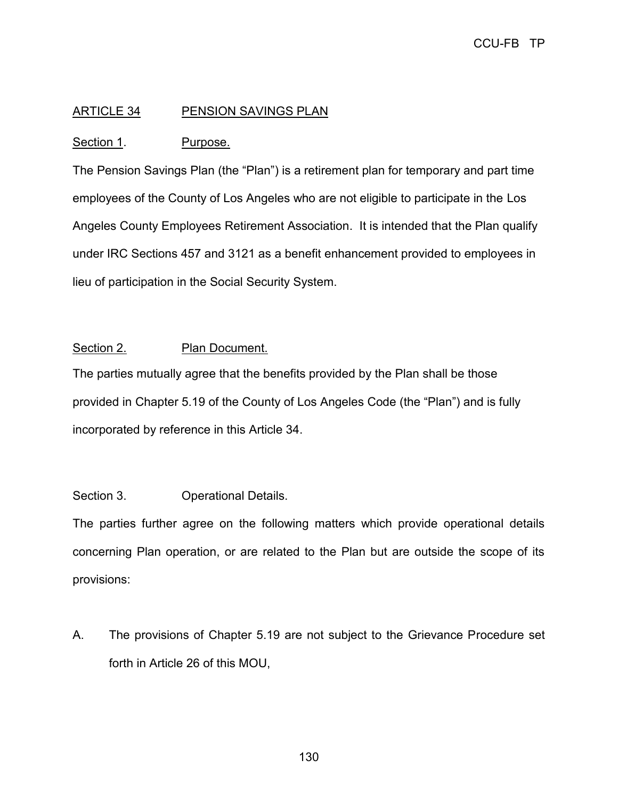# ARTICLE 34 PENSION SAVINGS PLAN

## Section 1. Purpose.

The Pension Savings Plan (the "Plan") is a retirement plan for temporary and part time employees of the County of Los Angeles who are not eligible to participate in the Los Angeles County Employees Retirement Association. It is intended that the Plan qualify under IRC Sections 457 and 3121 as a benefit enhancement provided to employees in lieu of participation in the Social Security System.

## Section 2. Plan Document.

The parties mutually agree that the benefits provided by the Plan shall be those provided in Chapter 5.19 of the County of Los Angeles Code (the "Plan") and is fully incorporated by reference in this Article 34.

# Section 3. **Operational Details.**

The parties further agree on the following matters which provide operational details concerning Plan operation, or are related to the Plan but are outside the scope of its provisions:

A. The provisions of Chapter 5.19 are not subject to the Grievance Procedure set forth in Article 26 of this MOU,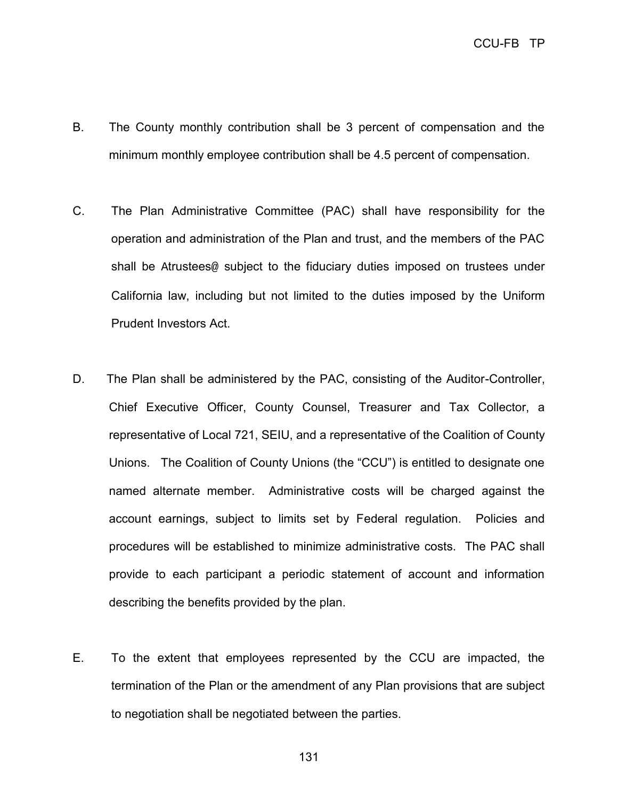- B. The County monthly contribution shall be 3 percent of compensation and the minimum monthly employee contribution shall be 4.5 percent of compensation.
- C. The Plan Administrative Committee (PAC) shall have responsibility for the operation and administration of the Plan and trust, and the members of the PAC shall be Atrustees@ subject to the fiduciary duties imposed on trustees under California law, including but not limited to the duties imposed by the Uniform Prudent Investors Act.
- D. The Plan shall be administered by the PAC, consisting of the Auditor-Controller, Chief Executive Officer, County Counsel, Treasurer and Tax Collector, a representative of Local 721, SEIU, and a representative of the Coalition of County Unions. The Coalition of County Unions (the "CCU") is entitled to designate one named alternate member. Administrative costs will be charged against the account earnings, subject to limits set by Federal regulation. Policies and procedures will be established to minimize administrative costs. The PAC shall provide to each participant a periodic statement of account and information describing the benefits provided by the plan.
- E. To the extent that employees represented by the CCU are impacted, the termination of the Plan or the amendment of any Plan provisions that are subject to negotiation shall be negotiated between the parties.

131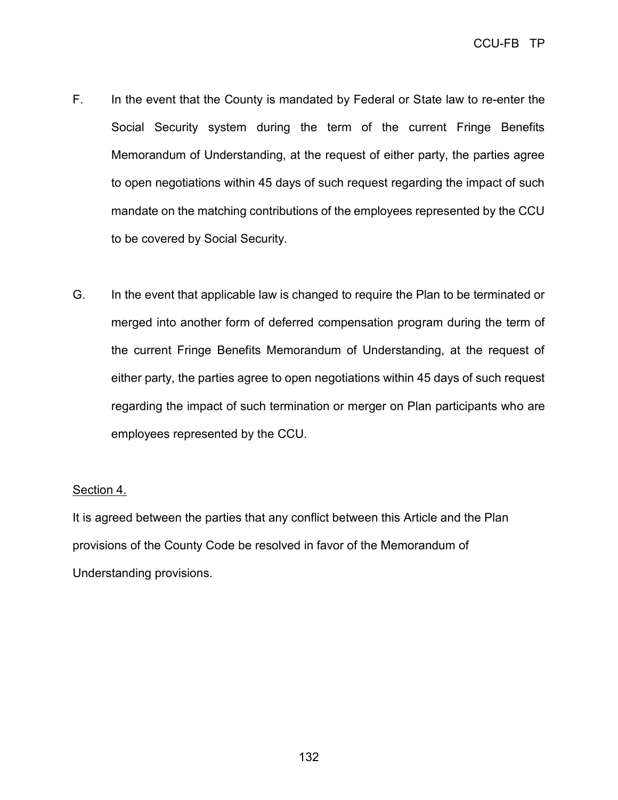- F. In the event that the County is mandated by Federal or State law to re-enter the Social Security system during the term of the current Fringe Benefits Memorandum of Understanding, at the request of either party, the parties agree to open negotiations within 45 days of such request regarding the impact of such mandate on the matching contributions of the employees represented by the CCU to be covered by Social Security.
- G. In the event that applicable law is changed to require the Plan to be terminated or merged into another form of deferred compensation program during the term of the current Fringe Benefits Memorandum of Understanding, at the request of either party, the parties agree to open negotiations within 45 days of such request regarding the impact of such termination or merger on Plan participants who are employees represented by the CCU.

#### Section 4.

It is agreed between the parties that any conflict between this Article and the Plan provisions of the County Code be resolved in favor of the Memorandum of Understanding provisions.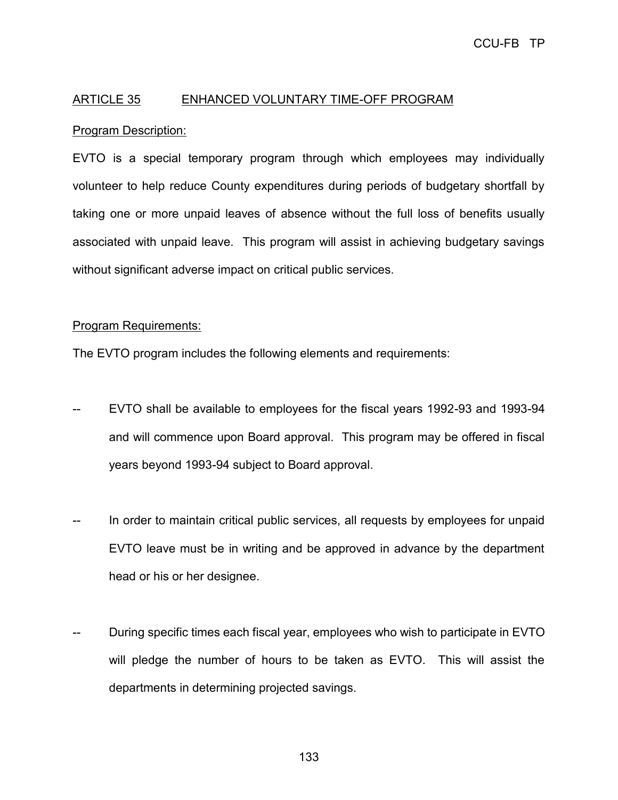# ARTICLE 35 ENHANCED VOLUNTARY TIME-OFF PROGRAM

## Program Description:

EVTO is a special temporary program through which employees may individually volunteer to help reduce County expenditures during periods of budgetary shortfall by taking one or more unpaid leaves of absence without the full loss of benefits usually associated with unpaid leave. This program will assist in achieving budgetary savings without significant adverse impact on critical public services.

#### Program Requirements:

The EVTO program includes the following elements and requirements:

- EVTO shall be available to employees for the fiscal years 1992-93 and 1993-94 and will commence upon Board approval. This program may be offered in fiscal years beyond 1993-94 subject to Board approval.
- In order to maintain critical public services, all requests by employees for unpaid EVTO leave must be in writing and be approved in advance by the department head or his or her designee.
- During specific times each fiscal year, employees who wish to participate in EVTO will pledge the number of hours to be taken as EVTO. This will assist the departments in determining projected savings.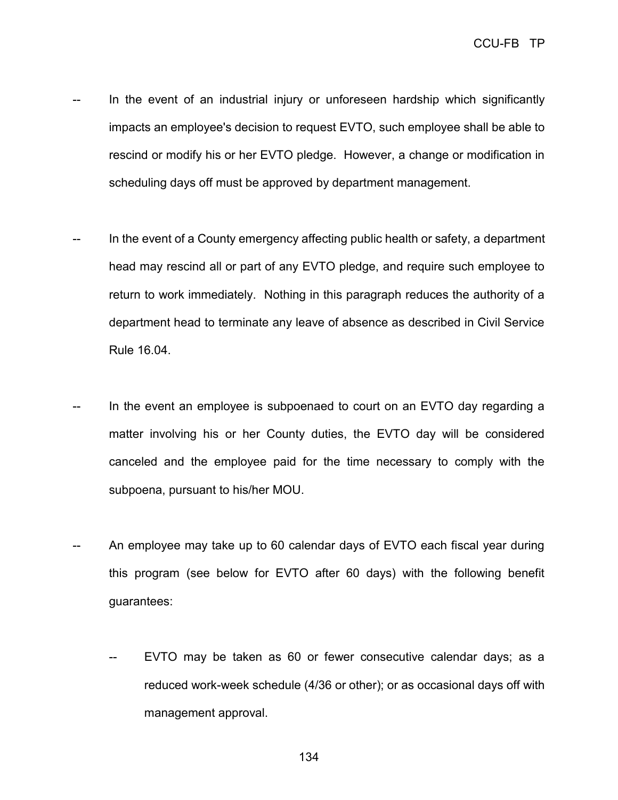- In the event of an industrial injury or unforeseen hardship which significantly impacts an employee's decision to request EVTO, such employee shall be able to rescind or modify his or her EVTO pledge. However, a change or modification in scheduling days off must be approved by department management.
- In the event of a County emergency affecting public health or safety, a department head may rescind all or part of any EVTO pledge, and require such employee to return to work immediately. Nothing in this paragraph reduces the authority of a department head to terminate any leave of absence as described in Civil Service Rule 16.04.
- In the event an employee is subpoenaed to court on an EVTO day regarding a matter involving his or her County duties, the EVTO day will be considered canceled and the employee paid for the time necessary to comply with the subpoena, pursuant to his/her MOU.
- An employee may take up to 60 calendar days of EVTO each fiscal year during this program (see below for EVTO after 60 days) with the following benefit guarantees:
	- EVTO may be taken as 60 or fewer consecutive calendar days; as a reduced work-week schedule (4/36 or other); or as occasional days off with management approval.

134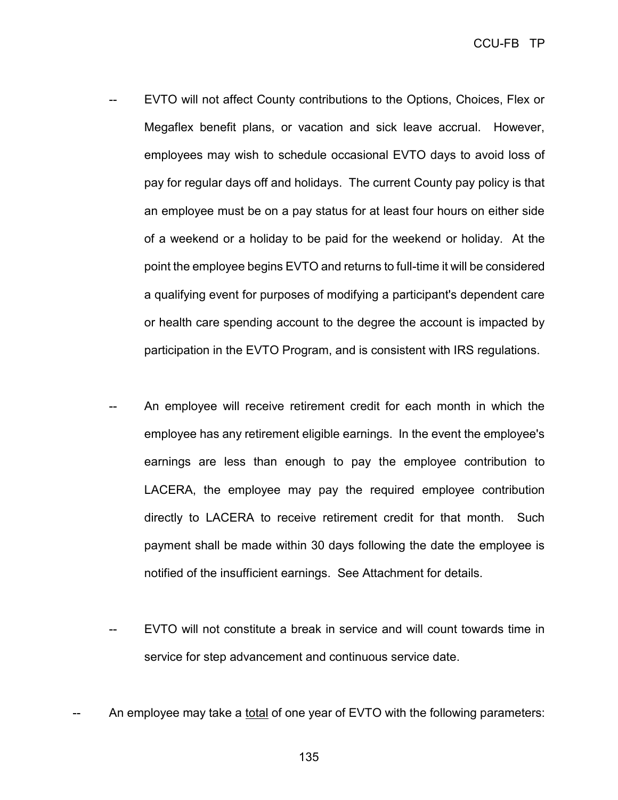- EVTO will not affect County contributions to the Options, Choices, Flex or Megaflex benefit plans, or vacation and sick leave accrual. However, employees may wish to schedule occasional EVTO days to avoid loss of pay for regular days off and holidays. The current County pay policy is that an employee must be on a pay status for at least four hours on either side of a weekend or a holiday to be paid for the weekend or holiday. At the point the employee begins EVTO and returns to full-time it will be considered a qualifying event for purposes of modifying a participant's dependent care or health care spending account to the degree the account is impacted by participation in the EVTO Program, and is consistent with IRS regulations.
- An employee will receive retirement credit for each month in which the employee has any retirement eligible earnings. In the event the employee's earnings are less than enough to pay the employee contribution to LACERA, the employee may pay the required employee contribution directly to LACERA to receive retirement credit for that month. Such payment shall be made within 30 days following the date the employee is notified of the insufficient earnings. See Attachment for details.
- EVTO will not constitute a break in service and will count towards time in service for step advancement and continuous service date.
- An employee may take a total of one year of EVTO with the following parameters: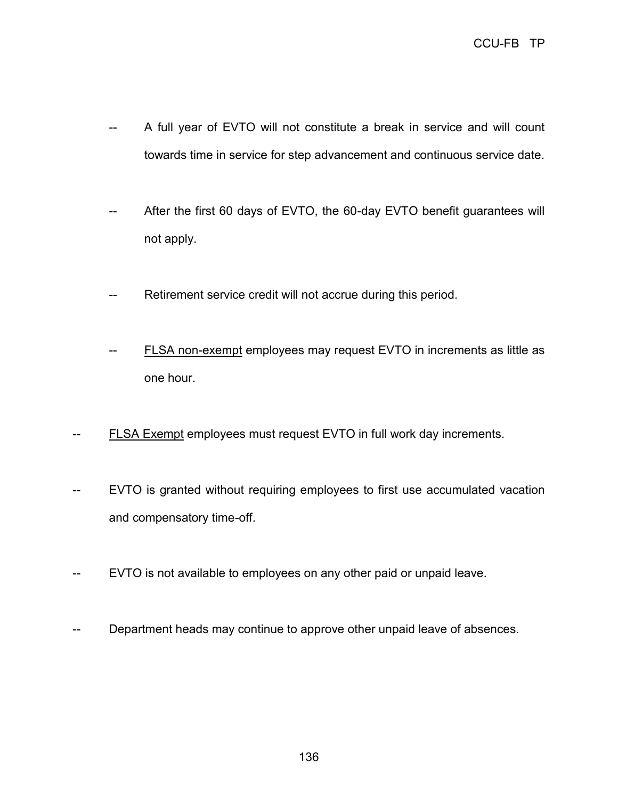- -- A full year of EVTO will not constitute a break in service and will count towards time in service for step advancement and continuous service date.
- -- After the first 60 days of EVTO, the 60-day EVTO benefit guarantees will not apply.
- Retirement service credit will not accrue during this period.
- FLSA non-exempt employees may request EVTO in increments as little as one hour.
- FLSA Exempt employees must request EVTO in full work day increments.
- EVTO is granted without requiring employees to first use accumulated vacation and compensatory time-off.
- -- EVTO is not available to employees on any other paid or unpaid leave.
- Department heads may continue to approve other unpaid leave of absences.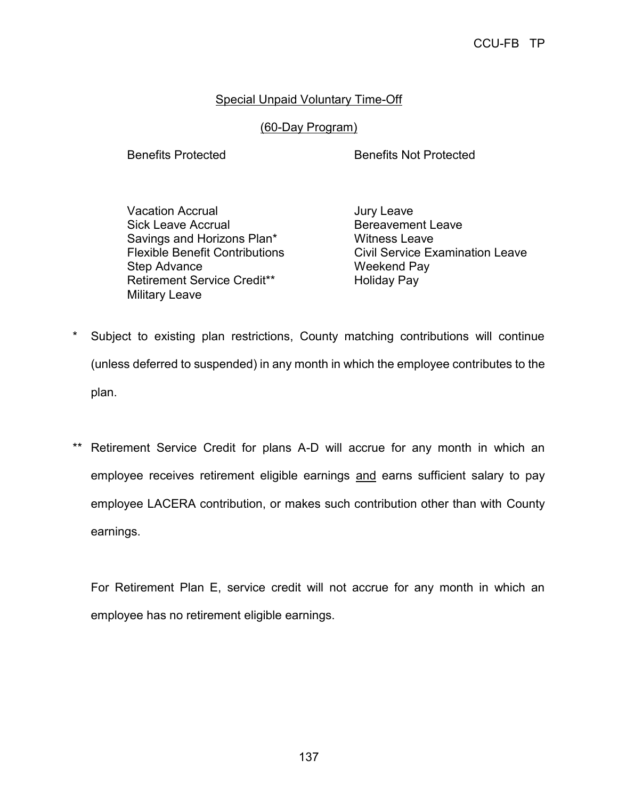## **Special Unpaid Voluntary Time-Off**

### (60-Day Program)

Benefits Protected Benefits Not Protected

Vacation Accrual Vacation Accrual Vacation Accruation Sick Leave Accrual **Bereavement Leave** Savings and Horizons Plan<sup>\*</sup> Witness Leave Step Advance Weekend Pay Retirement Service Credit\*\* Holiday Pay Military Leave

Flexible Benefit Contributions Civil Service Examination Leave

- \* Subject to existing plan restrictions, County matching contributions will continue (unless deferred to suspended) in any month in which the employee contributes to the plan.
- \*\* Retirement Service Credit for plans A-D will accrue for any month in which an employee receives retirement eligible earnings and earns sufficient salary to pay employee LACERA contribution, or makes such contribution other than with County earnings.

For Retirement Plan E, service credit will not accrue for any month in which an employee has no retirement eligible earnings.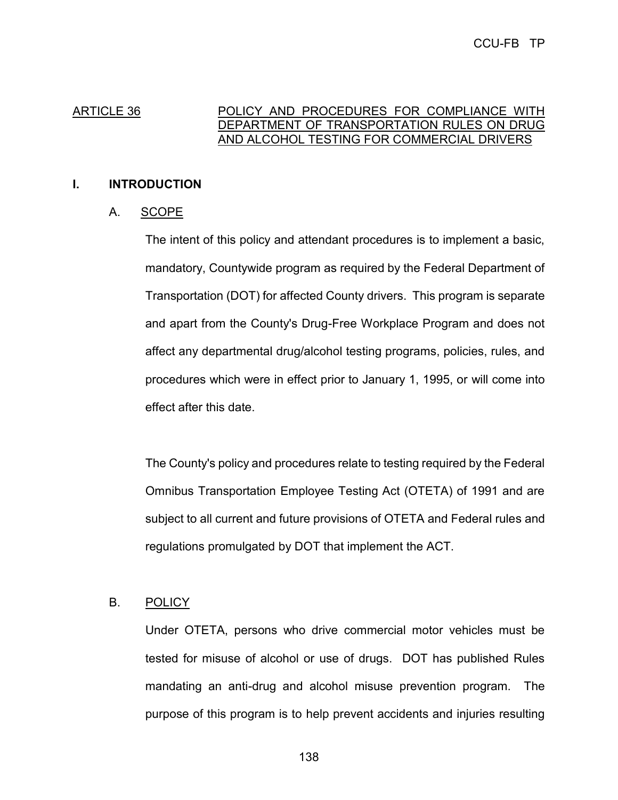#### ARTICLE 36 POLICY AND PROCEDURES FOR COMPLIANCE WITH DEPARTMENT OF TRANSPORTATION RULES ON DRUG AND ALCOHOL TESTING FOR COMMERCIAL DRIVERS

### **I. INTRODUCTION**

## A. SCOPE

The intent of this policy and attendant procedures is to implement a basic, mandatory, Countywide program as required by the Federal Department of Transportation (DOT) for affected County drivers. This program is separate and apart from the County's Drug-Free Workplace Program and does not affect any departmental drug/alcohol testing programs, policies, rules, and procedures which were in effect prior to January 1, 1995, or will come into effect after this date.

The County's policy and procedures relate to testing required by the Federal Omnibus Transportation Employee Testing Act (OTETA) of 1991 and are subject to all current and future provisions of OTETA and Federal rules and regulations promulgated by DOT that implement the ACT.

### B. POLICY

Under OTETA, persons who drive commercial motor vehicles must be tested for misuse of alcohol or use of drugs. DOT has published Rules mandating an anti-drug and alcohol misuse prevention program. The purpose of this program is to help prevent accidents and injuries resulting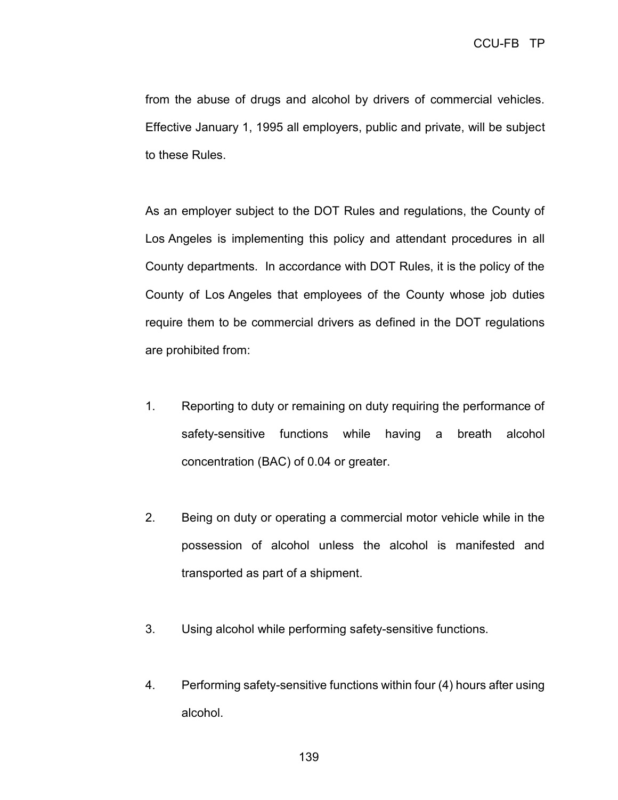from the abuse of drugs and alcohol by drivers of commercial vehicles. Effective January 1, 1995 all employers, public and private, will be subject to these Rules.

As an employer subject to the DOT Rules and regulations, the County of Los Angeles is implementing this policy and attendant procedures in all County departments. In accordance with DOT Rules, it is the policy of the County of Los Angeles that employees of the County whose job duties require them to be commercial drivers as defined in the DOT regulations are prohibited from:

- 1. Reporting to duty or remaining on duty requiring the performance of safety-sensitive functions while having a breath alcohol concentration (BAC) of 0.04 or greater.
- 2. Being on duty or operating a commercial motor vehicle while in the possession of alcohol unless the alcohol is manifested and transported as part of a shipment.
- 3. Using alcohol while performing safety-sensitive functions.
- 4. Performing safety-sensitive functions within four (4) hours after using alcohol.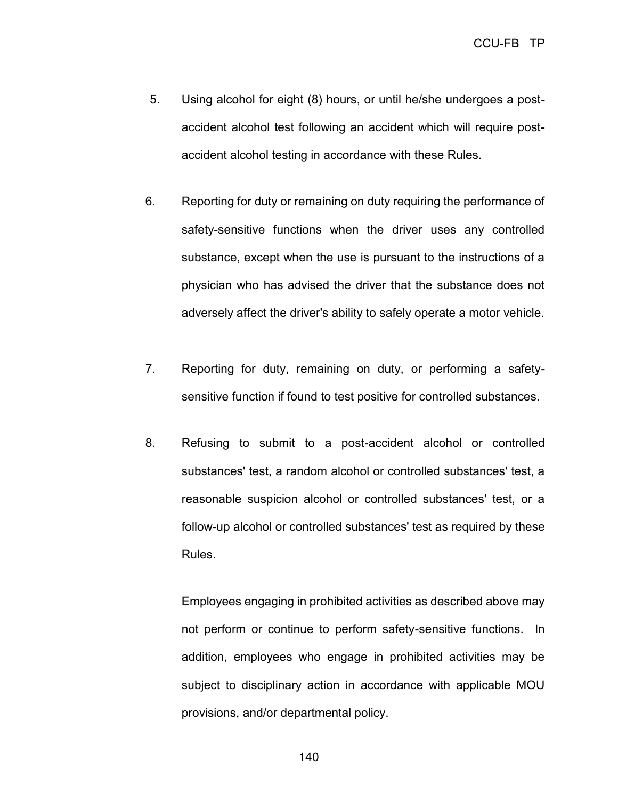- 5. Using alcohol for eight (8) hours, or until he/she undergoes a postaccident alcohol test following an accident which will require postaccident alcohol testing in accordance with these Rules.
- 6. Reporting for duty or remaining on duty requiring the performance of safety-sensitive functions when the driver uses any controlled substance, except when the use is pursuant to the instructions of a physician who has advised the driver that the substance does not adversely affect the driver's ability to safely operate a motor vehicle.
- 7. Reporting for duty, remaining on duty, or performing a safetysensitive function if found to test positive for controlled substances.
- 8. Refusing to submit to a post-accident alcohol or controlled substances' test, a random alcohol or controlled substances' test, a reasonable suspicion alcohol or controlled substances' test, or a follow-up alcohol or controlled substances' test as required by these Rules.

Employees engaging in prohibited activities as described above may not perform or continue to perform safety-sensitive functions. In addition, employees who engage in prohibited activities may be subject to disciplinary action in accordance with applicable MOU provisions, and/or departmental policy.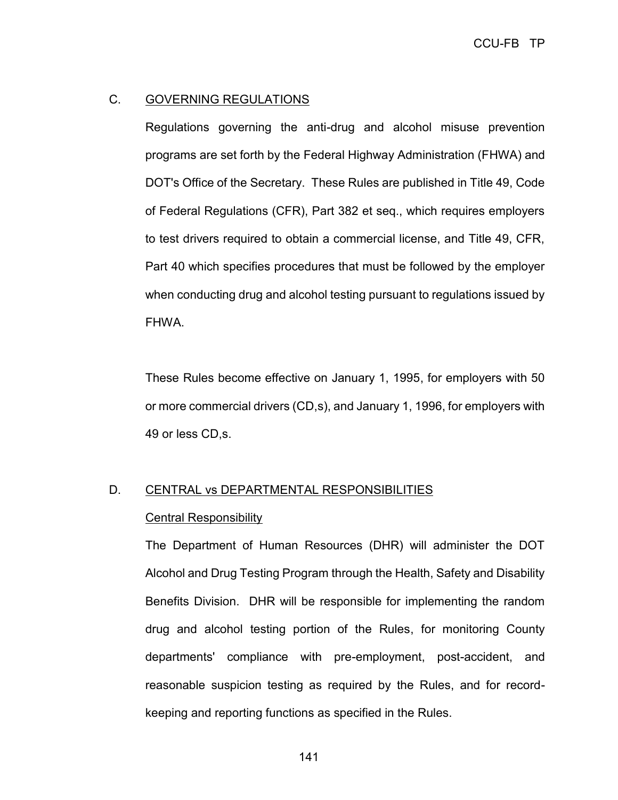#### C. GOVERNING REGULATIONS

Regulations governing the anti-drug and alcohol misuse prevention programs are set forth by the Federal Highway Administration (FHWA) and DOT's Office of the Secretary. These Rules are published in Title 49, Code of Federal Regulations (CFR), Part 382 et seq., which requires employers to test drivers required to obtain a commercial license, and Title 49, CFR, Part 40 which specifies procedures that must be followed by the employer when conducting drug and alcohol testing pursuant to regulations issued by FHWA.

These Rules become effective on January 1, 1995, for employers with 50 or more commercial drivers (CD,s), and January 1, 1996, for employers with 49 or less CD,s.

# D. CENTRAL vs DEPARTMENTAL RESPONSIBILITIES

#### Central Responsibility

The Department of Human Resources (DHR) will administer the DOT Alcohol and Drug Testing Program through the Health, Safety and Disability Benefits Division. DHR will be responsible for implementing the random drug and alcohol testing portion of the Rules, for monitoring County departments' compliance with pre-employment, post-accident, and reasonable suspicion testing as required by the Rules, and for recordkeeping and reporting functions as specified in the Rules.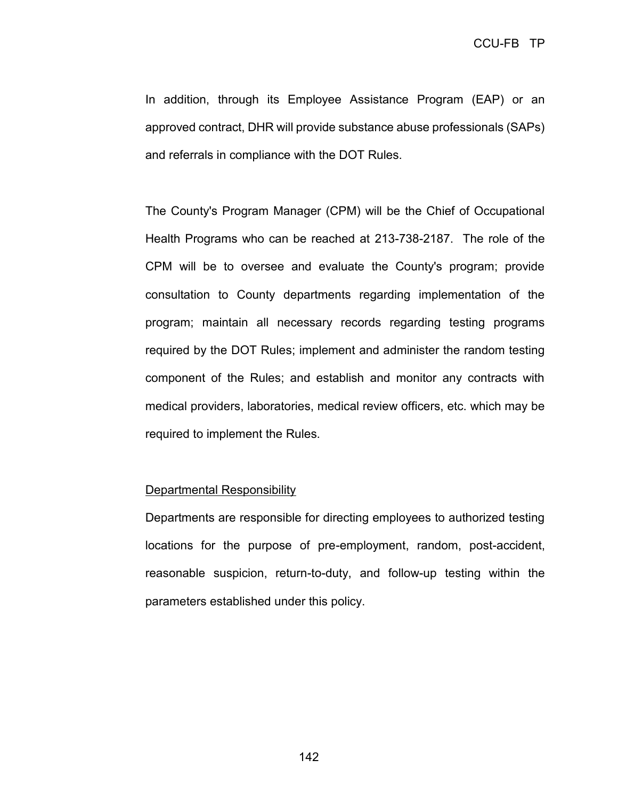In addition, through its Employee Assistance Program (EAP) or an approved contract, DHR will provide substance abuse professionals (SAPs) and referrals in compliance with the DOT Rules.

The County's Program Manager (CPM) will be the Chief of Occupational Health Programs who can be reached at 213-738-2187. The role of the CPM will be to oversee and evaluate the County's program; provide consultation to County departments regarding implementation of the program; maintain all necessary records regarding testing programs required by the DOT Rules; implement and administer the random testing component of the Rules; and establish and monitor any contracts with medical providers, laboratories, medical review officers, etc. which may be required to implement the Rules.

#### Departmental Responsibility

Departments are responsible for directing employees to authorized testing locations for the purpose of pre-employment, random, post-accident, reasonable suspicion, return-to-duty, and follow-up testing within the parameters established under this policy.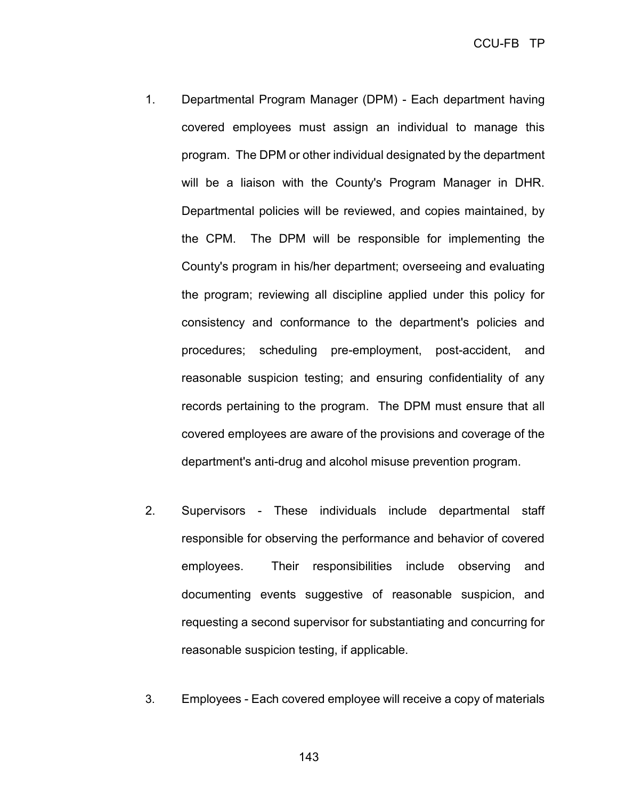- 1. Departmental Program Manager (DPM) Each department having covered employees must assign an individual to manage this program. The DPM or other individual designated by the department will be a liaison with the County's Program Manager in DHR. Departmental policies will be reviewed, and copies maintained, by the CPM. The DPM will be responsible for implementing the County's program in his/her department; overseeing and evaluating the program; reviewing all discipline applied under this policy for consistency and conformance to the department's policies and procedures; scheduling pre-employment, post-accident, and reasonable suspicion testing; and ensuring confidentiality of any records pertaining to the program. The DPM must ensure that all covered employees are aware of the provisions and coverage of the department's anti-drug and alcohol misuse prevention program.
- 2. Supervisors These individuals include departmental staff responsible for observing the performance and behavior of covered employees. Their responsibilities include observing and documenting events suggestive of reasonable suspicion, and requesting a second supervisor for substantiating and concurring for reasonable suspicion testing, if applicable.
- 3. Employees Each covered employee will receive a copy of materials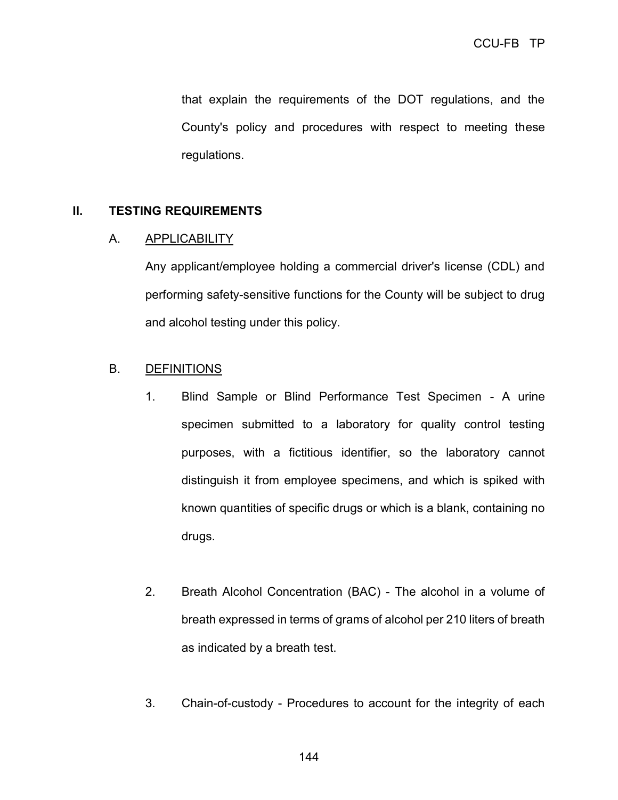that explain the requirements of the DOT regulations, and the County's policy and procedures with respect to meeting these regulations.

### **II. TESTING REQUIREMENTS**

#### A. APPLICABILITY

Any applicant/employee holding a commercial driver's license (CDL) and performing safety-sensitive functions for the County will be subject to drug and alcohol testing under this policy.

### B. DEFINITIONS

- 1. Blind Sample or Blind Performance Test Specimen A urine specimen submitted to a laboratory for quality control testing purposes, with a fictitious identifier, so the laboratory cannot distinguish it from employee specimens, and which is spiked with known quantities of specific drugs or which is a blank, containing no drugs.
- 2. Breath Alcohol Concentration (BAC) The alcohol in a volume of breath expressed in terms of grams of alcohol per 210 liters of breath as indicated by a breath test.
- 3. Chain-of-custody Procedures to account for the integrity of each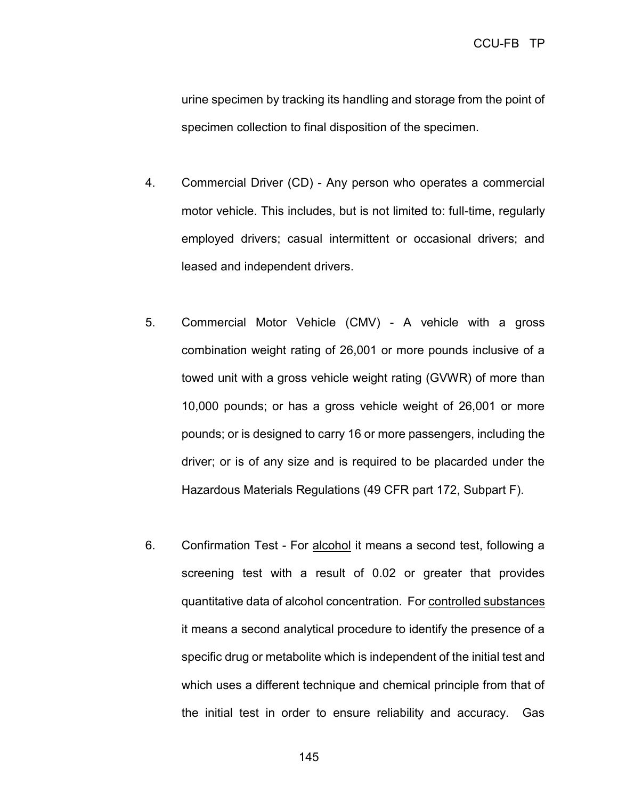urine specimen by tracking its handling and storage from the point of specimen collection to final disposition of the specimen.

- 4. Commercial Driver (CD) Any person who operates a commercial motor vehicle. This includes, but is not limited to: full-time, regularly employed drivers; casual intermittent or occasional drivers; and leased and independent drivers.
- 5. Commercial Motor Vehicle (CMV) A vehicle with a gross combination weight rating of 26,001 or more pounds inclusive of a towed unit with a gross vehicle weight rating (GVWR) of more than 10,000 pounds; or has a gross vehicle weight of 26,001 or more pounds; or is designed to carry 16 or more passengers, including the driver; or is of any size and is required to be placarded under the Hazardous Materials Regulations (49 CFR part 172, Subpart F).
- 6. Confirmation Test For alcohol it means a second test, following a screening test with a result of 0.02 or greater that provides quantitative data of alcohol concentration. For controlled substances it means a second analytical procedure to identify the presence of a specific drug or metabolite which is independent of the initial test and which uses a different technique and chemical principle from that of the initial test in order to ensure reliability and accuracy. Gas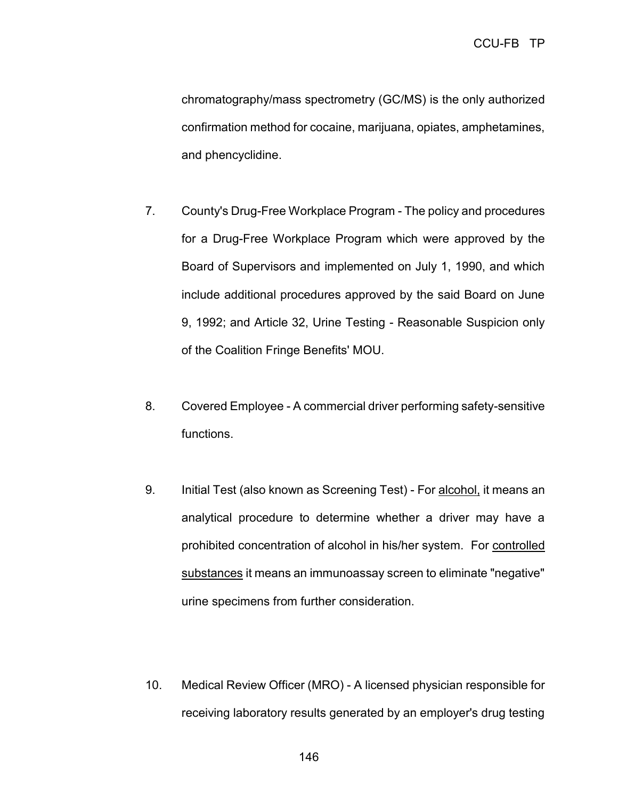chromatography/mass spectrometry (GC/MS) is the only authorized confirmation method for cocaine, marijuana, opiates, amphetamines, and phencyclidine.

- 7. County's Drug-Free Workplace Program The policy and procedures for a Drug-Free Workplace Program which were approved by the Board of Supervisors and implemented on July 1, 1990, and which include additional procedures approved by the said Board on June 9, 1992; and Article 32, Urine Testing - Reasonable Suspicion only of the Coalition Fringe Benefits' MOU.
- 8. Covered Employee A commercial driver performing safety-sensitive functions.
- 9. Initial Test (also known as Screening Test) For alcohol, it means an analytical procedure to determine whether a driver may have a prohibited concentration of alcohol in his/her system. For controlled substances it means an immunoassay screen to eliminate "negative" urine specimens from further consideration.
- 10. Medical Review Officer (MRO) A licensed physician responsible for receiving laboratory results generated by an employer's drug testing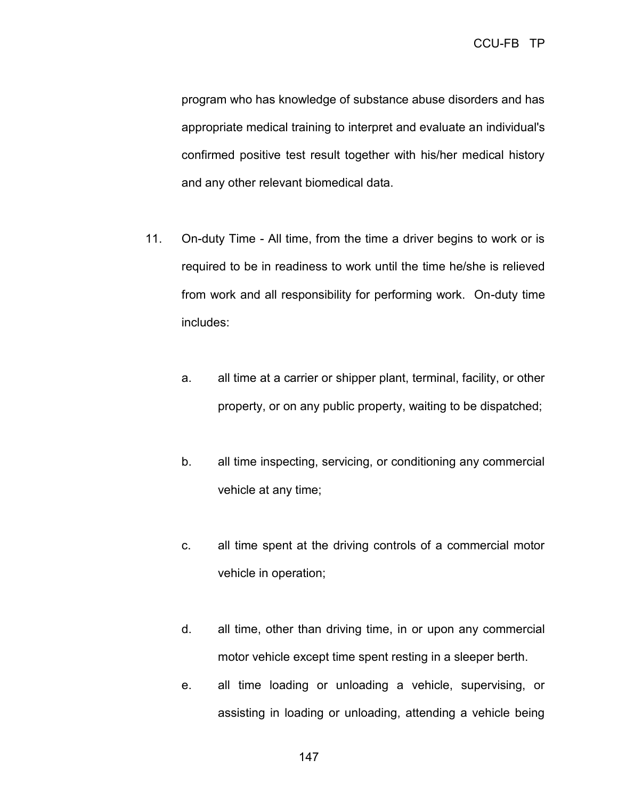program who has knowledge of substance abuse disorders and has appropriate medical training to interpret and evaluate an individual's confirmed positive test result together with his/her medical history and any other relevant biomedical data.

- 11. On-duty Time All time, from the time a driver begins to work or is required to be in readiness to work until the time he/she is relieved from work and all responsibility for performing work. On-duty time includes:
	- a. all time at a carrier or shipper plant, terminal, facility, or other property, or on any public property, waiting to be dispatched;
	- b. all time inspecting, servicing, or conditioning any commercial vehicle at any time;
	- c. all time spent at the driving controls of a commercial motor vehicle in operation;
	- d. all time, other than driving time, in or upon any commercial motor vehicle except time spent resting in a sleeper berth.
	- e. all time loading or unloading a vehicle, supervising, or assisting in loading or unloading, attending a vehicle being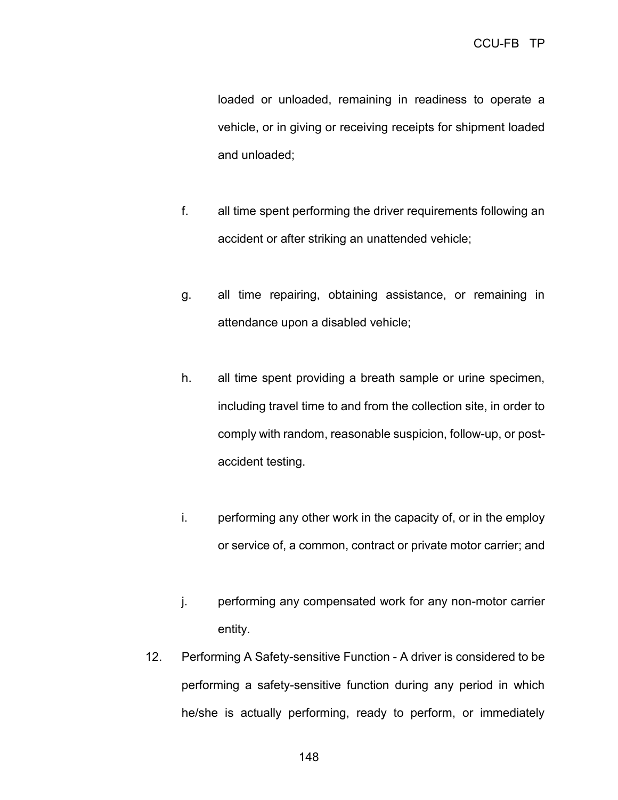loaded or unloaded, remaining in readiness to operate a vehicle, or in giving or receiving receipts for shipment loaded and unloaded;

- f. all time spent performing the driver requirements following an accident or after striking an unattended vehicle;
- g. all time repairing, obtaining assistance, or remaining in attendance upon a disabled vehicle;
- h. all time spent providing a breath sample or urine specimen, including travel time to and from the collection site, in order to comply with random, reasonable suspicion, follow-up, or postaccident testing.
- i. performing any other work in the capacity of, or in the employ or service of, a common, contract or private motor carrier; and
- j. performing any compensated work for any non-motor carrier entity.
- 12. Performing A Safety-sensitive Function A driver is considered to be performing a safety-sensitive function during any period in which he/she is actually performing, ready to perform, or immediately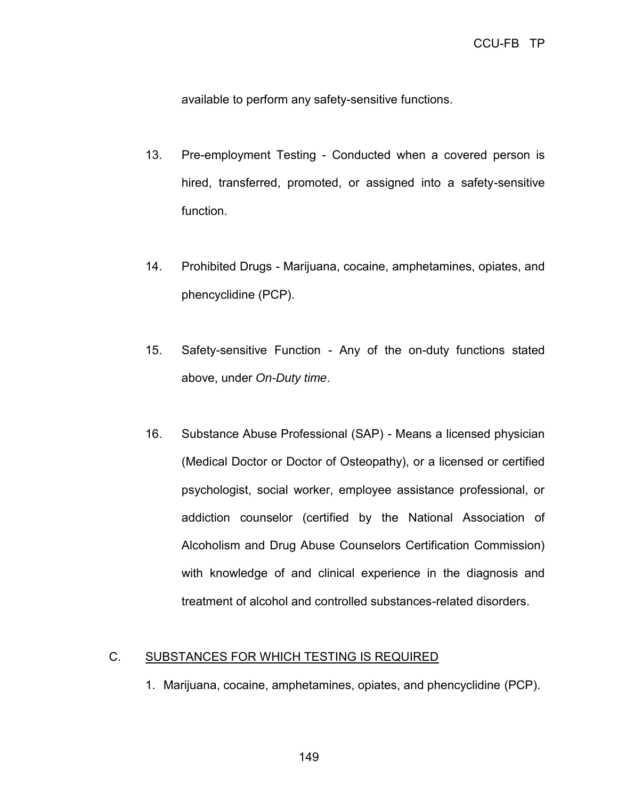available to perform any safety-sensitive functions.

- 13. Pre-employment Testing Conducted when a covered person is hired, transferred, promoted, or assigned into a safety-sensitive function.
- 14. Prohibited Drugs Marijuana, cocaine, amphetamines, opiates, and phencyclidine (PCP).
- 15. Safety-sensitive Function Any of the on-duty functions stated above, under *On-Duty time*.
- 16. Substance Abuse Professional (SAP) Means a licensed physician (Medical Doctor or Doctor of Osteopathy), or a licensed or certified psychologist, social worker, employee assistance professional, or addiction counselor (certified by the National Association of Alcoholism and Drug Abuse Counselors Certification Commission) with knowledge of and clinical experience in the diagnosis and treatment of alcohol and controlled substances-related disorders.

## C. SUBSTANCES FOR WHICH TESTING IS REQUIRED

1. Marijuana, cocaine, amphetamines, opiates, and phencyclidine (PCP).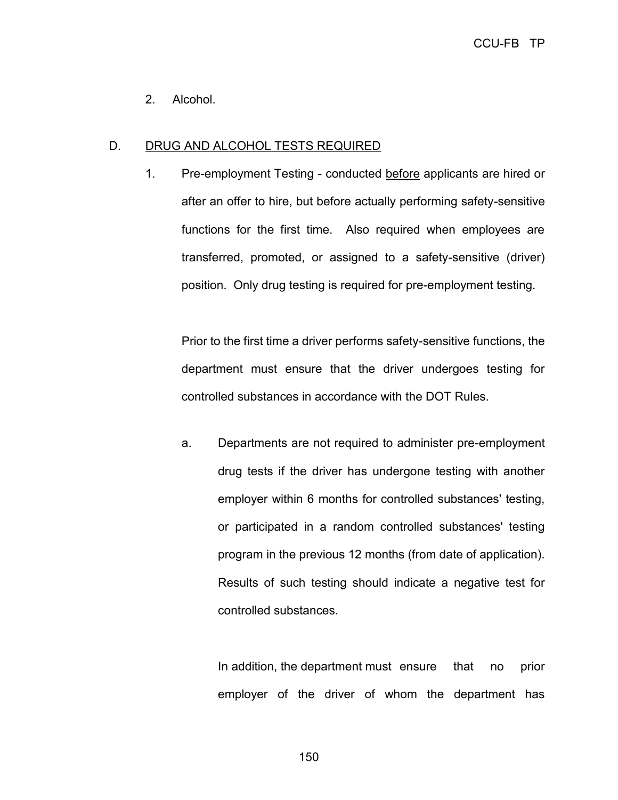2. Alcohol.

## D. DRUG AND ALCOHOL TESTS REQUIRED

1. Pre-employment Testing - conducted before applicants are hired or after an offer to hire, but before actually performing safety-sensitive functions for the first time. Also required when employees are transferred, promoted, or assigned to a safety-sensitive (driver) position. Only drug testing is required for pre-employment testing.

Prior to the first time a driver performs safety-sensitive functions, the department must ensure that the driver undergoes testing for controlled substances in accordance with the DOT Rules.

a. Departments are not required to administer pre-employment drug tests if the driver has undergone testing with another employer within 6 months for controlled substances' testing, or participated in a random controlled substances' testing program in the previous 12 months (from date of application). Results of such testing should indicate a negative test for controlled substances.

In addition, the department must ensure that no prior employer of the driver of whom the department has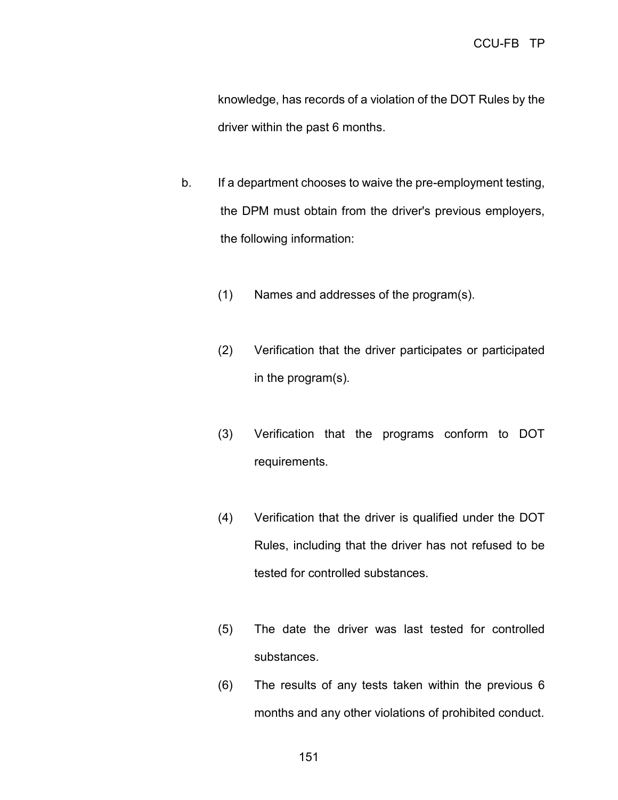knowledge, has records of a violation of the DOT Rules by the driver within the past 6 months.

- b. If a department chooses to waive the pre-employment testing, the DPM must obtain from the driver's previous employers, the following information:
	- (1) Names and addresses of the program(s).
	- (2) Verification that the driver participates or participated in the program(s).
	- (3) Verification that the programs conform to DOT requirements.
	- (4) Verification that the driver is qualified under the DOT Rules, including that the driver has not refused to be tested for controlled substances.
	- (5) The date the driver was last tested for controlled substances.
	- (6) The results of any tests taken within the previous 6 months and any other violations of prohibited conduct.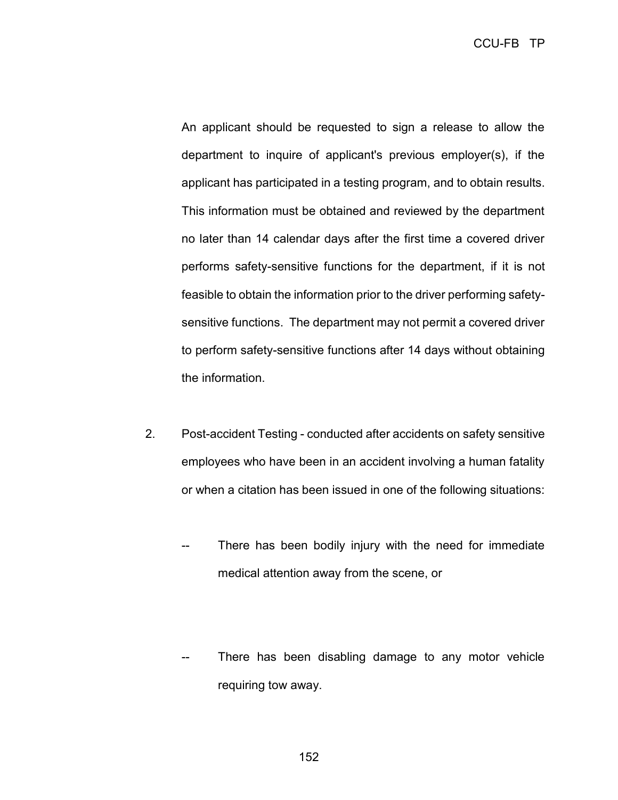An applicant should be requested to sign a release to allow the department to inquire of applicant's previous employer(s), if the applicant has participated in a testing program, and to obtain results. This information must be obtained and reviewed by the department no later than 14 calendar days after the first time a covered driver performs safety-sensitive functions for the department, if it is not feasible to obtain the information prior to the driver performing safetysensitive functions. The department may not permit a covered driver to perform safety-sensitive functions after 14 days without obtaining the information.

- 2. Post-accident Testing conducted after accidents on safety sensitive employees who have been in an accident involving a human fatality or when a citation has been issued in one of the following situations:
	- There has been bodily injury with the need for immediate medical attention away from the scene, or
	- There has been disabling damage to any motor vehicle requiring tow away.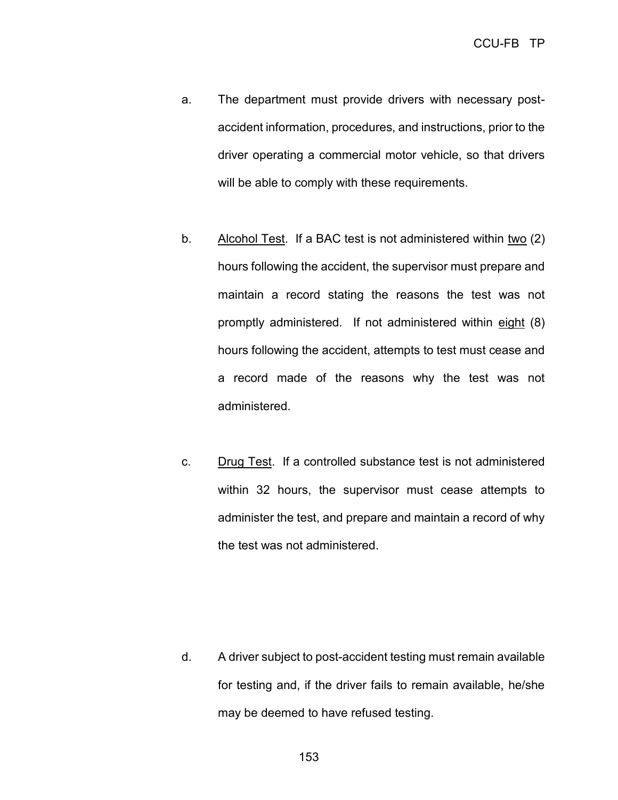- a. The department must provide drivers with necessary postaccident information, procedures, and instructions, prior to the driver operating a commercial motor vehicle, so that drivers will be able to comply with these requirements.
- b. Alcohol Test. If a BAC test is not administered within two (2) hours following the accident, the supervisor must prepare and maintain a record stating the reasons the test was not promptly administered. If not administered within eight (8) hours following the accident, attempts to test must cease and a record made of the reasons why the test was not administered.
- c. Drug Test. If a controlled substance test is not administered within 32 hours, the supervisor must cease attempts to administer the test, and prepare and maintain a record of why the test was not administered.

d. A driver subject to post-accident testing must remain available for testing and, if the driver fails to remain available, he/she may be deemed to have refused testing.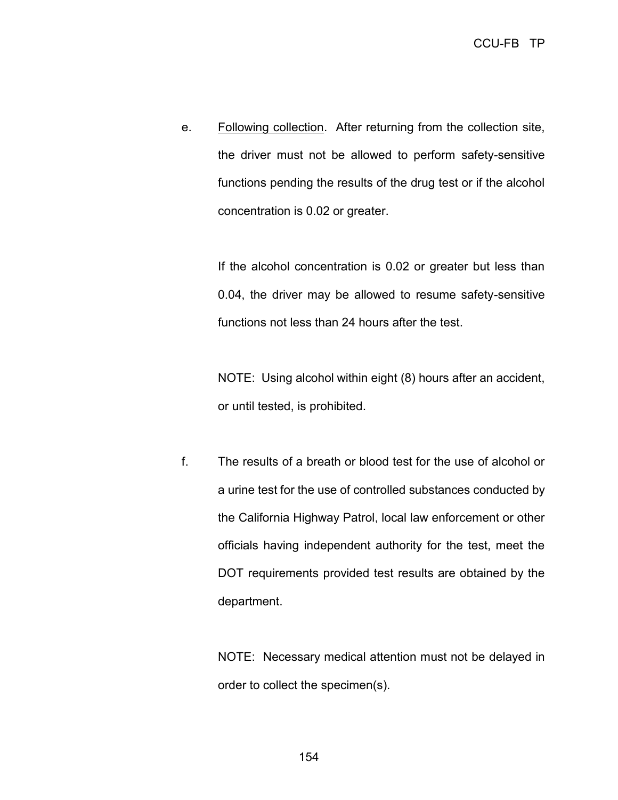e. Following collection. After returning from the collection site, the driver must not be allowed to perform safety-sensitive functions pending the results of the drug test or if the alcohol concentration is 0.02 or greater.

If the alcohol concentration is 0.02 or greater but less than 0.04, the driver may be allowed to resume safety-sensitive functions not less than 24 hours after the test.

NOTE: Using alcohol within eight (8) hours after an accident, or until tested, is prohibited.

f. The results of a breath or blood test for the use of alcohol or a urine test for the use of controlled substances conducted by the California Highway Patrol, local law enforcement or other officials having independent authority for the test, meet the DOT requirements provided test results are obtained by the department.

> NOTE: Necessary medical attention must not be delayed in order to collect the specimen(s).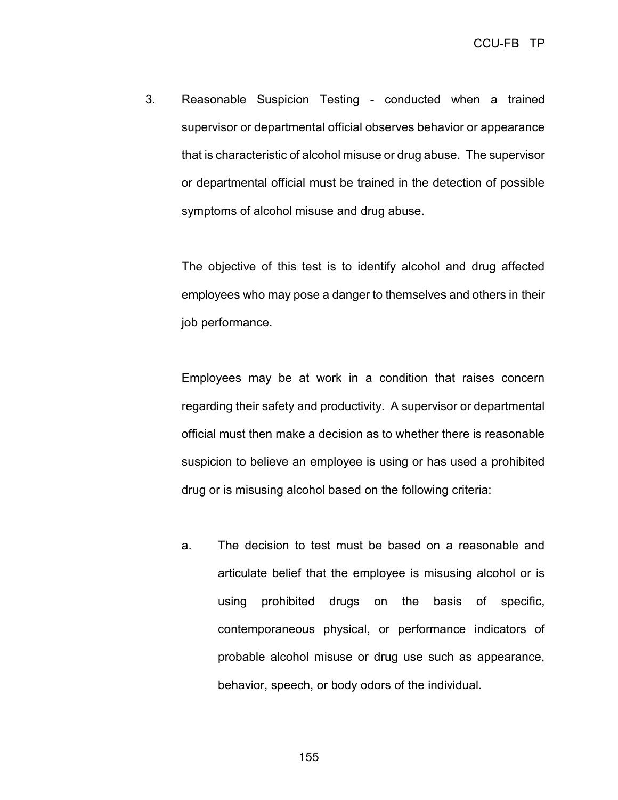3. Reasonable Suspicion Testing - conducted when a trained supervisor or departmental official observes behavior or appearance that is characteristic of alcohol misuse or drug abuse. The supervisor or departmental official must be trained in the detection of possible symptoms of alcohol misuse and drug abuse.

The objective of this test is to identify alcohol and drug affected employees who may pose a danger to themselves and others in their job performance.

Employees may be at work in a condition that raises concern regarding their safety and productivity. A supervisor or departmental official must then make a decision as to whether there is reasonable suspicion to believe an employee is using or has used a prohibited drug or is misusing alcohol based on the following criteria:

a. The decision to test must be based on a reasonable and articulate belief that the employee is misusing alcohol or is using prohibited drugs on the basis of specific, contemporaneous physical, or performance indicators of probable alcohol misuse or drug use such as appearance, behavior, speech, or body odors of the individual.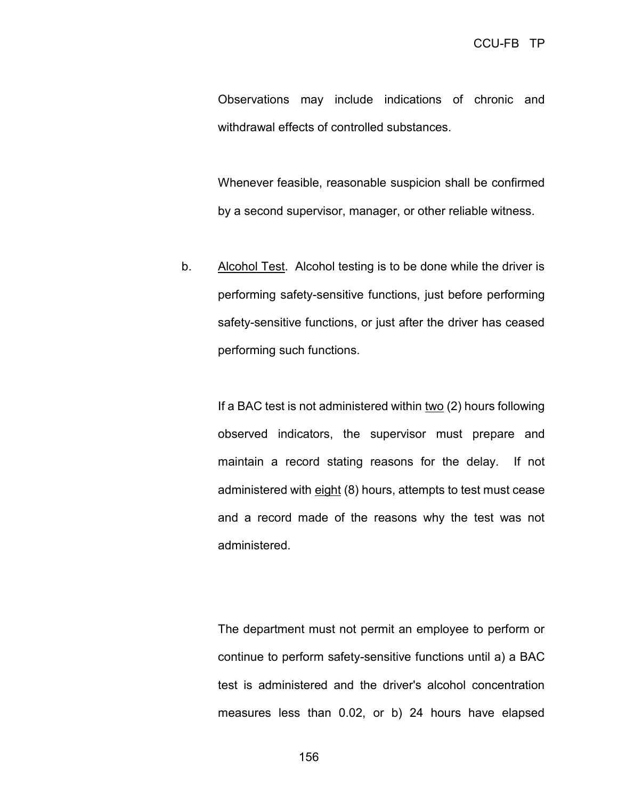Observations may include indications of chronic and withdrawal effects of controlled substances.

Whenever feasible, reasonable suspicion shall be confirmed by a second supervisor, manager, or other reliable witness.

b. Alcohol Test. Alcohol testing is to be done while the driver is performing safety-sensitive functions, just before performing safety-sensitive functions, or just after the driver has ceased performing such functions.

> If a BAC test is not administered within two (2) hours following observed indicators, the supervisor must prepare and maintain a record stating reasons for the delay. If not administered with eight (8) hours, attempts to test must cease and a record made of the reasons why the test was not administered.

> The department must not permit an employee to perform or continue to perform safety-sensitive functions until a) a BAC test is administered and the driver's alcohol concentration measures less than 0.02, or b) 24 hours have elapsed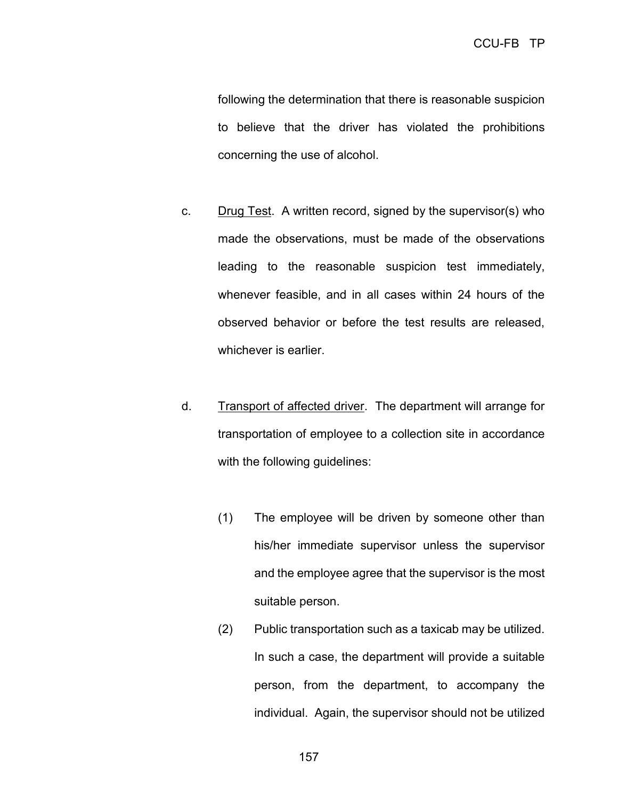following the determination that there is reasonable suspicion to believe that the driver has violated the prohibitions concerning the use of alcohol.

- c. Drug Test. A written record, signed by the supervisor(s) who made the observations, must be made of the observations leading to the reasonable suspicion test immediately, whenever feasible, and in all cases within 24 hours of the observed behavior or before the test results are released, whichever is earlier.
- d. Transport of affected driver. The department will arrange for transportation of employee to a collection site in accordance with the following guidelines:
	- (1) The employee will be driven by someone other than his/her immediate supervisor unless the supervisor and the employee agree that the supervisor is the most suitable person.
	- (2) Public transportation such as a taxicab may be utilized. In such a case, the department will provide a suitable person, from the department, to accompany the individual. Again, the supervisor should not be utilized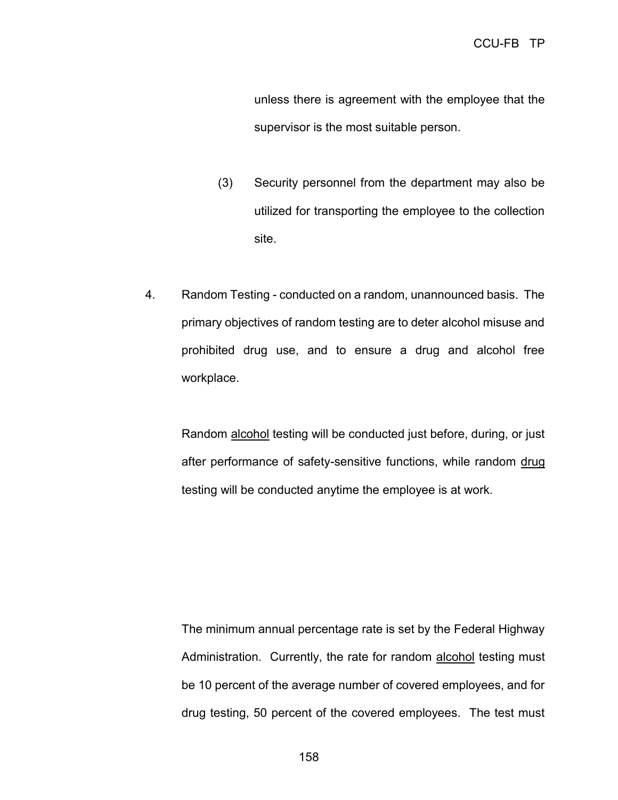unless there is agreement with the employee that the supervisor is the most suitable person.

- (3) Security personnel from the department may also be utilized for transporting the employee to the collection site.
- 4. Random Testing conducted on a random, unannounced basis. The primary objectives of random testing are to deter alcohol misuse and prohibited drug use, and to ensure a drug and alcohol free workplace.

Random alcohol testing will be conducted just before, during, or just after performance of safety-sensitive functions, while random drug testing will be conducted anytime the employee is at work.

The minimum annual percentage rate is set by the Federal Highway Administration. Currently, the rate for random alcohol testing must be 10 percent of the average number of covered employees, and for drug testing, 50 percent of the covered employees. The test must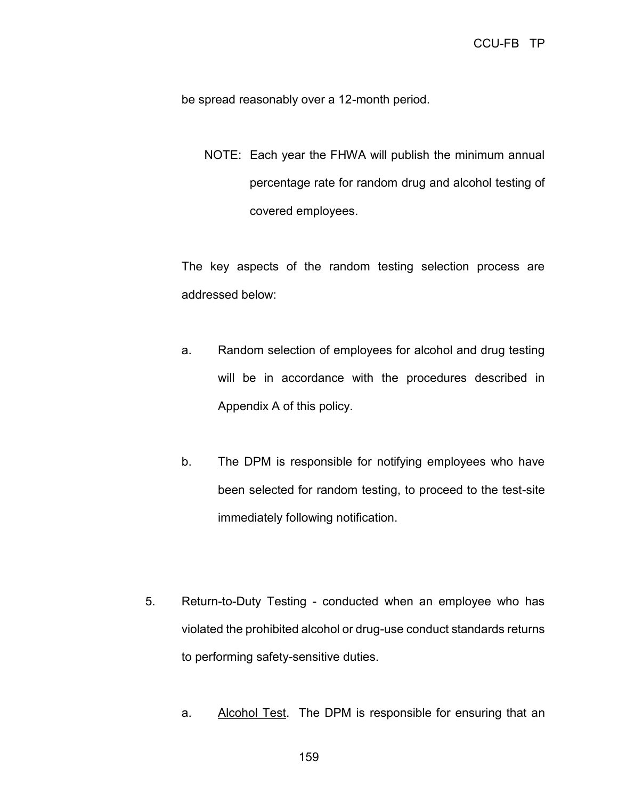be spread reasonably over a 12-month period.

NOTE: Each year the FHWA will publish the minimum annual percentage rate for random drug and alcohol testing of covered employees.

The key aspects of the random testing selection process are addressed below:

- a. Random selection of employees for alcohol and drug testing will be in accordance with the procedures described in Appendix A of this policy.
- b. The DPM is responsible for notifying employees who have been selected for random testing, to proceed to the test-site immediately following notification.
- 5. Return-to-Duty Testing conducted when an employee who has violated the prohibited alcohol or drug-use conduct standards returns to performing safety-sensitive duties.
	- a. Alcohol Test. The DPM is responsible for ensuring that an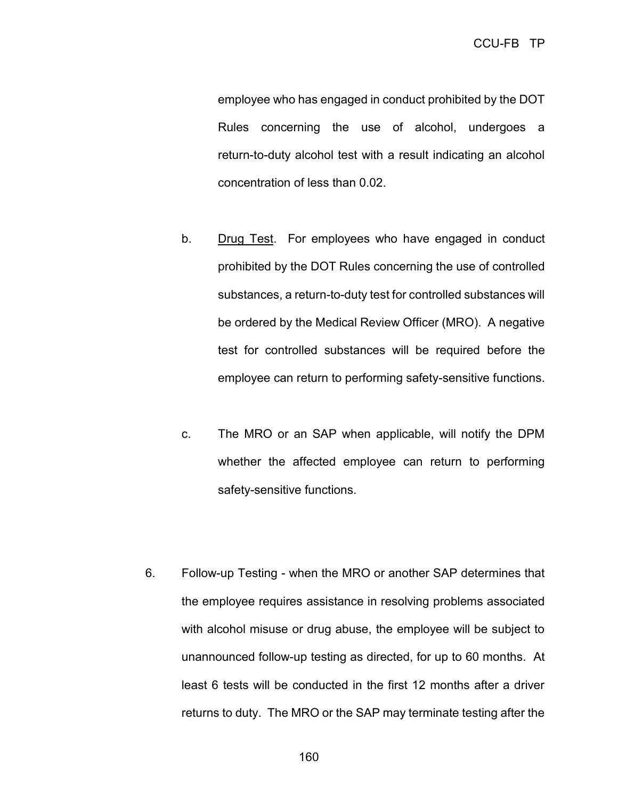employee who has engaged in conduct prohibited by the DOT Rules concerning the use of alcohol, undergoes a return-to-duty alcohol test with a result indicating an alcohol concentration of less than 0.02.

- b. Drug Test. For employees who have engaged in conduct prohibited by the DOT Rules concerning the use of controlled substances, a return-to-duty test for controlled substances will be ordered by the Medical Review Officer (MRO). A negative test for controlled substances will be required before the employee can return to performing safety-sensitive functions.
- c. The MRO or an SAP when applicable, will notify the DPM whether the affected employee can return to performing safety-sensitive functions.
- 6. Follow-up Testing when the MRO or another SAP determines that the employee requires assistance in resolving problems associated with alcohol misuse or drug abuse, the employee will be subject to unannounced follow-up testing as directed, for up to 60 months. At least 6 tests will be conducted in the first 12 months after a driver returns to duty. The MRO or the SAP may terminate testing after the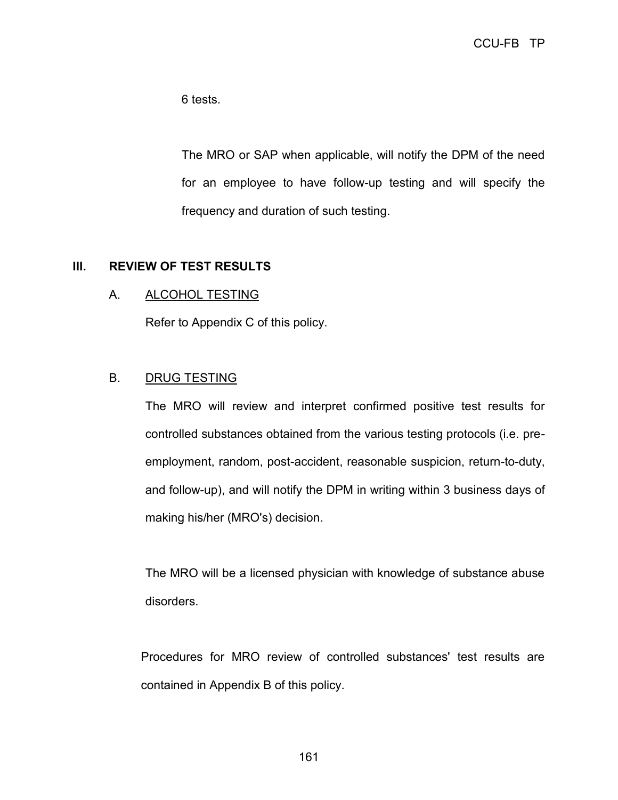6 tests.

The MRO or SAP when applicable, will notify the DPM of the need for an employee to have follow-up testing and will specify the frequency and duration of such testing.

### **III. REVIEW OF TEST RESULTS**

### A. ALCOHOL TESTING

Refer to Appendix C of this policy.

### B. DRUG TESTING

The MRO will review and interpret confirmed positive test results for controlled substances obtained from the various testing protocols (i.e. preemployment, random, post-accident, reasonable suspicion, return-to-duty, and follow-up), and will notify the DPM in writing within 3 business days of making his/her (MRO's) decision.

The MRO will be a licensed physician with knowledge of substance abuse disorders.

Procedures for MRO review of controlled substances' test results are contained in Appendix B of this policy.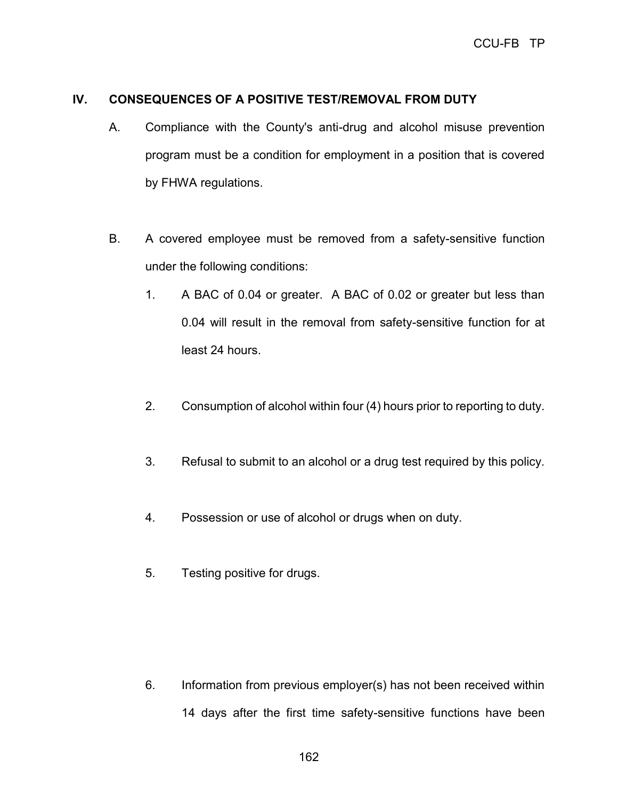## **IV. CONSEQUENCES OF A POSITIVE TEST/REMOVAL FROM DUTY**

- A. Compliance with the County's anti-drug and alcohol misuse prevention program must be a condition for employment in a position that is covered by FHWA regulations.
- B. A covered employee must be removed from a safety-sensitive function under the following conditions:
	- 1. A BAC of 0.04 or greater. A BAC of 0.02 or greater but less than 0.04 will result in the removal from safety-sensitive function for at least 24 hours.
	- 2. Consumption of alcohol within four (4) hours prior to reporting to duty.
	- 3. Refusal to submit to an alcohol or a drug test required by this policy.
	- 4. Possession or use of alcohol or drugs when on duty.
	- 5. Testing positive for drugs.

6. Information from previous employer(s) has not been received within 14 days after the first time safety-sensitive functions have been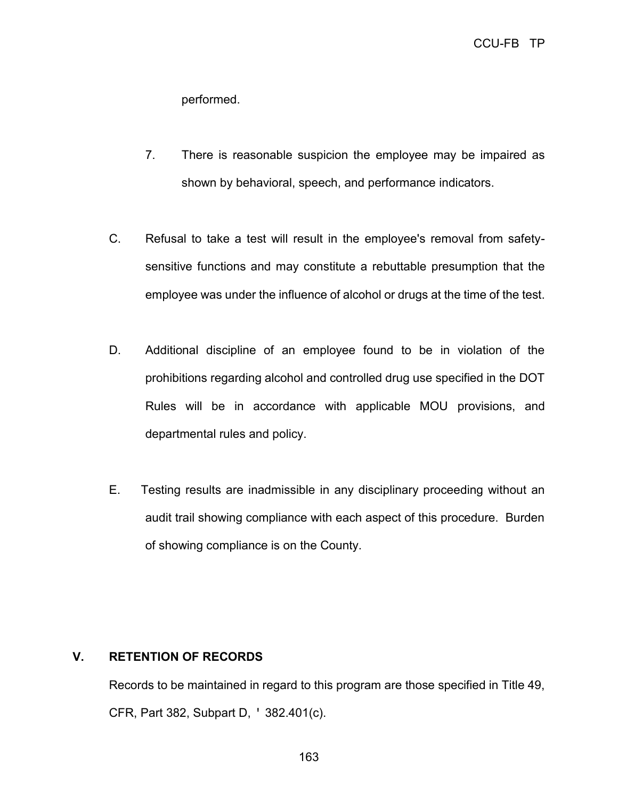performed.

- 7. There is reasonable suspicion the employee may be impaired as shown by behavioral, speech, and performance indicators.
- C. Refusal to take a test will result in the employee's removal from safetysensitive functions and may constitute a rebuttable presumption that the employee was under the influence of alcohol or drugs at the time of the test.
- D. Additional discipline of an employee found to be in violation of the prohibitions regarding alcohol and controlled drug use specified in the DOT Rules will be in accordance with applicable MOU provisions, and departmental rules and policy.
- E. Testing results are inadmissible in any disciplinary proceeding without an audit trail showing compliance with each aspect of this procedure. Burden of showing compliance is on the County.

## **V. RETENTION OF RECORDS**

Records to be maintained in regard to this program are those specified in Title 49, CFR, Part 382, Subpart D, ' 382.401(c).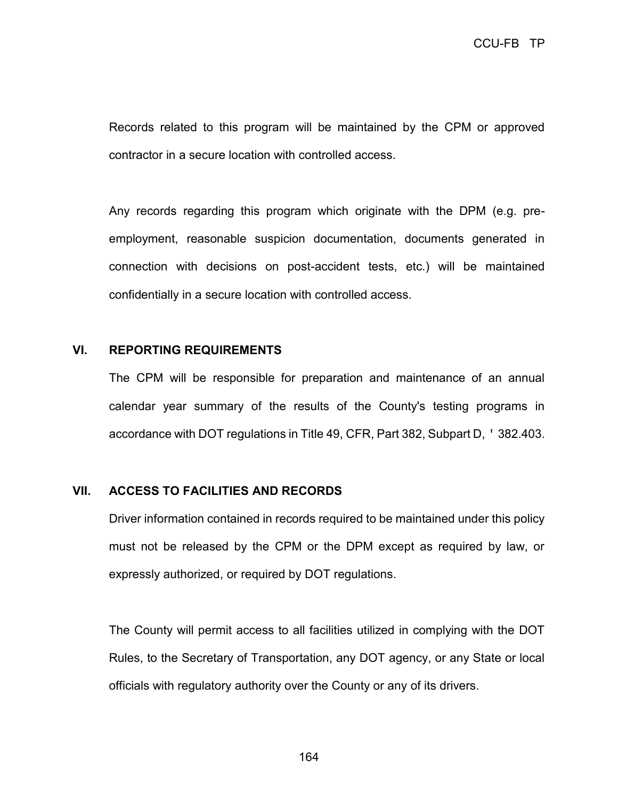Records related to this program will be maintained by the CPM or approved contractor in a secure location with controlled access.

Any records regarding this program which originate with the DPM (e.g. preemployment, reasonable suspicion documentation, documents generated in connection with decisions on post-accident tests, etc.) will be maintained confidentially in a secure location with controlled access.

### **VI. REPORTING REQUIREMENTS**

The CPM will be responsible for preparation and maintenance of an annual calendar year summary of the results of the County's testing programs in accordance with DOT regulations in Title 49, CFR, Part 382, Subpart D, ' 382.403.

#### **VII. ACCESS TO FACILITIES AND RECORDS**

Driver information contained in records required to be maintained under this policy must not be released by the CPM or the DPM except as required by law, or expressly authorized, or required by DOT regulations.

The County will permit access to all facilities utilized in complying with the DOT Rules, to the Secretary of Transportation, any DOT agency, or any State or local officials with regulatory authority over the County or any of its drivers.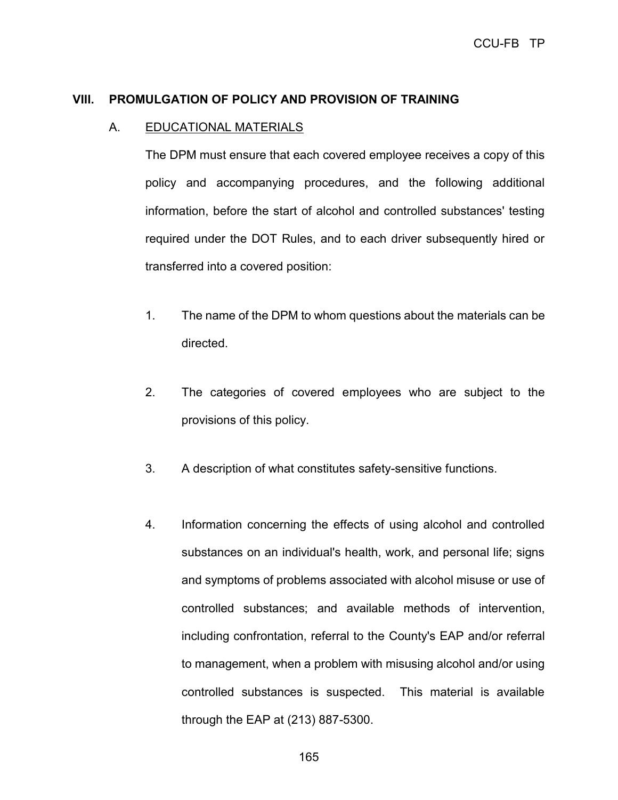### **VIII. PROMULGATION OF POLICY AND PROVISION OF TRAINING**

#### A. EDUCATIONAL MATERIALS

The DPM must ensure that each covered employee receives a copy of this policy and accompanying procedures, and the following additional information, before the start of alcohol and controlled substances' testing required under the DOT Rules, and to each driver subsequently hired or transferred into a covered position:

- 1. The name of the DPM to whom questions about the materials can be directed.
- 2. The categories of covered employees who are subject to the provisions of this policy.
- 3. A description of what constitutes safety-sensitive functions.
- 4. Information concerning the effects of using alcohol and controlled substances on an individual's health, work, and personal life; signs and symptoms of problems associated with alcohol misuse or use of controlled substances; and available methods of intervention, including confrontation, referral to the County's EAP and/or referral to management, when a problem with misusing alcohol and/or using controlled substances is suspected. This material is available through the EAP at (213) 887-5300.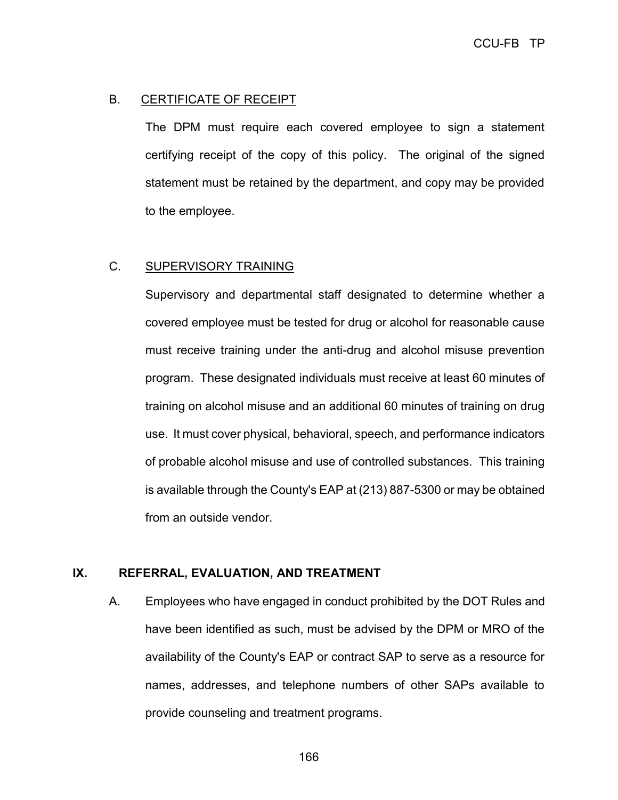### B. CERTIFICATE OF RECEIPT

The DPM must require each covered employee to sign a statement certifying receipt of the copy of this policy. The original of the signed statement must be retained by the department, and copy may be provided to the employee.

### C. SUPERVISORY TRAINING

Supervisory and departmental staff designated to determine whether a covered employee must be tested for drug or alcohol for reasonable cause must receive training under the anti-drug and alcohol misuse prevention program. These designated individuals must receive at least 60 minutes of training on alcohol misuse and an additional 60 minutes of training on drug use. It must cover physical, behavioral, speech, and performance indicators of probable alcohol misuse and use of controlled substances. This training is available through the County's EAP at (213) 887-5300 or may be obtained from an outside vendor.

#### **IX. REFERRAL, EVALUATION, AND TREATMENT**

A. Employees who have engaged in conduct prohibited by the DOT Rules and have been identified as such, must be advised by the DPM or MRO of the availability of the County's EAP or contract SAP to serve as a resource for names, addresses, and telephone numbers of other SAPs available to provide counseling and treatment programs.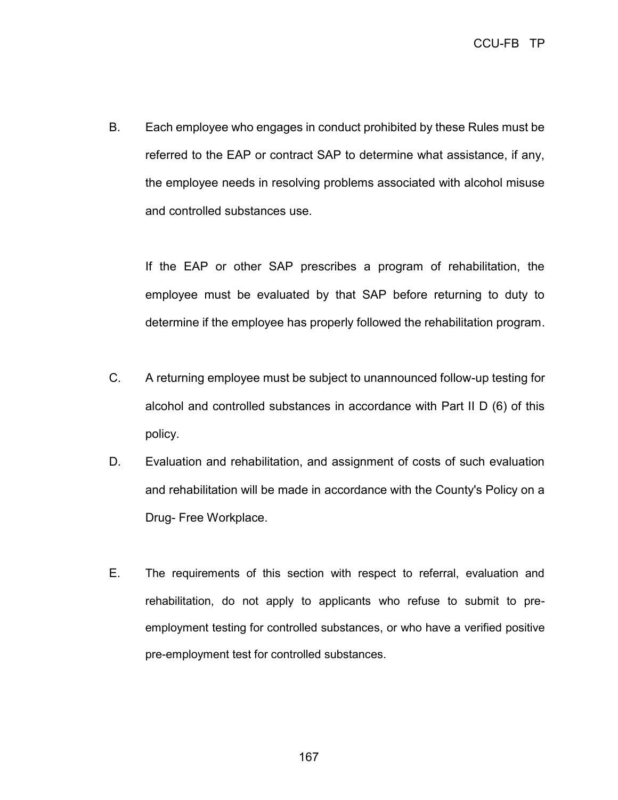B. Each employee who engages in conduct prohibited by these Rules must be referred to the EAP or contract SAP to determine what assistance, if any, the employee needs in resolving problems associated with alcohol misuse and controlled substances use.

If the EAP or other SAP prescribes a program of rehabilitation, the employee must be evaluated by that SAP before returning to duty to determine if the employee has properly followed the rehabilitation program.

- C. A returning employee must be subject to unannounced follow-up testing for alcohol and controlled substances in accordance with Part II D (6) of this policy.
- D. Evaluation and rehabilitation, and assignment of costs of such evaluation and rehabilitation will be made in accordance with the County's Policy on a Drug- Free Workplace.
- E. The requirements of this section with respect to referral, evaluation and rehabilitation, do not apply to applicants who refuse to submit to preemployment testing for controlled substances, or who have a verified positive pre-employment test for controlled substances.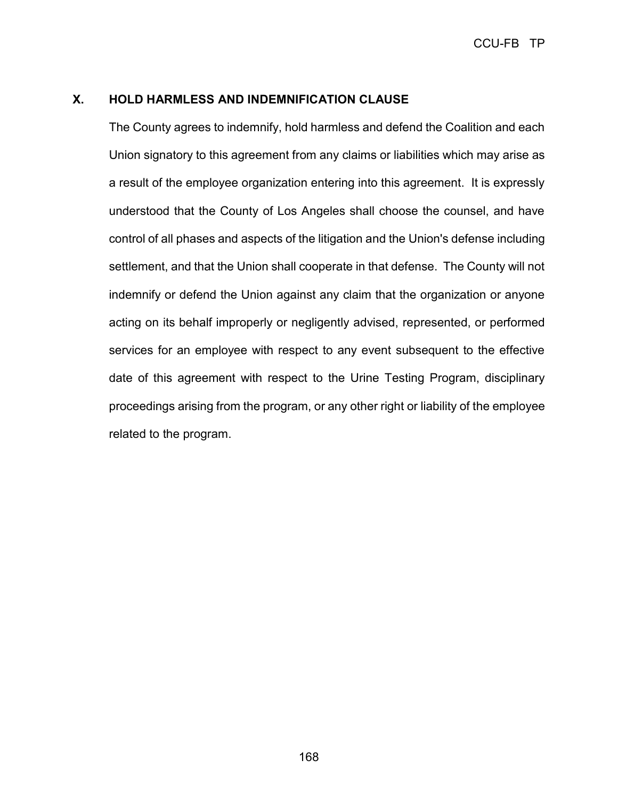### **X. HOLD HARMLESS AND INDEMNIFICATION CLAUSE**

The County agrees to indemnify, hold harmless and defend the Coalition and each Union signatory to this agreement from any claims or liabilities which may arise as a result of the employee organization entering into this agreement. It is expressly understood that the County of Los Angeles shall choose the counsel, and have control of all phases and aspects of the litigation and the Union's defense including settlement, and that the Union shall cooperate in that defense. The County will not indemnify or defend the Union against any claim that the organization or anyone acting on its behalf improperly or negligently advised, represented, or performed services for an employee with respect to any event subsequent to the effective date of this agreement with respect to the Urine Testing Program, disciplinary proceedings arising from the program, or any other right or liability of the employee related to the program.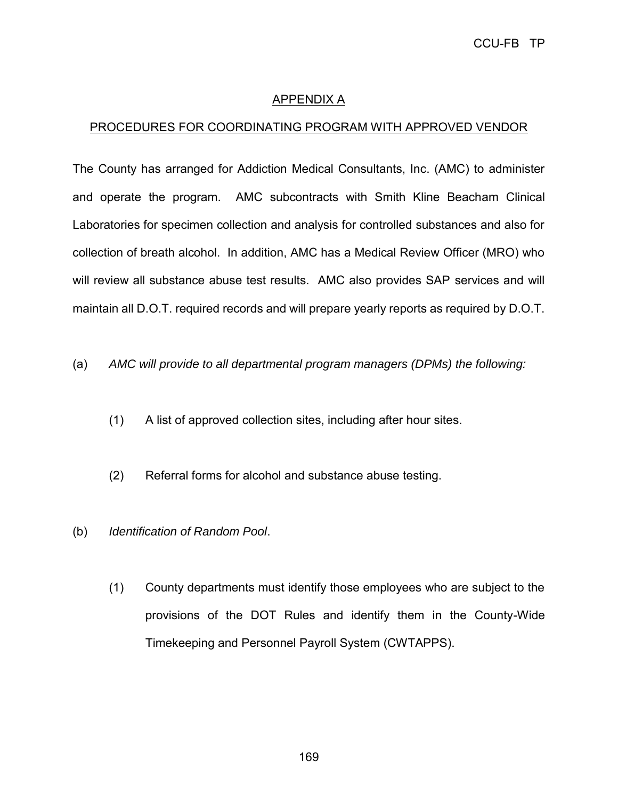## APPENDIX A

## PROCEDURES FOR COORDINATING PROGRAM WITH APPROVED VENDOR

The County has arranged for Addiction Medical Consultants, Inc. (AMC) to administer and operate the program. AMC subcontracts with Smith Kline Beacham Clinical Laboratories for specimen collection and analysis for controlled substances and also for collection of breath alcohol. In addition, AMC has a Medical Review Officer (MRO) who will review all substance abuse test results. AMC also provides SAP services and will maintain all D.O.T. required records and will prepare yearly reports as required by D.O.T.

- (a) *AMC will provide to all departmental program managers (DPMs) the following:*
	- (1) A list of approved collection sites, including after hour sites.
	- (2) Referral forms for alcohol and substance abuse testing.
- (b) *Identification of Random Pool*.
	- (1) County departments must identify those employees who are subject to the provisions of the DOT Rules and identify them in the County-Wide Timekeeping and Personnel Payroll System (CWTAPPS).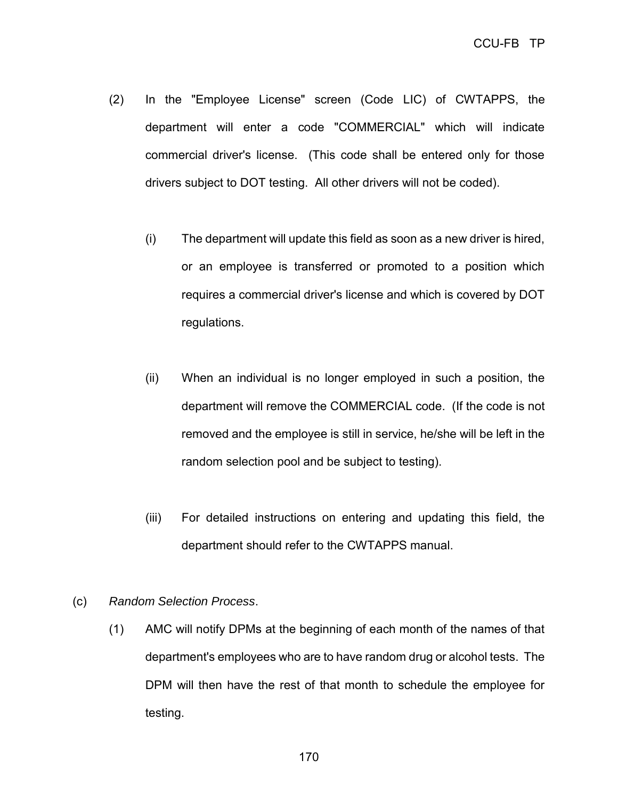- (2) In the "Employee License" screen (Code LIC) of CWTAPPS, the department will enter a code "COMMERCIAL" which will indicate commercial driver's license. (This code shall be entered only for those drivers subject to DOT testing. All other drivers will not be coded).
	- (i) The department will update this field as soon as a new driver is hired, or an employee is transferred or promoted to a position which requires a commercial driver's license and which is covered by DOT regulations.
	- (ii) When an individual is no longer employed in such a position, the department will remove the COMMERCIAL code. (If the code is not removed and the employee is still in service, he/she will be left in the random selection pool and be subject to testing).
	- (iii) For detailed instructions on entering and updating this field, the department should refer to the CWTAPPS manual.

#### (c) *Random Selection Process*.

(1) AMC will notify DPMs at the beginning of each month of the names of that department's employees who are to have random drug or alcohol tests. The DPM will then have the rest of that month to schedule the employee for testing.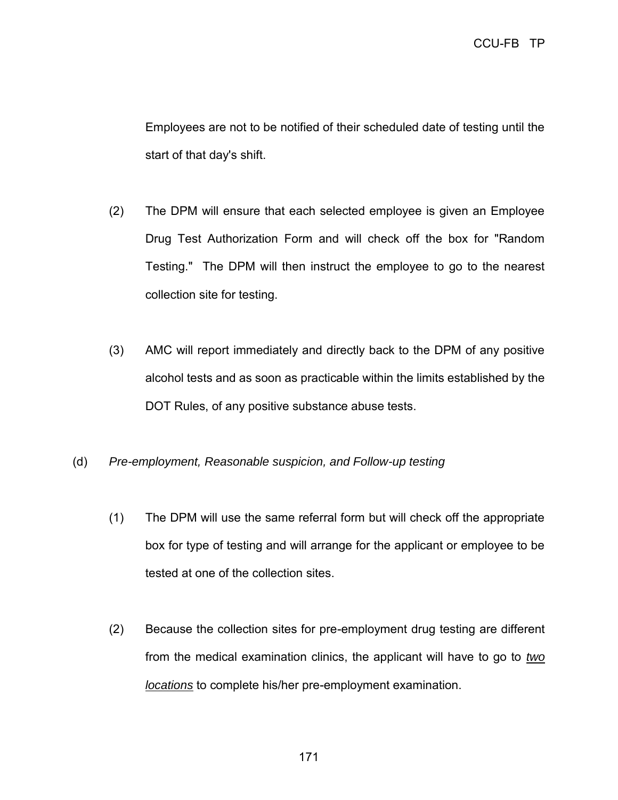Employees are not to be notified of their scheduled date of testing until the start of that day's shift.

- (2) The DPM will ensure that each selected employee is given an Employee Drug Test Authorization Form and will check off the box for "Random Testing." The DPM will then instruct the employee to go to the nearest collection site for testing.
- (3) AMC will report immediately and directly back to the DPM of any positive alcohol tests and as soon as practicable within the limits established by the DOT Rules, of any positive substance abuse tests.
- (d) *Pre-employment, Reasonable suspicion, and Follow-up testing*
	- (1) The DPM will use the same referral form but will check off the appropriate box for type of testing and will arrange for the applicant or employee to be tested at one of the collection sites.
	- (2) Because the collection sites for pre-employment drug testing are different from the medical examination clinics, the applicant will have to go to *two locations* to complete his/her pre-employment examination.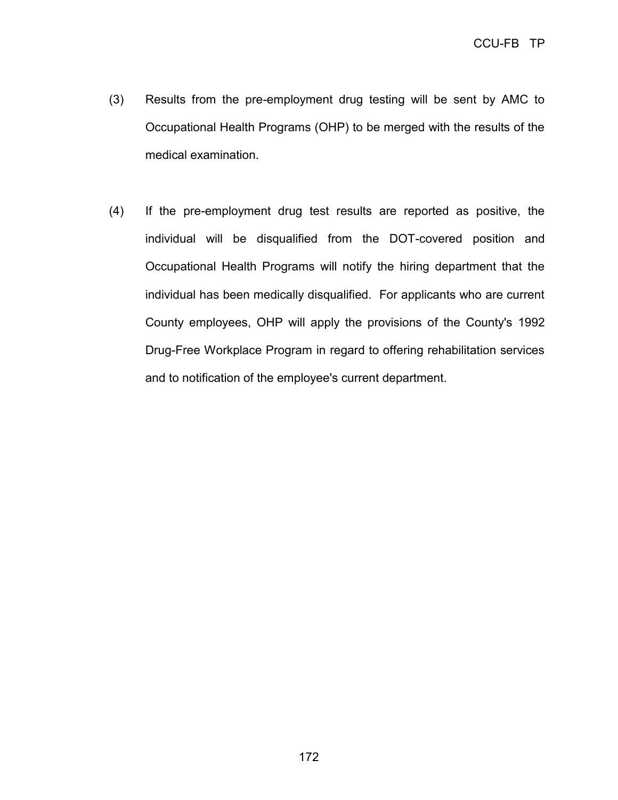- (3) Results from the pre-employment drug testing will be sent by AMC to Occupational Health Programs (OHP) to be merged with the results of the medical examination.
- (4) If the pre-employment drug test results are reported as positive, the individual will be disqualified from the DOT-covered position and Occupational Health Programs will notify the hiring department that the individual has been medically disqualified. For applicants who are current County employees, OHP will apply the provisions of the County's 1992 Drug-Free Workplace Program in regard to offering rehabilitation services and to notification of the employee's current department.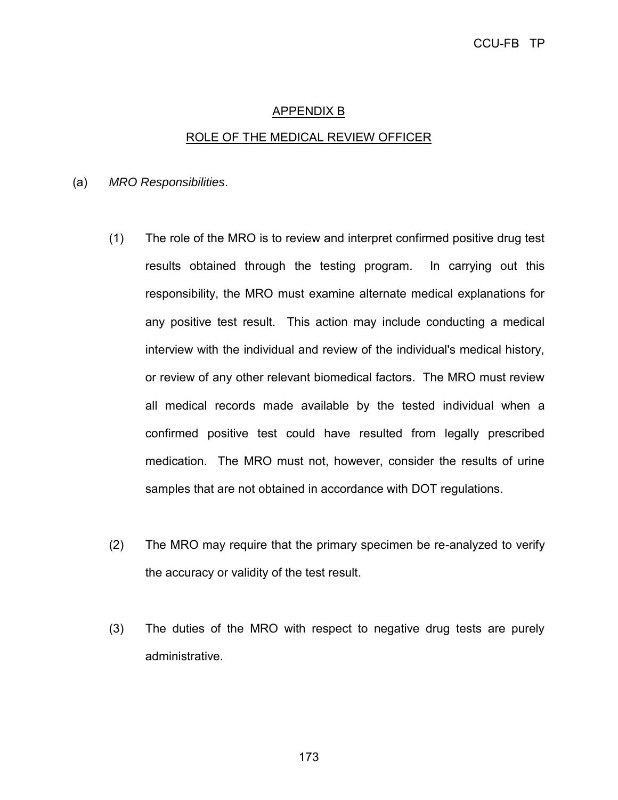# APPENDIX B ROLE OF THE MEDICAL REVIEW OFFICER

(a) *MRO Responsibilities*.

- (1) The role of the MRO is to review and interpret confirmed positive drug test results obtained through the testing program. In carrying out this responsibility, the MRO must examine alternate medical explanations for any positive test result. This action may include conducting a medical interview with the individual and review of the individual's medical history, or review of any other relevant biomedical factors. The MRO must review all medical records made available by the tested individual when a confirmed positive test could have resulted from legally prescribed medication. The MRO must not, however, consider the results of urine samples that are not obtained in accordance with DOT regulations.
- (2) The MRO may require that the primary specimen be re-analyzed to verify the accuracy or validity of the test result.
- (3) The duties of the MRO with respect to negative drug tests are purely administrative.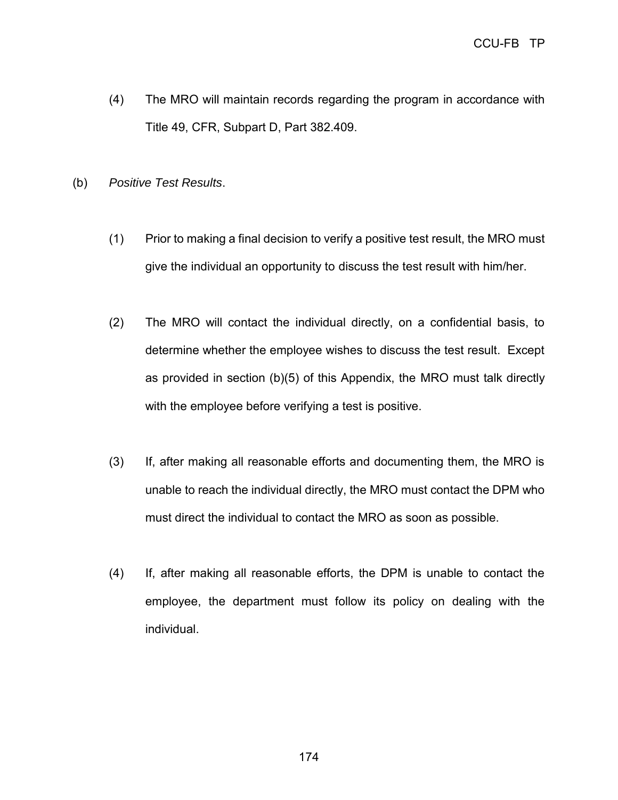- (4) The MRO will maintain records regarding the program in accordance with Title 49, CFR, Subpart D, Part 382.409.
- (b) *Positive Test Results*.
	- (1) Prior to making a final decision to verify a positive test result, the MRO must give the individual an opportunity to discuss the test result with him/her.
	- (2) The MRO will contact the individual directly, on a confidential basis, to determine whether the employee wishes to discuss the test result. Except as provided in section (b)(5) of this Appendix, the MRO must talk directly with the employee before verifying a test is positive.
	- (3) If, after making all reasonable efforts and documenting them, the MRO is unable to reach the individual directly, the MRO must contact the DPM who must direct the individual to contact the MRO as soon as possible.
	- (4) If, after making all reasonable efforts, the DPM is unable to contact the employee, the department must follow its policy on dealing with the individual.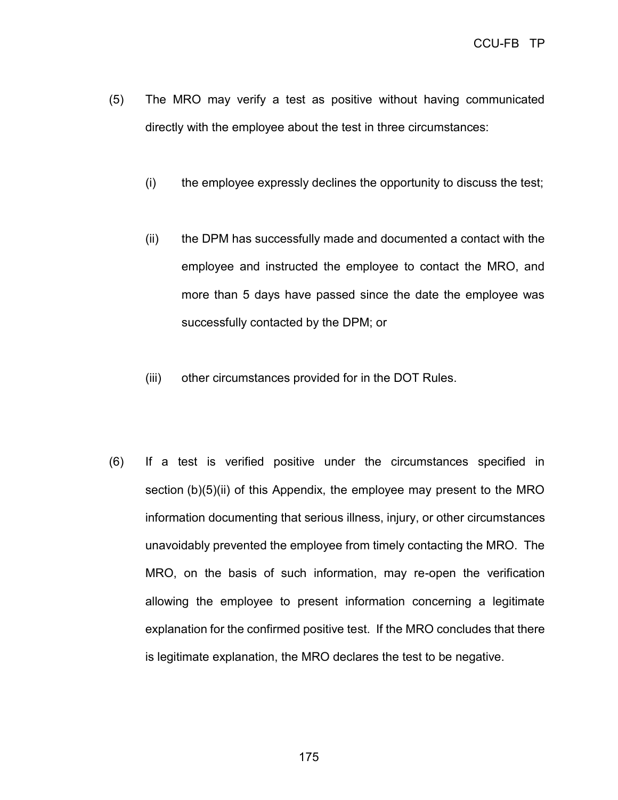- (5) The MRO may verify a test as positive without having communicated directly with the employee about the test in three circumstances:
	- (i) the employee expressly declines the opportunity to discuss the test;
	- (ii) the DPM has successfully made and documented a contact with the employee and instructed the employee to contact the MRO, and more than 5 days have passed since the date the employee was successfully contacted by the DPM; or
	- (iii) other circumstances provided for in the DOT Rules.
- (6) If a test is verified positive under the circumstances specified in section (b)(5)(ii) of this Appendix, the employee may present to the MRO information documenting that serious illness, injury, or other circumstances unavoidably prevented the employee from timely contacting the MRO. The MRO, on the basis of such information, may re-open the verification allowing the employee to present information concerning a legitimate explanation for the confirmed positive test. If the MRO concludes that there is legitimate explanation, the MRO declares the test to be negative.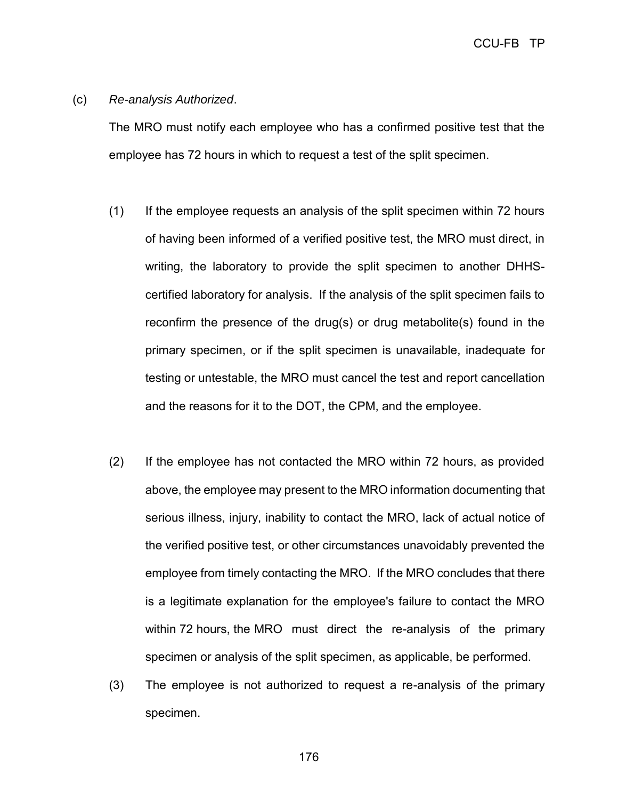CCU-FB TP

(c) *Re-analysis Authorized*.

The MRO must notify each employee who has a confirmed positive test that the employee has 72 hours in which to request a test of the split specimen.

- (1) If the employee requests an analysis of the split specimen within 72 hours of having been informed of a verified positive test, the MRO must direct, in writing, the laboratory to provide the split specimen to another DHHScertified laboratory for analysis. If the analysis of the split specimen fails to reconfirm the presence of the drug(s) or drug metabolite(s) found in the primary specimen, or if the split specimen is unavailable, inadequate for testing or untestable, the MRO must cancel the test and report cancellation and the reasons for it to the DOT, the CPM, and the employee.
- (2) If the employee has not contacted the MRO within 72 hours, as provided above, the employee may present to the MRO information documenting that serious illness, injury, inability to contact the MRO, lack of actual notice of the verified positive test, or other circumstances unavoidably prevented the employee from timely contacting the MRO. If the MRO concludes that there is a legitimate explanation for the employee's failure to contact the MRO within 72 hours, the MRO must direct the re-analysis of the primary specimen or analysis of the split specimen, as applicable, be performed.
- (3) The employee is not authorized to request a re-analysis of the primary specimen.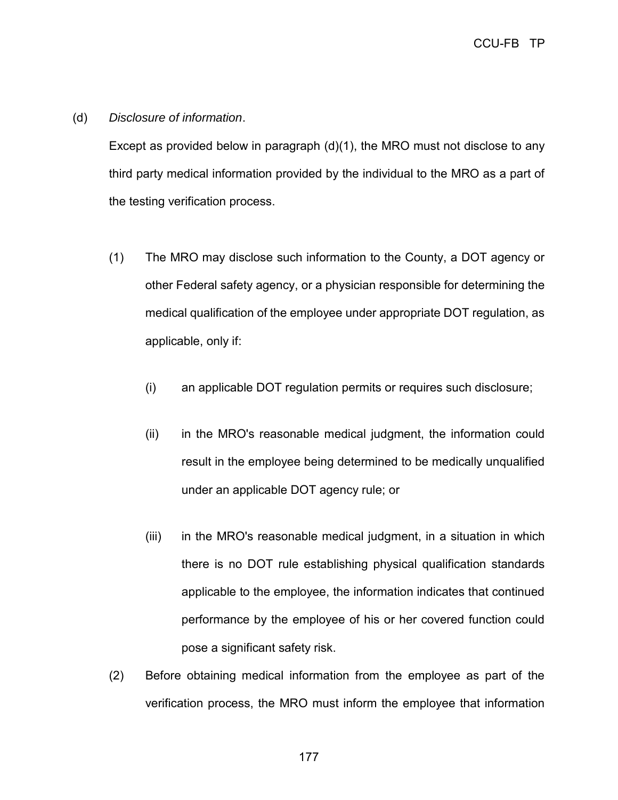### (d) *Disclosure of information*.

Except as provided below in paragraph  $(d)(1)$ , the MRO must not disclose to any third party medical information provided by the individual to the MRO as a part of the testing verification process.

- (1) The MRO may disclose such information to the County, a DOT agency or other Federal safety agency, or a physician responsible for determining the medical qualification of the employee under appropriate DOT regulation, as applicable, only if:
	- (i) an applicable DOT regulation permits or requires such disclosure;
	- (ii) in the MRO's reasonable medical judgment, the information could result in the employee being determined to be medically unqualified under an applicable DOT agency rule; or
	- (iii) in the MRO's reasonable medical judgment, in a situation in which there is no DOT rule establishing physical qualification standards applicable to the employee, the information indicates that continued performance by the employee of his or her covered function could pose a significant safety risk.
- (2) Before obtaining medical information from the employee as part of the verification process, the MRO must inform the employee that information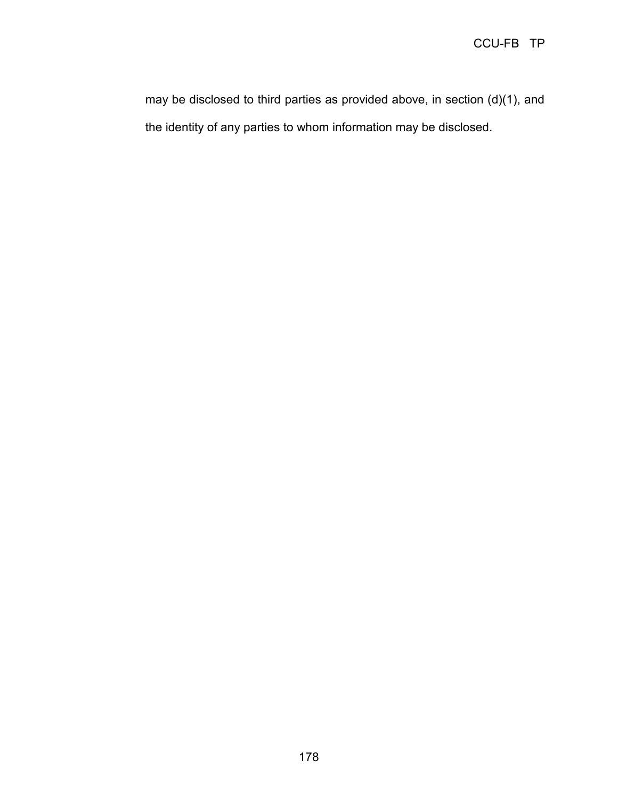may be disclosed to third parties as provided above, in section (d)(1), and the identity of any parties to whom information may be disclosed.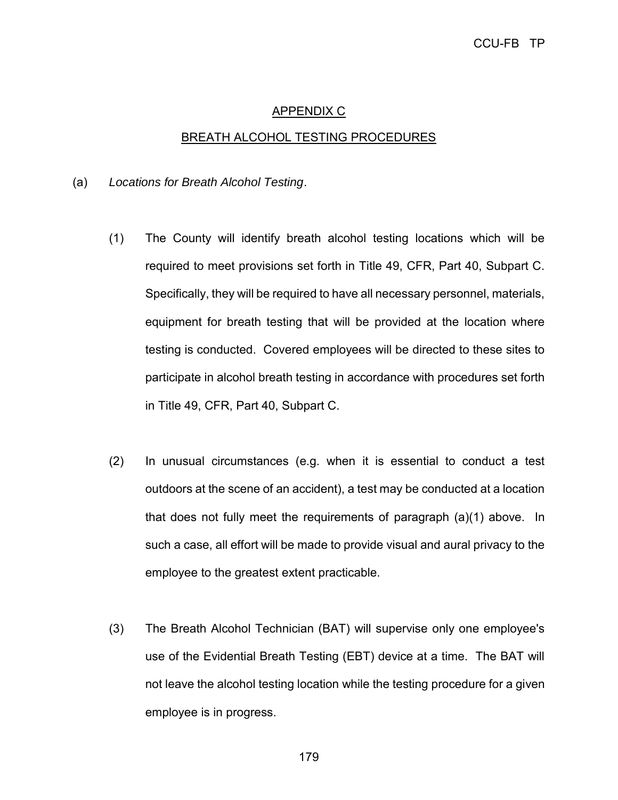## APPENDIX C

#### BREATH ALCOHOL TESTING PROCEDURES

#### (a) *Locations for Breath Alcohol Testing*.

- (1) The County will identify breath alcohol testing locations which will be required to meet provisions set forth in Title 49, CFR, Part 40, Subpart C. Specifically, they will be required to have all necessary personnel, materials, equipment for breath testing that will be provided at the location where testing is conducted. Covered employees will be directed to these sites to participate in alcohol breath testing in accordance with procedures set forth in Title 49, CFR, Part 40, Subpart C.
- (2) In unusual circumstances (e.g. when it is essential to conduct a test outdoors at the scene of an accident), a test may be conducted at a location that does not fully meet the requirements of paragraph (a)(1) above. In such a case, all effort will be made to provide visual and aural privacy to the employee to the greatest extent practicable.
- (3) The Breath Alcohol Technician (BAT) will supervise only one employee's use of the Evidential Breath Testing (EBT) device at a time. The BAT will not leave the alcohol testing location while the testing procedure for a given employee is in progress.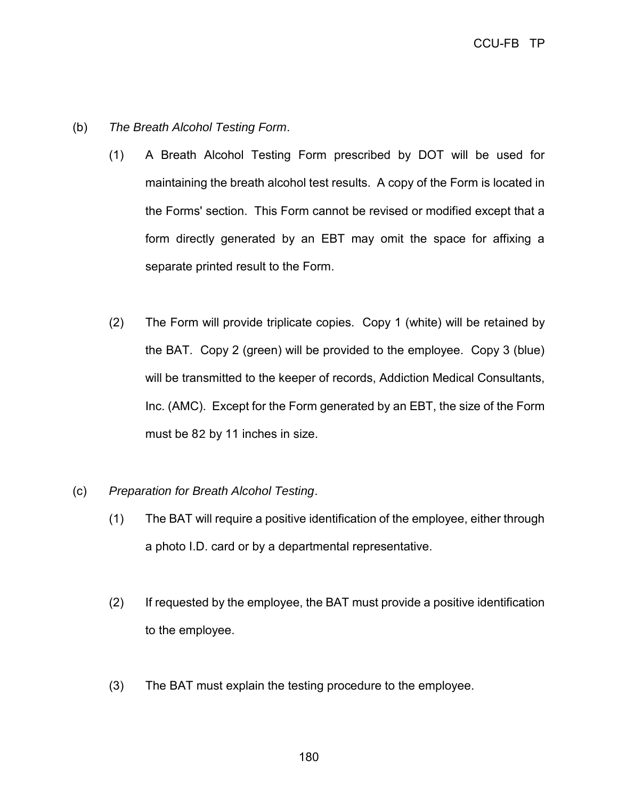- (b) *The Breath Alcohol Testing Form*.
	- (1) A Breath Alcohol Testing Form prescribed by DOT will be used for maintaining the breath alcohol test results. A copy of the Form is located in the Forms' section. This Form cannot be revised or modified except that a form directly generated by an EBT may omit the space for affixing a separate printed result to the Form.
	- (2) The Form will provide triplicate copies. Copy 1 (white) will be retained by the BAT. Copy 2 (green) will be provided to the employee. Copy 3 (blue) will be transmitted to the keeper of records, Addiction Medical Consultants, Inc. (AMC). Except for the Form generated by an EBT, the size of the Form must be 82 by 11 inches in size.
- (c) *Preparation for Breath Alcohol Testing*.
	- (1) The BAT will require a positive identification of the employee, either through a photo I.D. card or by a departmental representative.
	- (2) If requested by the employee, the BAT must provide a positive identification to the employee.
	- (3) The BAT must explain the testing procedure to the employee.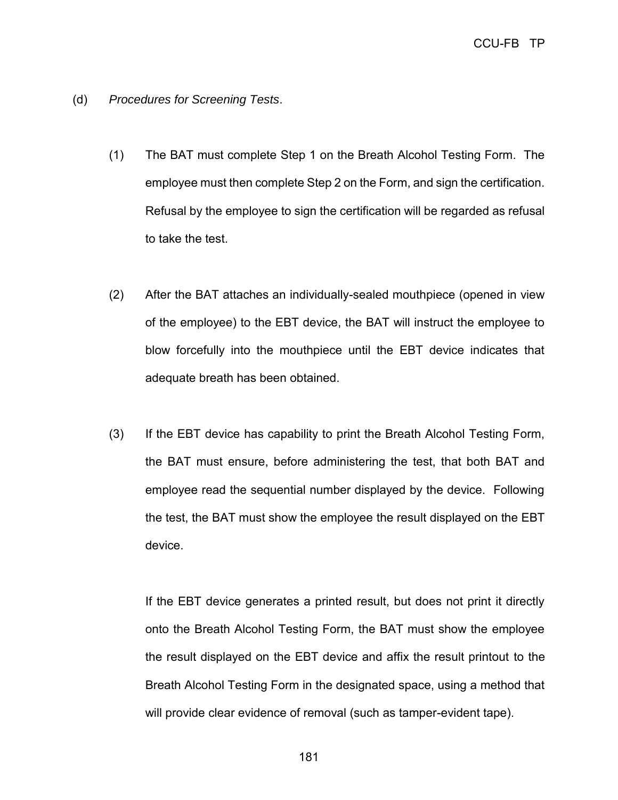- (d) *Procedures for Screening Tests*.
	- (1) The BAT must complete Step 1 on the Breath Alcohol Testing Form. The employee must then complete Step 2 on the Form, and sign the certification. Refusal by the employee to sign the certification will be regarded as refusal to take the test.
	- (2) After the BAT attaches an individually-sealed mouthpiece (opened in view of the employee) to the EBT device, the BAT will instruct the employee to blow forcefully into the mouthpiece until the EBT device indicates that adequate breath has been obtained.
	- (3) If the EBT device has capability to print the Breath Alcohol Testing Form, the BAT must ensure, before administering the test, that both BAT and employee read the sequential number displayed by the device. Following the test, the BAT must show the employee the result displayed on the EBT device.

If the EBT device generates a printed result, but does not print it directly onto the Breath Alcohol Testing Form, the BAT must show the employee the result displayed on the EBT device and affix the result printout to the Breath Alcohol Testing Form in the designated space, using a method that will provide clear evidence of removal (such as tamper-evident tape).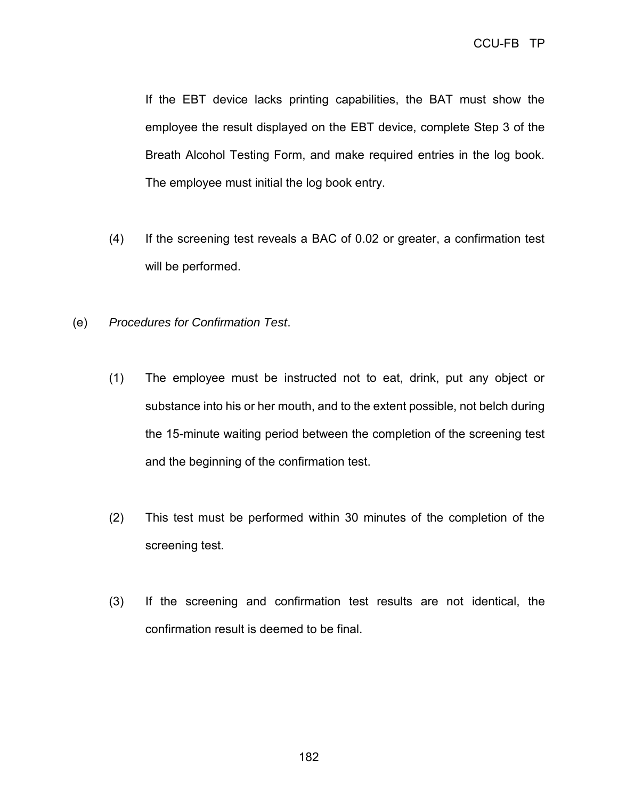If the EBT device lacks printing capabilities, the BAT must show the employee the result displayed on the EBT device, complete Step 3 of the Breath Alcohol Testing Form, and make required entries in the log book. The employee must initial the log book entry.

- (4) If the screening test reveals a BAC of 0.02 or greater, a confirmation test will be performed.
- (e) *Procedures for Confirmation Test*.
	- (1) The employee must be instructed not to eat, drink, put any object or substance into his or her mouth, and to the extent possible, not belch during the 15-minute waiting period between the completion of the screening test and the beginning of the confirmation test.
	- (2) This test must be performed within 30 minutes of the completion of the screening test.
	- (3) If the screening and confirmation test results are not identical, the confirmation result is deemed to be final.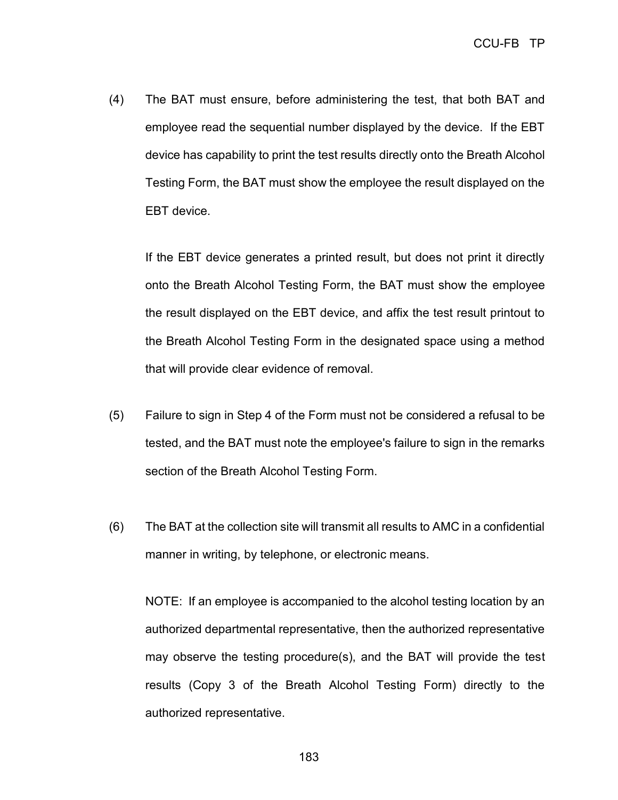(4) The BAT must ensure, before administering the test, that both BAT and employee read the sequential number displayed by the device. If the EBT device has capability to print the test results directly onto the Breath Alcohol Testing Form, the BAT must show the employee the result displayed on the EBT device.

If the EBT device generates a printed result, but does not print it directly onto the Breath Alcohol Testing Form, the BAT must show the employee the result displayed on the EBT device, and affix the test result printout to the Breath Alcohol Testing Form in the designated space using a method that will provide clear evidence of removal.

- (5) Failure to sign in Step 4 of the Form must not be considered a refusal to be tested, and the BAT must note the employee's failure to sign in the remarks section of the Breath Alcohol Testing Form.
- (6) The BAT at the collection site will transmit all results to AMC in a confidential manner in writing, by telephone, or electronic means.

NOTE: If an employee is accompanied to the alcohol testing location by an authorized departmental representative, then the authorized representative may observe the testing procedure(s), and the BAT will provide the test results (Copy 3 of the Breath Alcohol Testing Form) directly to the authorized representative.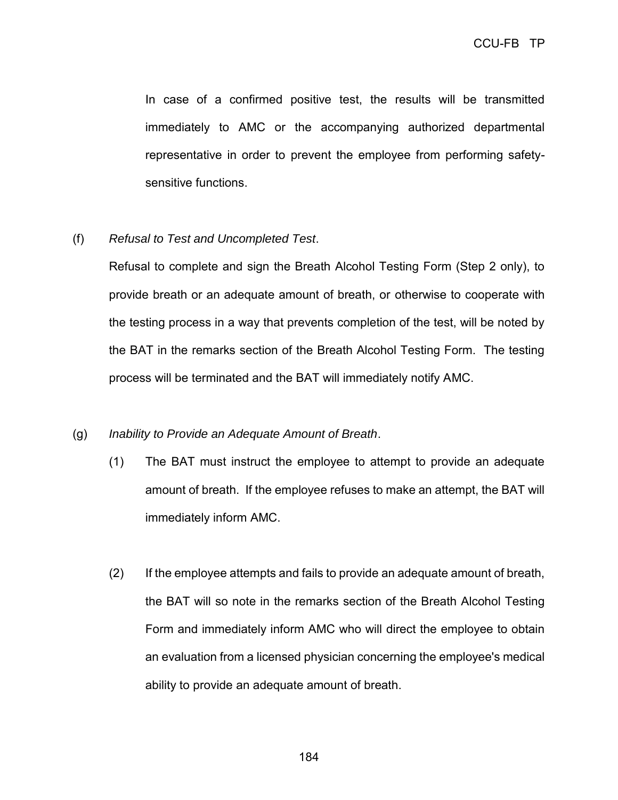In case of a confirmed positive test, the results will be transmitted immediately to AMC or the accompanying authorized departmental representative in order to prevent the employee from performing safetysensitive functions.

(f) *Refusal to Test and Uncompleted Test*.

Refusal to complete and sign the Breath Alcohol Testing Form (Step 2 only), to provide breath or an adequate amount of breath, or otherwise to cooperate with the testing process in a way that prevents completion of the test, will be noted by the BAT in the remarks section of the Breath Alcohol Testing Form. The testing process will be terminated and the BAT will immediately notify AMC.

## (g) *Inability to Provide an Adequate Amount of Breath*.

- (1) The BAT must instruct the employee to attempt to provide an adequate amount of breath. If the employee refuses to make an attempt, the BAT will immediately inform AMC.
- (2) If the employee attempts and fails to provide an adequate amount of breath, the BAT will so note in the remarks section of the Breath Alcohol Testing Form and immediately inform AMC who will direct the employee to obtain an evaluation from a licensed physician concerning the employee's medical ability to provide an adequate amount of breath.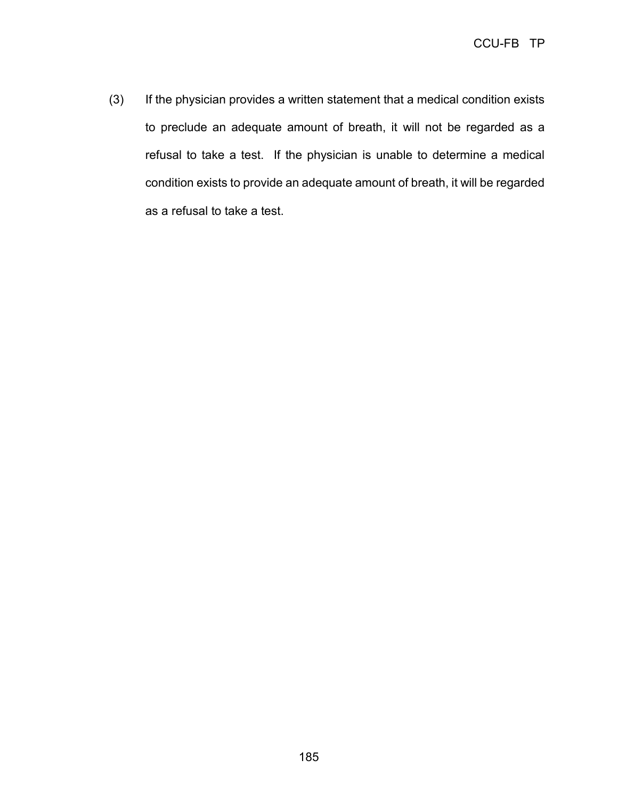(3) If the physician provides a written statement that a medical condition exists to preclude an adequate amount of breath, it will not be regarded as a refusal to take a test. If the physician is unable to determine a medical condition exists to provide an adequate amount of breath, it will be regarded as a refusal to take a test.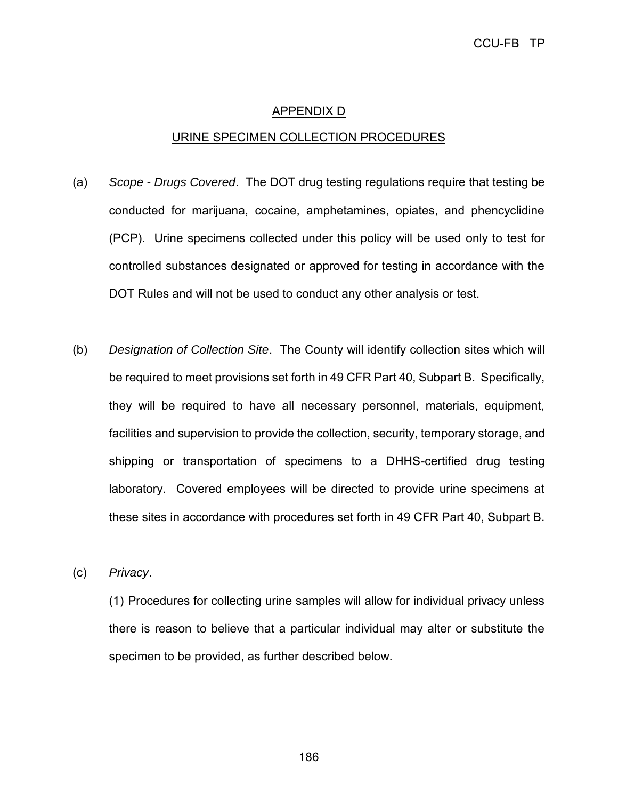### APPENDIX D

#### URINE SPECIMEN COLLECTION PROCEDURES

- (a) *Scope - Drugs Covered*. The DOT drug testing regulations require that testing be conducted for marijuana, cocaine, amphetamines, opiates, and phencyclidine (PCP). Urine specimens collected under this policy will be used only to test for controlled substances designated or approved for testing in accordance with the DOT Rules and will not be used to conduct any other analysis or test.
- (b) *Designation of Collection Site*. The County will identify collection sites which will be required to meet provisions set forth in 49 CFR Part 40, Subpart B. Specifically, they will be required to have all necessary personnel, materials, equipment, facilities and supervision to provide the collection, security, temporary storage, and shipping or transportation of specimens to a DHHS-certified drug testing laboratory. Covered employees will be directed to provide urine specimens at these sites in accordance with procedures set forth in 49 CFR Part 40, Subpart B.

(c) *Privacy*.

(1) Procedures for collecting urine samples will allow for individual privacy unless there is reason to believe that a particular individual may alter or substitute the specimen to be provided, as further described below.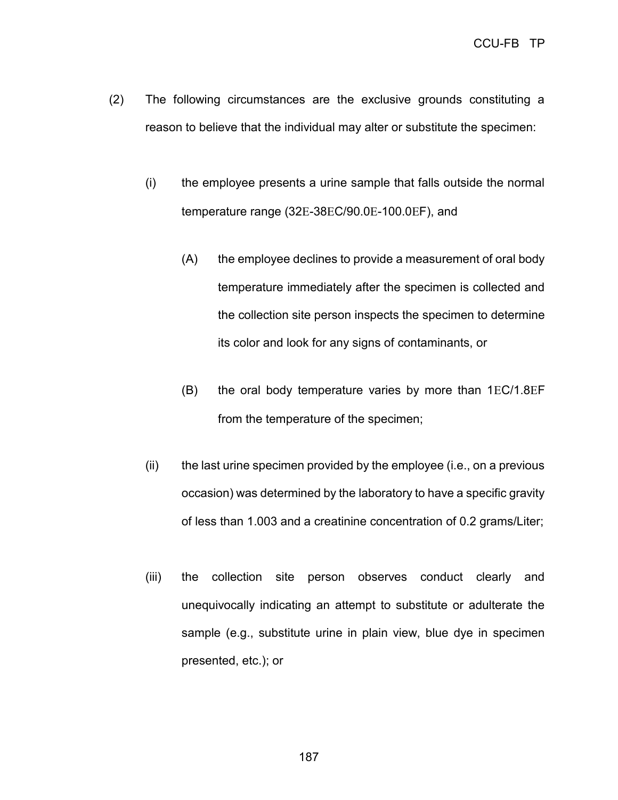- (2) The following circumstances are the exclusive grounds constituting a reason to believe that the individual may alter or substitute the specimen:
	- (i) the employee presents a urine sample that falls outside the normal temperature range (32E-38EC/90.0E-100.0EF), and
		- (A) the employee declines to provide a measurement of oral body temperature immediately after the specimen is collected and the collection site person inspects the specimen to determine its color and look for any signs of contaminants, or
		- $(B)$  the oral body temperature varies by more than  $1EC/1.8EF$ from the temperature of the specimen;
	- (ii) the last urine specimen provided by the employee (i.e., on a previous occasion) was determined by the laboratory to have a specific gravity of less than 1.003 and a creatinine concentration of 0.2 grams/Liter;
	- (iii) the collection site person observes conduct clearly and unequivocally indicating an attempt to substitute or adulterate the sample (e.g., substitute urine in plain view, blue dye in specimen presented, etc.); or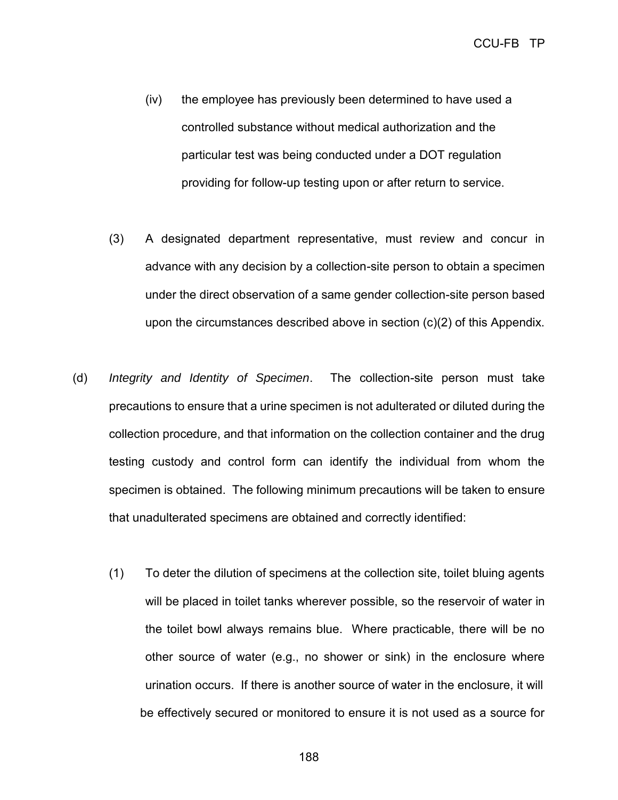- (iv) the employee has previously been determined to have used a controlled substance without medical authorization and the particular test was being conducted under a DOT regulation providing for follow-up testing upon or after return to service.
- (3) A designated department representative, must review and concur in advance with any decision by a collection-site person to obtain a specimen under the direct observation of a same gender collection-site person based upon the circumstances described above in section (c)(2) of this Appendix.
- (d) *Integrity and Identity of Specimen*. The collection-site person must take precautions to ensure that a urine specimen is not adulterated or diluted during the collection procedure, and that information on the collection container and the drug testing custody and control form can identify the individual from whom the specimen is obtained. The following minimum precautions will be taken to ensure that unadulterated specimens are obtained and correctly identified:
	- (1) To deter the dilution of specimens at the collection site, toilet bluing agents will be placed in toilet tanks wherever possible, so the reservoir of water in the toilet bowl always remains blue. Where practicable, there will be no other source of water (e.g., no shower or sink) in the enclosure where urination occurs. If there is another source of water in the enclosure, it will be effectively secured or monitored to ensure it is not used as a source for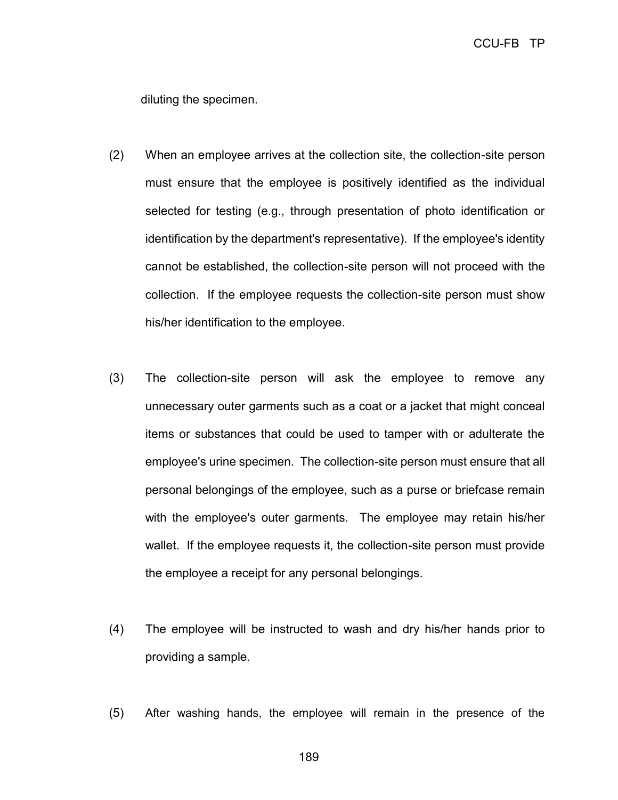diluting the specimen.

- (2) When an employee arrives at the collection site, the collection-site person must ensure that the employee is positively identified as the individual selected for testing (e.g., through presentation of photo identification or identification by the department's representative). If the employee's identity cannot be established, the collection-site person will not proceed with the collection. If the employee requests the collection-site person must show his/her identification to the employee.
- (3) The collection-site person will ask the employee to remove any unnecessary outer garments such as a coat or a jacket that might conceal items or substances that could be used to tamper with or adulterate the employee's urine specimen. The collection-site person must ensure that all personal belongings of the employee, such as a purse or briefcase remain with the employee's outer garments. The employee may retain his/her wallet. If the employee requests it, the collection-site person must provide the employee a receipt for any personal belongings.
- (4) The employee will be instructed to wash and dry his/her hands prior to providing a sample.
- (5) After washing hands, the employee will remain in the presence of the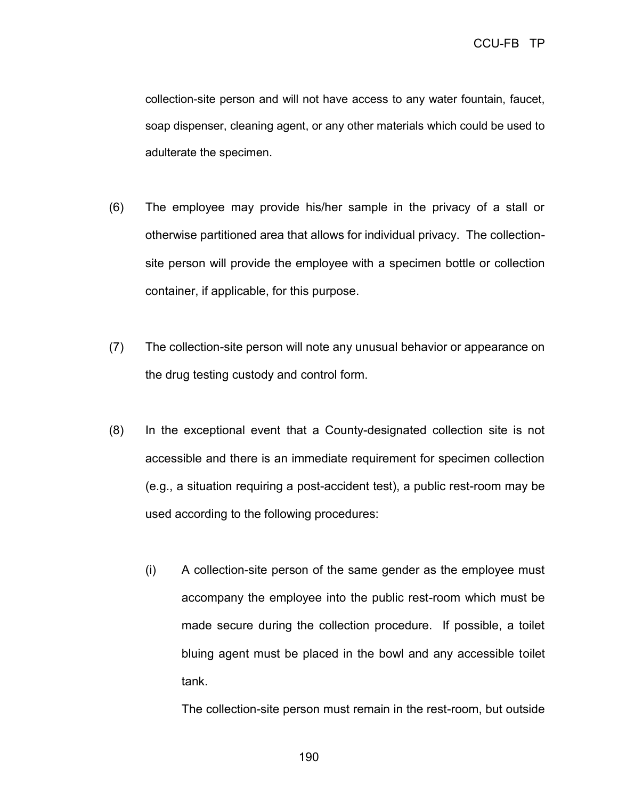collection-site person and will not have access to any water fountain, faucet, soap dispenser, cleaning agent, or any other materials which could be used to adulterate the specimen.

- (6) The employee may provide his/her sample in the privacy of a stall or otherwise partitioned area that allows for individual privacy. The collectionsite person will provide the employee with a specimen bottle or collection container, if applicable, for this purpose.
- (7) The collection-site person will note any unusual behavior or appearance on the drug testing custody and control form.
- (8) In the exceptional event that a County-designated collection site is not accessible and there is an immediate requirement for specimen collection (e.g., a situation requiring a post-accident test), a public rest-room may be used according to the following procedures:
	- (i) A collection-site person of the same gender as the employee must accompany the employee into the public rest-room which must be made secure during the collection procedure. If possible, a toilet bluing agent must be placed in the bowl and any accessible toilet tank.

The collection-site person must remain in the rest-room, but outside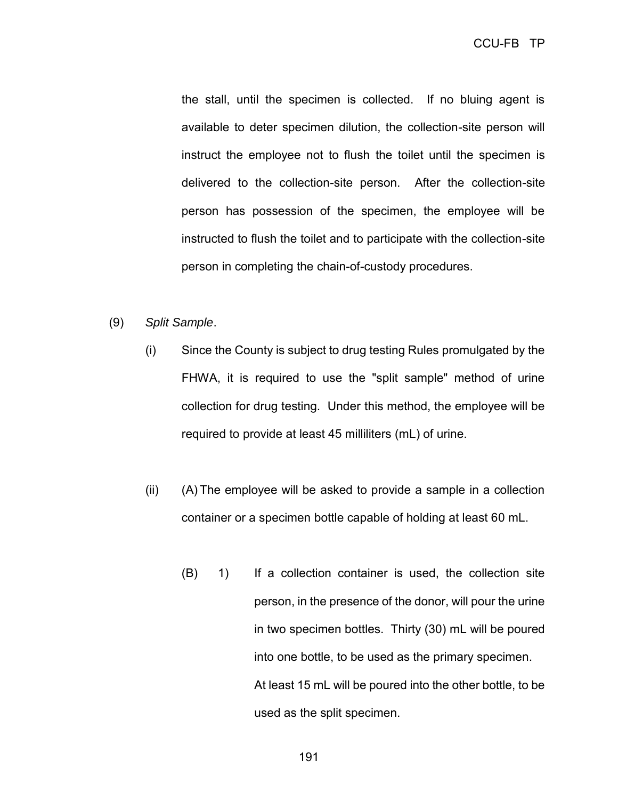the stall, until the specimen is collected. If no bluing agent is available to deter specimen dilution, the collection-site person will instruct the employee not to flush the toilet until the specimen is delivered to the collection-site person. After the collection-site person has possession of the specimen, the employee will be instructed to flush the toilet and to participate with the collection-site person in completing the chain-of-custody procedures.

## (9) *Split Sample*.

- (i) Since the County is subject to drug testing Rules promulgated by the FHWA, it is required to use the "split sample" method of urine collection for drug testing. Under this method, the employee will be required to provide at least 45 milliliters (mL) of urine.
- (ii) (A) The employee will be asked to provide a sample in a collection container or a specimen bottle capable of holding at least 60 mL.
	- (B) 1) If a collection container is used, the collection site person, in the presence of the donor, will pour the urine in two specimen bottles. Thirty (30) mL will be poured into one bottle, to be used as the primary specimen. At least 15 mL will be poured into the other bottle, to be used as the split specimen.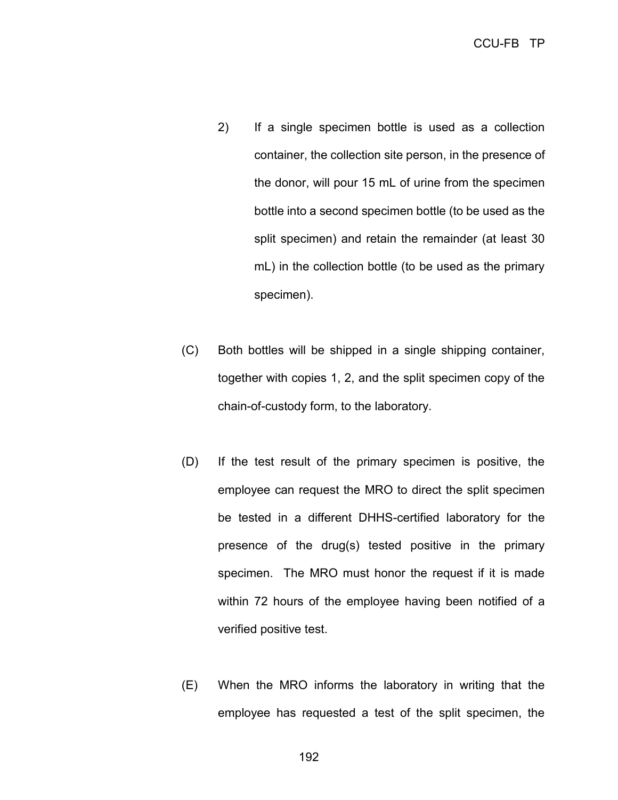- 2) If a single specimen bottle is used as a collection container, the collection site person, in the presence of the donor, will pour 15 mL of urine from the specimen bottle into a second specimen bottle (to be used as the split specimen) and retain the remainder (at least 30 mL) in the collection bottle (to be used as the primary specimen).
- (C) Both bottles will be shipped in a single shipping container, together with copies 1, 2, and the split specimen copy of the chain-of-custody form, to the laboratory.
- (D) If the test result of the primary specimen is positive, the employee can request the MRO to direct the split specimen be tested in a different DHHS-certified laboratory for the presence of the drug(s) tested positive in the primary specimen. The MRO must honor the request if it is made within 72 hours of the employee having been notified of a verified positive test.
- (E) When the MRO informs the laboratory in writing that the employee has requested a test of the split specimen, the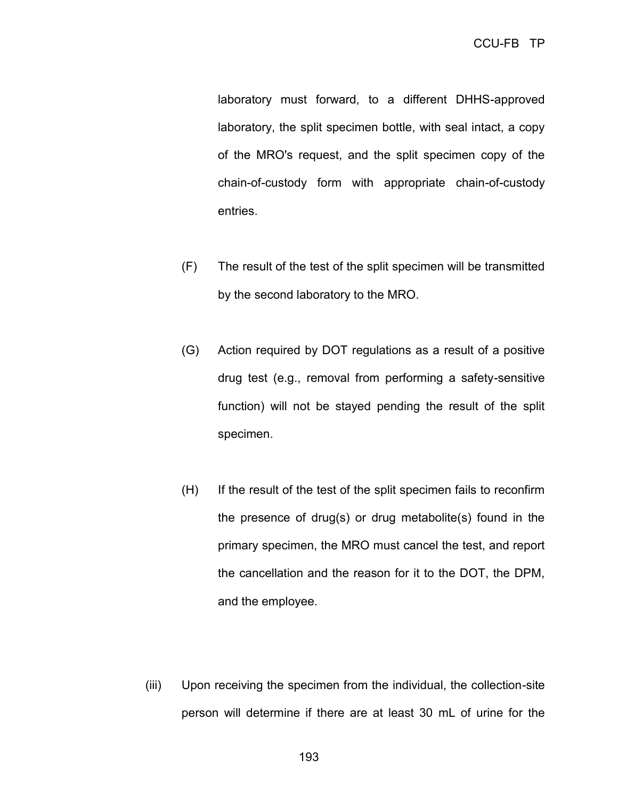laboratory must forward, to a different DHHS-approved laboratory, the split specimen bottle, with seal intact, a copy of the MRO's request, and the split specimen copy of the chain-of-custody form with appropriate chain-of-custody entries.

- (F) The result of the test of the split specimen will be transmitted by the second laboratory to the MRO.
- (G) Action required by DOT regulations as a result of a positive drug test (e.g., removal from performing a safety-sensitive function) will not be stayed pending the result of the split specimen.
- (H) If the result of the test of the split specimen fails to reconfirm the presence of drug(s) or drug metabolite(s) found in the primary specimen, the MRO must cancel the test, and report the cancellation and the reason for it to the DOT, the DPM, and the employee.
- (iii) Upon receiving the specimen from the individual, the collection-site person will determine if there are at least 30 mL of urine for the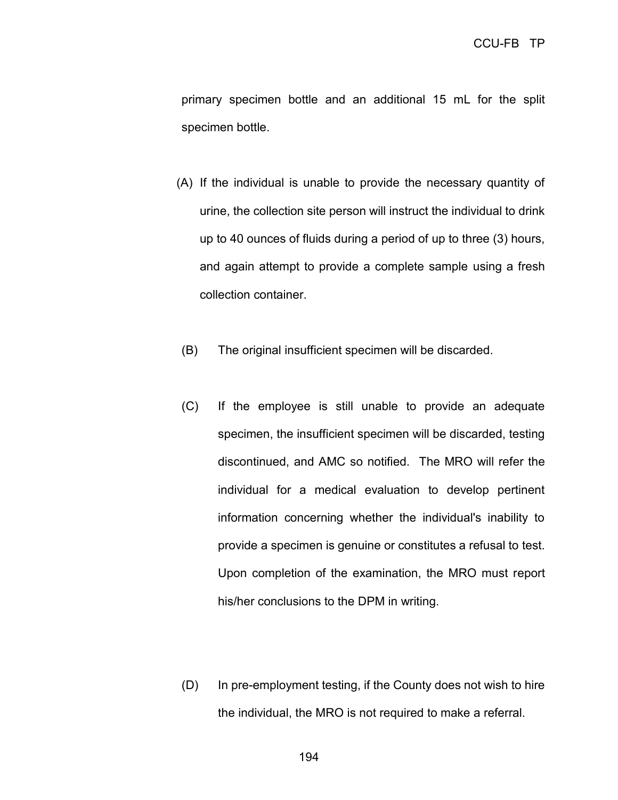primary specimen bottle and an additional 15 mL for the split specimen bottle.

- (A) If the individual is unable to provide the necessary quantity of urine, the collection site person will instruct the individual to drink up to 40 ounces of fluids during a period of up to three (3) hours, and again attempt to provide a complete sample using a fresh collection container.
- (B) The original insufficient specimen will be discarded.
- (C) If the employee is still unable to provide an adequate specimen, the insufficient specimen will be discarded, testing discontinued, and AMC so notified. The MRO will refer the individual for a medical evaluation to develop pertinent information concerning whether the individual's inability to provide a specimen is genuine or constitutes a refusal to test. Upon completion of the examination, the MRO must report his/her conclusions to the DPM in writing.
- (D) In pre-employment testing, if the County does not wish to hire the individual, the MRO is not required to make a referral.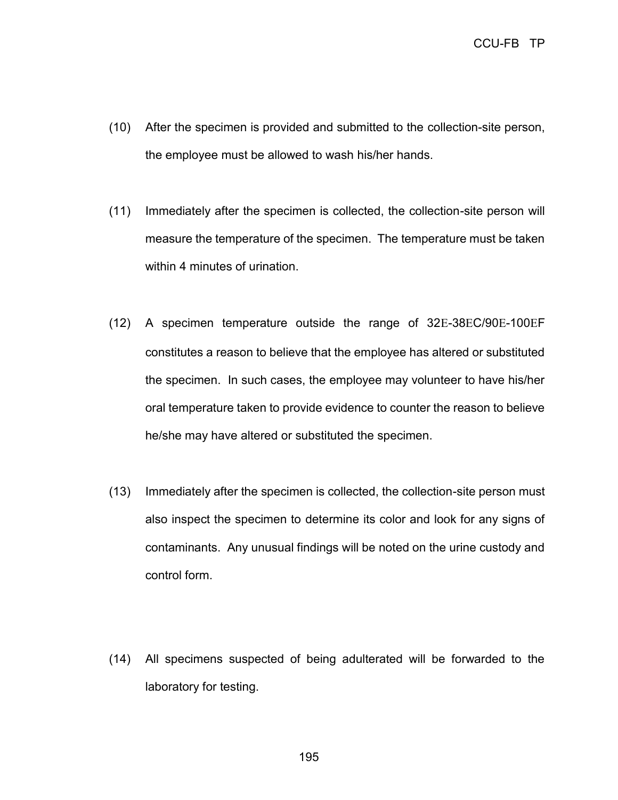- (10) After the specimen is provided and submitted to the collection-site person, the employee must be allowed to wash his/her hands.
- (11) Immediately after the specimen is collected, the collection-site person will measure the temperature of the specimen. The temperature must be taken within 4 minutes of urination.
- $(12)$  A specimen temperature outside the range of 32E-38EC/90E-100EF constitutes a reason to believe that the employee has altered or substituted the specimen. In such cases, the employee may volunteer to have his/her oral temperature taken to provide evidence to counter the reason to believe he/she may have altered or substituted the specimen.
- (13) Immediately after the specimen is collected, the collection-site person must also inspect the specimen to determine its color and look for any signs of contaminants. Any unusual findings will be noted on the urine custody and control form.
- (14) All specimens suspected of being adulterated will be forwarded to the laboratory for testing.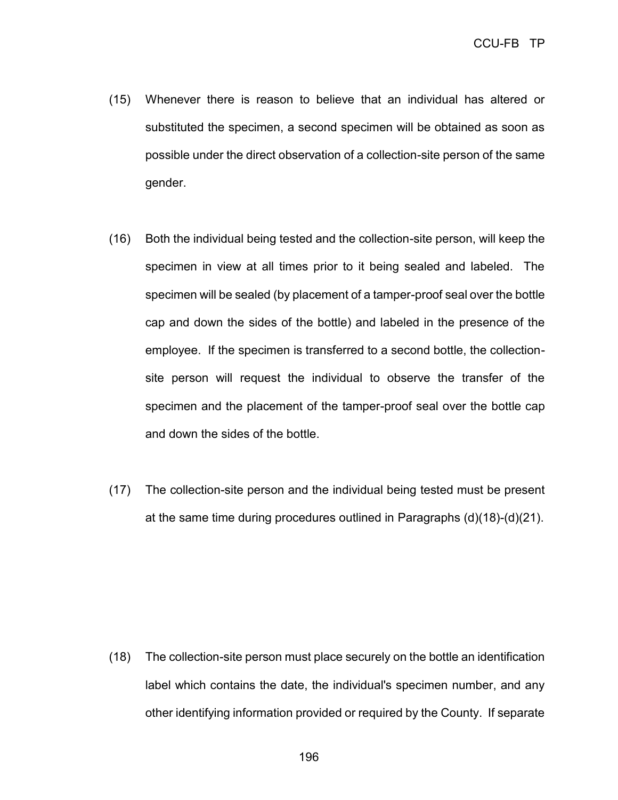- (15) Whenever there is reason to believe that an individual has altered or substituted the specimen, a second specimen will be obtained as soon as possible under the direct observation of a collection-site person of the same gender.
- (16) Both the individual being tested and the collection-site person, will keep the specimen in view at all times prior to it being sealed and labeled. The specimen will be sealed (by placement of a tamper-proof seal over the bottle cap and down the sides of the bottle) and labeled in the presence of the employee. If the specimen is transferred to a second bottle, the collectionsite person will request the individual to observe the transfer of the specimen and the placement of the tamper-proof seal over the bottle cap and down the sides of the bottle.
- (17) The collection-site person and the individual being tested must be present at the same time during procedures outlined in Paragraphs (d)(18)-(d)(21).

(18) The collection-site person must place securely on the bottle an identification label which contains the date, the individual's specimen number, and any other identifying information provided or required by the County. If separate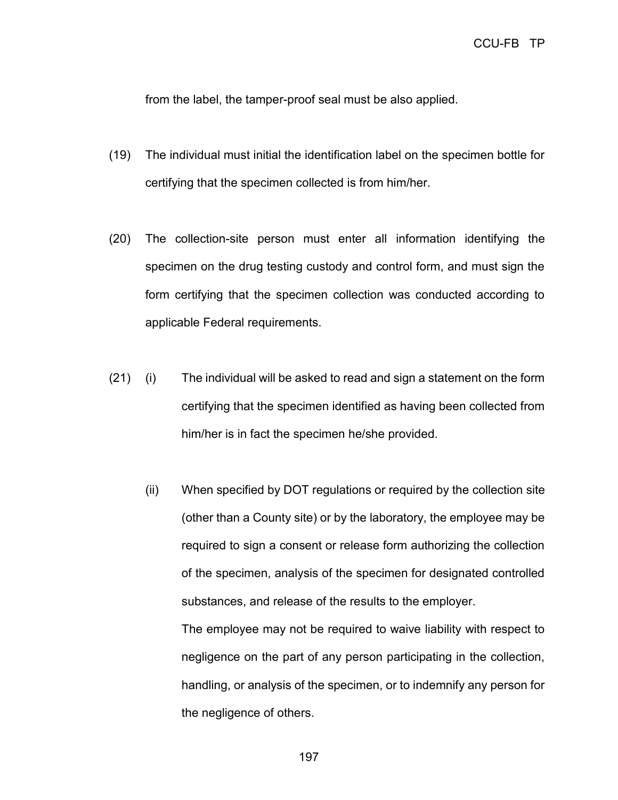from the label, the tamper-proof seal must be also applied.

- (19) The individual must initial the identification label on the specimen bottle for certifying that the specimen collected is from him/her.
- (20) The collection-site person must enter all information identifying the specimen on the drug testing custody and control form, and must sign the form certifying that the specimen collection was conducted according to applicable Federal requirements.
- (21) (i) The individual will be asked to read and sign a statement on the form certifying that the specimen identified as having been collected from him/her is in fact the specimen he/she provided.
	- (ii) When specified by DOT regulations or required by the collection site (other than a County site) or by the laboratory, the employee may be required to sign a consent or release form authorizing the collection of the specimen, analysis of the specimen for designated controlled substances, and release of the results to the employer.

The employee may not be required to waive liability with respect to negligence on the part of any person participating in the collection, handling, or analysis of the specimen, or to indemnify any person for the negligence of others.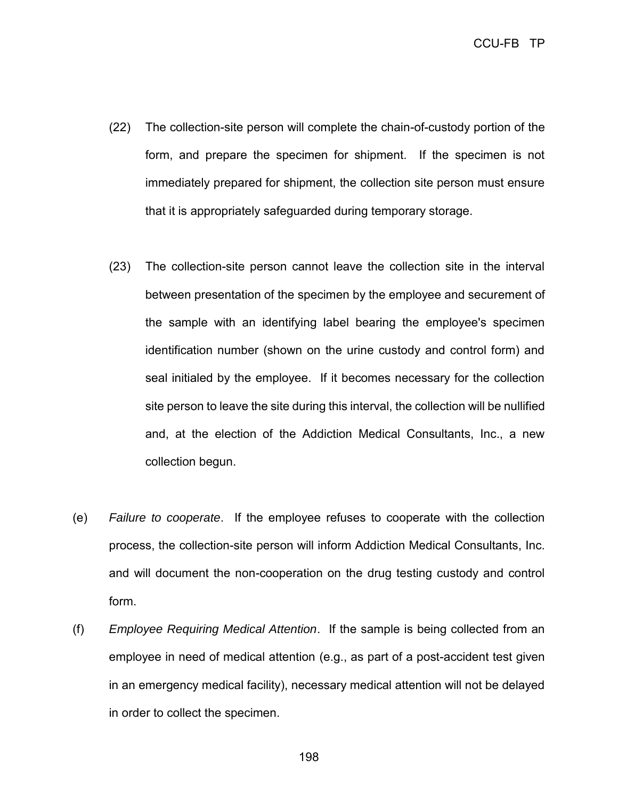- (22) The collection-site person will complete the chain-of-custody portion of the form, and prepare the specimen for shipment. If the specimen is not immediately prepared for shipment, the collection site person must ensure that it is appropriately safeguarded during temporary storage.
- (23) The collection-site person cannot leave the collection site in the interval between presentation of the specimen by the employee and securement of the sample with an identifying label bearing the employee's specimen identification number (shown on the urine custody and control form) and seal initialed by the employee. If it becomes necessary for the collection site person to leave the site during this interval, the collection will be nullified and, at the election of the Addiction Medical Consultants, Inc., a new collection begun.
- (e) *Failure to cooperate*. If the employee refuses to cooperate with the collection process, the collection-site person will inform Addiction Medical Consultants, Inc. and will document the non-cooperation on the drug testing custody and control form.
- (f) *Employee Requiring Medical Attention*. If the sample is being collected from an employee in need of medical attention (e.g., as part of a post-accident test given in an emergency medical facility), necessary medical attention will not be delayed in order to collect the specimen.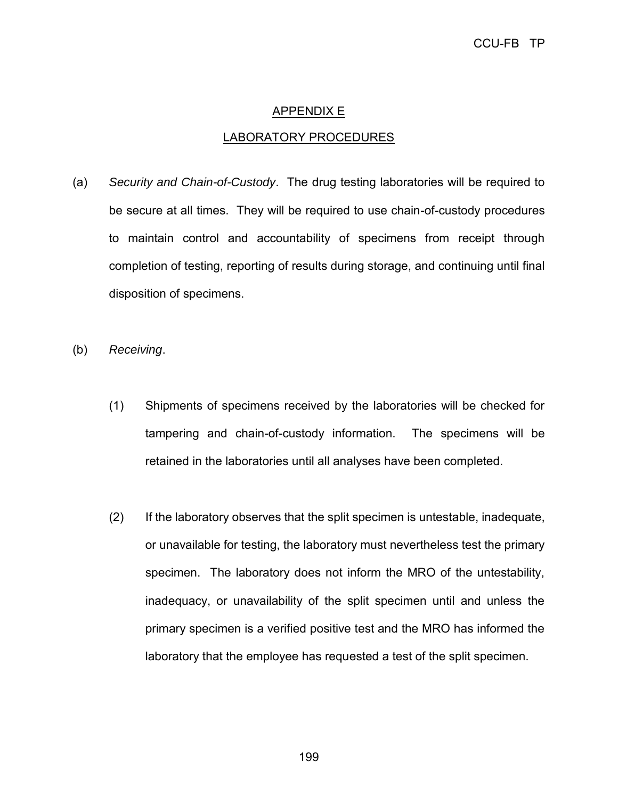## APPENDIX E

### LABORATORY PROCEDURES

- (a) *Security and Chain-of-Custody*. The drug testing laboratories will be required to be secure at all times. They will be required to use chain-of-custody procedures to maintain control and accountability of specimens from receipt through completion of testing, reporting of results during storage, and continuing until final disposition of specimens.
- (b) *Receiving*.
	- (1) Shipments of specimens received by the laboratories will be checked for tampering and chain-of-custody information. The specimens will be retained in the laboratories until all analyses have been completed.
	- (2) If the laboratory observes that the split specimen is untestable, inadequate, or unavailable for testing, the laboratory must nevertheless test the primary specimen. The laboratory does not inform the MRO of the untestability, inadequacy, or unavailability of the split specimen until and unless the primary specimen is a verified positive test and the MRO has informed the laboratory that the employee has requested a test of the split specimen.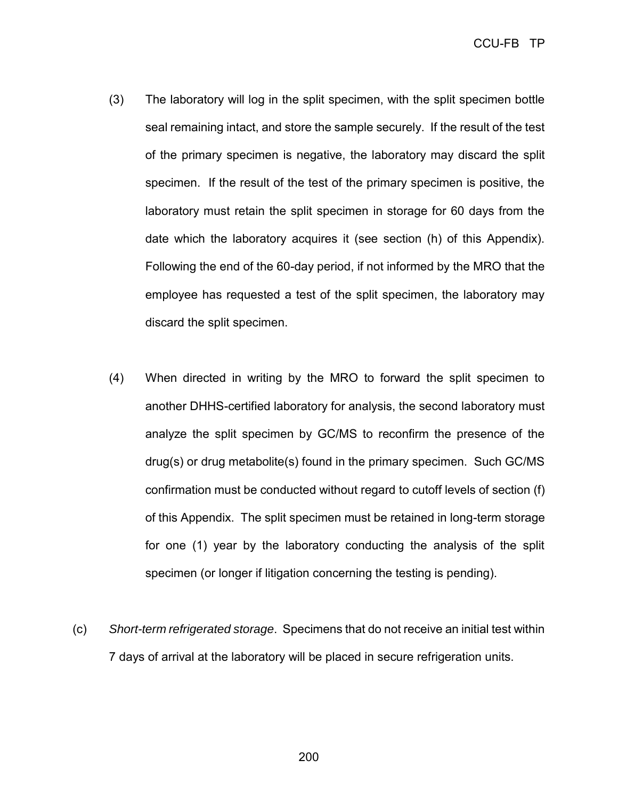- (3) The laboratory will log in the split specimen, with the split specimen bottle seal remaining intact, and store the sample securely. If the result of the test of the primary specimen is negative, the laboratory may discard the split specimen. If the result of the test of the primary specimen is positive, the laboratory must retain the split specimen in storage for 60 days from the date which the laboratory acquires it (see section (h) of this Appendix). Following the end of the 60-day period, if not informed by the MRO that the employee has requested a test of the split specimen, the laboratory may discard the split specimen.
- (4) When directed in writing by the MRO to forward the split specimen to another DHHS-certified laboratory for analysis, the second laboratory must analyze the split specimen by GC/MS to reconfirm the presence of the drug(s) or drug metabolite(s) found in the primary specimen. Such GC/MS confirmation must be conducted without regard to cutoff levels of section (f) of this Appendix. The split specimen must be retained in long-term storage for one (1) year by the laboratory conducting the analysis of the split specimen (or longer if litigation concerning the testing is pending).
- (c) *Short-term refrigerated storage*. Specimens that do not receive an initial test within 7 days of arrival at the laboratory will be placed in secure refrigeration units.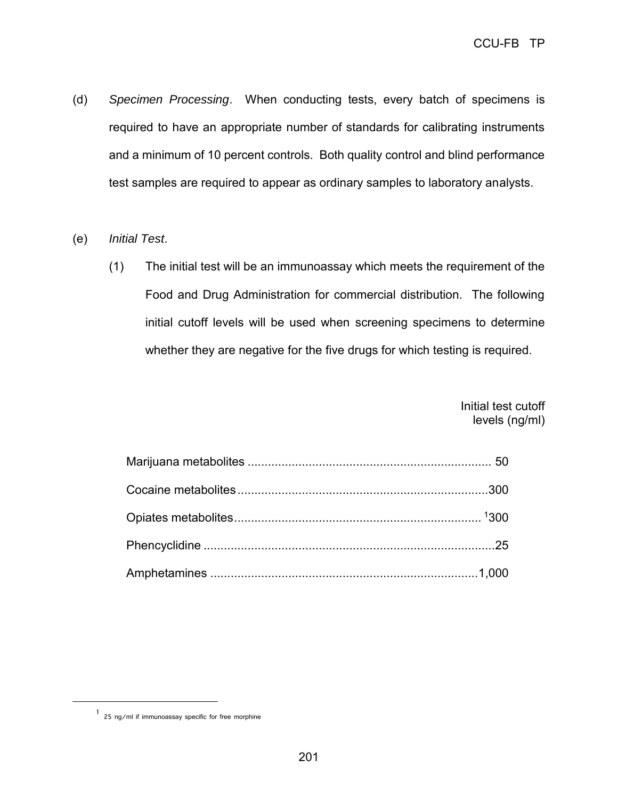- (d) *Specimen Processing*. When conducting tests, every batch of specimens is required to have an appropriate number of standards for calibrating instruments and a minimum of 10 percent controls. Both quality control and blind performance test samples are required to appear as ordinary samples to laboratory analysts.
- (e) *Initial Test*.
	- (1) The initial test will be an immunoassay which meets the requirement of the Food and Drug Administration for commercial distribution. The following initial cutoff levels will be used when screening specimens to determine whether they are negative for the five drugs for which testing is required.

Initial test cutoff levels (ng/ml)

<span id="page-208-0"></span> $\overline{a}$ 

<sup>1</sup> 25 ng/ml if immunoassay specific for free morphine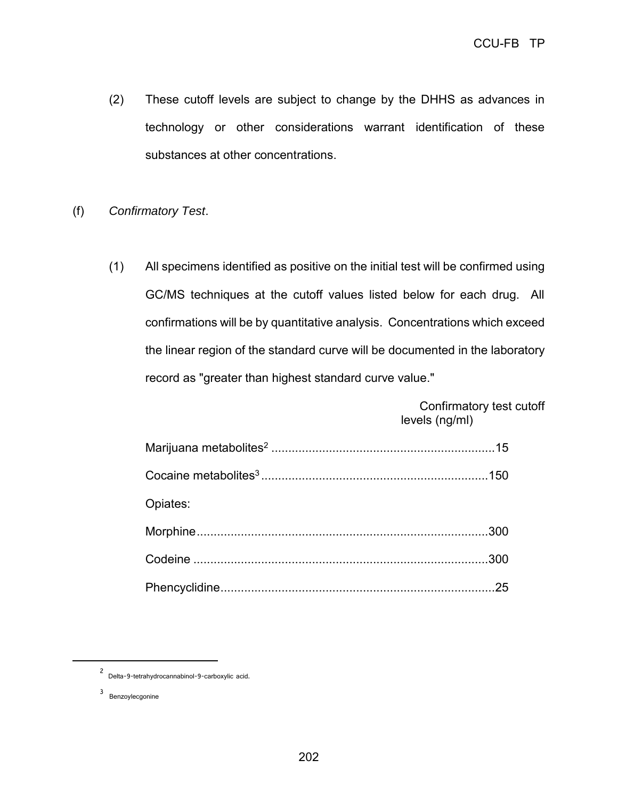- (2) These cutoff levels are subject to change by the DHHS as advances in technology or other considerations warrant identification of these substances at other concentrations.
- (f) *Confirmatory Test*.
	- (1) All specimens identified as positive on the initial test will be confirmed using GC/MS techniques at the cutoff values listed below for each drug. All confirmations will be by quantitative analysis. Concentrations which exceed the linear region of the standard curve will be documented in the laboratory record as "greater than highest standard curve value."

Confirmatory test cutoff levels (ng/ml)

| Opiates: |  |
|----------|--|
|          |  |
|          |  |
|          |  |

<span id="page-209-1"></span><span id="page-209-0"></span> $\overline{a}$ 

<sup>2</sup> Delta-9-tetrahydrocannabinol-9-carboxylic acid.

<sup>3</sup> Benzoylecgonine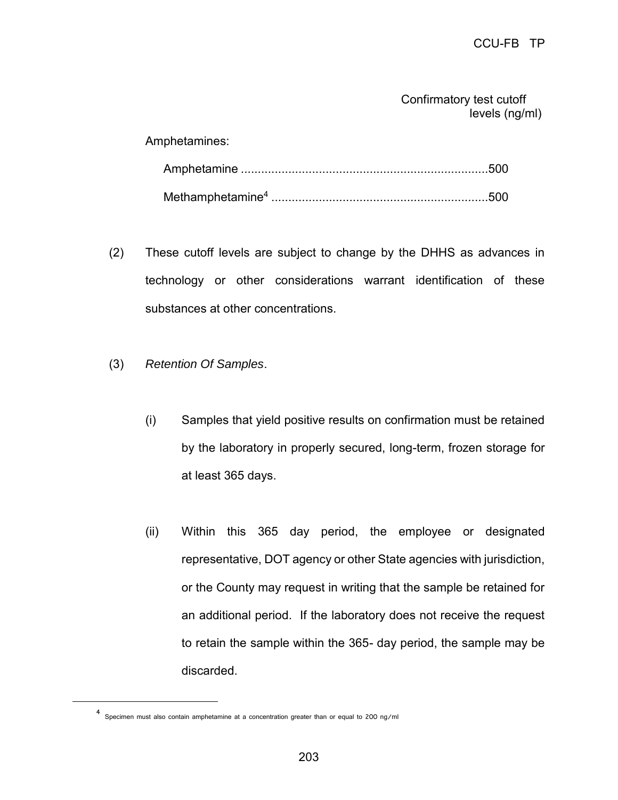Confirmatory test cutoff levels (ng/ml)

Amphetamines:

- (2) These cutoff levels are subject to change by the DHHS as advances in technology or other considerations warrant identification of these substances at other concentrations.
- (3) *Retention Of Samples*.
	- (i) Samples that yield positive results on confirmation must be retained by the laboratory in properly secured, long-term, frozen storage for at least 365 days.
	- (ii) Within this 365 day period, the employee or designated representative, DOT agency or other State agencies with jurisdiction, or the County may request in writing that the sample be retained for an additional period. If the laboratory does not receive the request to retain the sample within the 365- day period, the sample may be discarded.

<span id="page-210-0"></span> $\overline{a}$ 

<sup>4</sup> Specimen must also contain amphetamine at a concentration greater than or equal to 200 ng/ml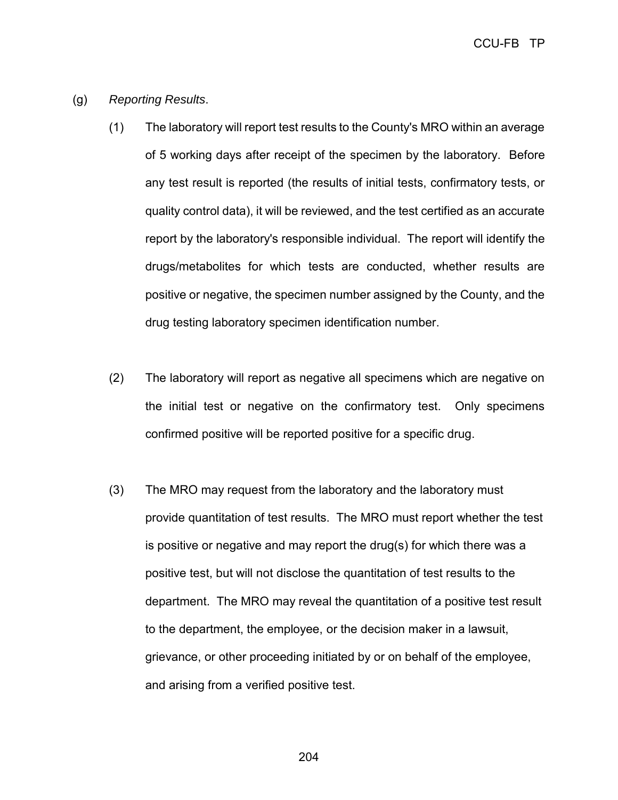CCU-FB TP

- (g) *Reporting Results*.
	- (1) The laboratory will report test results to the County's MRO within an average of 5 working days after receipt of the specimen by the laboratory. Before any test result is reported (the results of initial tests, confirmatory tests, or quality control data), it will be reviewed, and the test certified as an accurate report by the laboratory's responsible individual. The report will identify the drugs/metabolites for which tests are conducted, whether results are positive or negative, the specimen number assigned by the County, and the drug testing laboratory specimen identification number.
	- (2) The laboratory will report as negative all specimens which are negative on the initial test or negative on the confirmatory test. Only specimens confirmed positive will be reported positive for a specific drug.
	- (3) The MRO may request from the laboratory and the laboratory must provide quantitation of test results. The MRO must report whether the test is positive or negative and may report the drug(s) for which there was a positive test, but will not disclose the quantitation of test results to the department. The MRO may reveal the quantitation of a positive test result to the department, the employee, or the decision maker in a lawsuit, grievance, or other proceeding initiated by or on behalf of the employee, and arising from a verified positive test.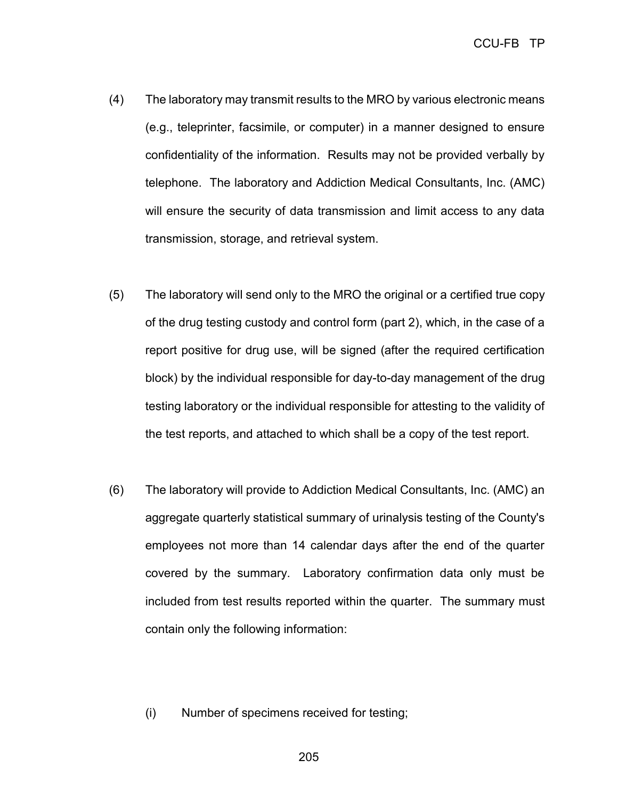- (4) The laboratory may transmit results to the MRO by various electronic means (e.g., teleprinter, facsimile, or computer) in a manner designed to ensure confidentiality of the information. Results may not be provided verbally by telephone. The laboratory and Addiction Medical Consultants, Inc. (AMC) will ensure the security of data transmission and limit access to any data transmission, storage, and retrieval system.
- (5) The laboratory will send only to the MRO the original or a certified true copy of the drug testing custody and control form (part 2), which, in the case of a report positive for drug use, will be signed (after the required certification block) by the individual responsible for day-to-day management of the drug testing laboratory or the individual responsible for attesting to the validity of the test reports, and attached to which shall be a copy of the test report.
- (6) The laboratory will provide to Addiction Medical Consultants, Inc. (AMC) an aggregate quarterly statistical summary of urinalysis testing of the County's employees not more than 14 calendar days after the end of the quarter covered by the summary. Laboratory confirmation data only must be included from test results reported within the quarter. The summary must contain only the following information:
	- (i) Number of specimens received for testing;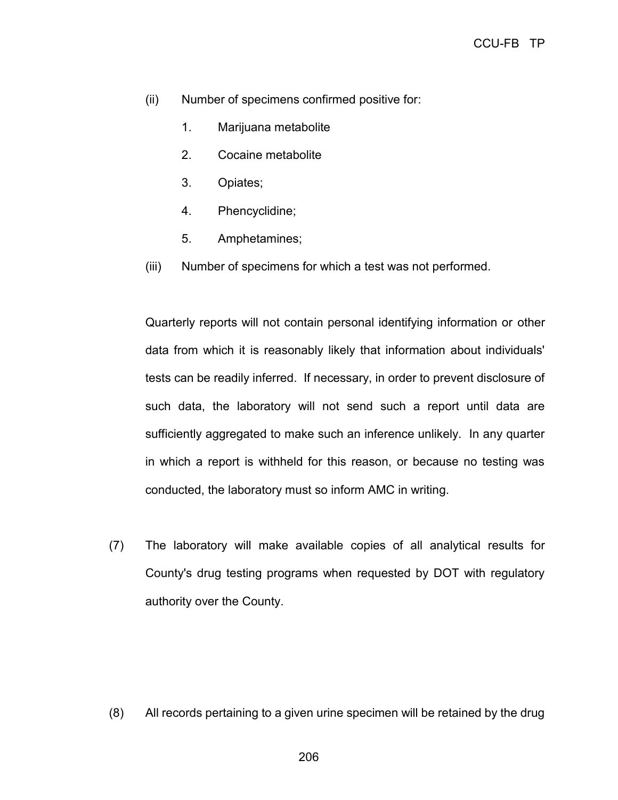- (ii) Number of specimens confirmed positive for:
	- 1. Marijuana metabolite
	- 2. Cocaine metabolite
	- 3. Opiates;
	- 4. Phencyclidine;
	- 5. Amphetamines;
- (iii) Number of specimens for which a test was not performed.

Quarterly reports will not contain personal identifying information or other data from which it is reasonably likely that information about individuals' tests can be readily inferred. If necessary, in order to prevent disclosure of such data, the laboratory will not send such a report until data are sufficiently aggregated to make such an inference unlikely. In any quarter in which a report is withheld for this reason, or because no testing was conducted, the laboratory must so inform AMC in writing.

(7) The laboratory will make available copies of all analytical results for County's drug testing programs when requested by DOT with regulatory authority over the County.

(8) All records pertaining to a given urine specimen will be retained by the drug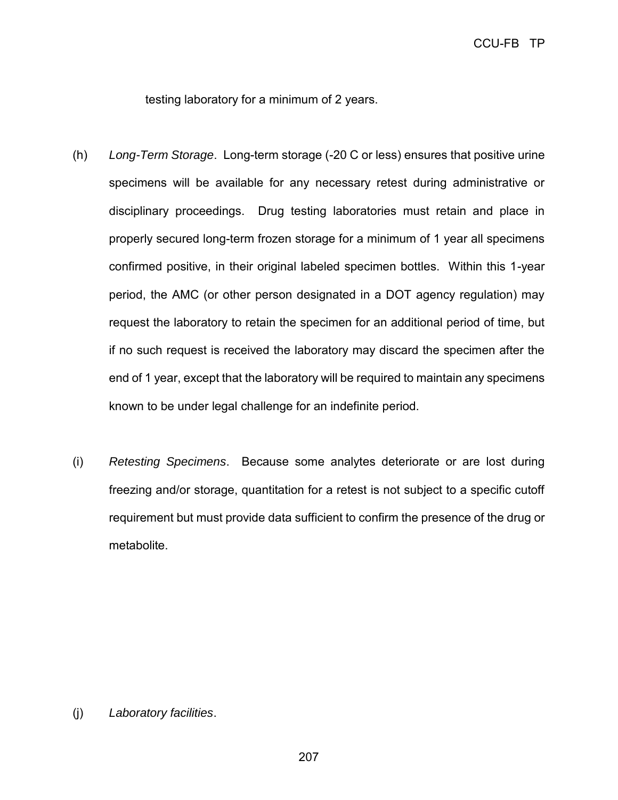testing laboratory for a minimum of 2 years.

- (h) *Long-Term Storage*. Long-term storage (-20 C or less) ensures that positive urine specimens will be available for any necessary retest during administrative or disciplinary proceedings. Drug testing laboratories must retain and place in properly secured long-term frozen storage for a minimum of 1 year all specimens confirmed positive, in their original labeled specimen bottles. Within this 1-year period, the AMC (or other person designated in a DOT agency regulation) may request the laboratory to retain the specimen for an additional period of time, but if no such request is received the laboratory may discard the specimen after the end of 1 year, except that the laboratory will be required to maintain any specimens known to be under legal challenge for an indefinite period.
- (i) *Retesting Specimens*. Because some analytes deteriorate or are lost during freezing and/or storage, quantitation for a retest is not subject to a specific cutoff requirement but must provide data sufficient to confirm the presence of the drug or metabolite.

(j) *Laboratory facilities*.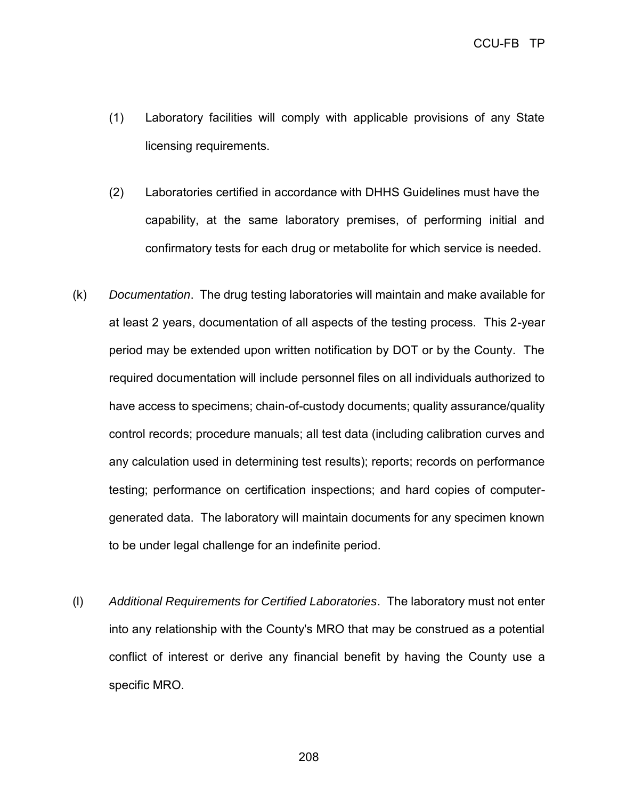- (1) Laboratory facilities will comply with applicable provisions of any State licensing requirements.
- (2) Laboratories certified in accordance with DHHS Guidelines must have the capability, at the same laboratory premises, of performing initial and confirmatory tests for each drug or metabolite for which service is needed.
- (k) *Documentation*. The drug testing laboratories will maintain and make available for at least 2 years, documentation of all aspects of the testing process. This 2-year period may be extended upon written notification by DOT or by the County. The required documentation will include personnel files on all individuals authorized to have access to specimens; chain-of-custody documents; quality assurance/quality control records; procedure manuals; all test data (including calibration curves and any calculation used in determining test results); reports; records on performance testing; performance on certification inspections; and hard copies of computergenerated data. The laboratory will maintain documents for any specimen known to be under legal challenge for an indefinite period.
- (l) *Additional Requirements for Certified Laboratories*. The laboratory must not enter into any relationship with the County's MRO that may be construed as a potential conflict of interest or derive any financial benefit by having the County use a specific MRO.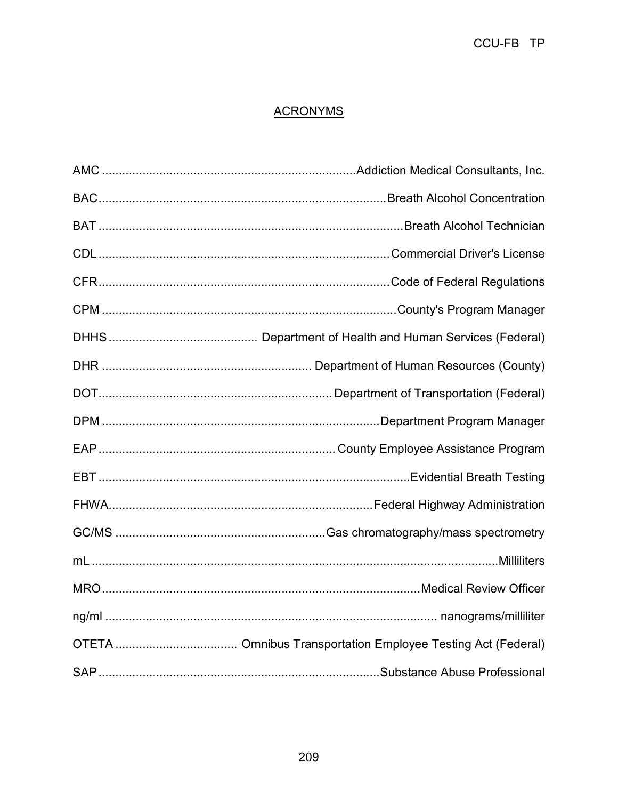# **ACRONYMS**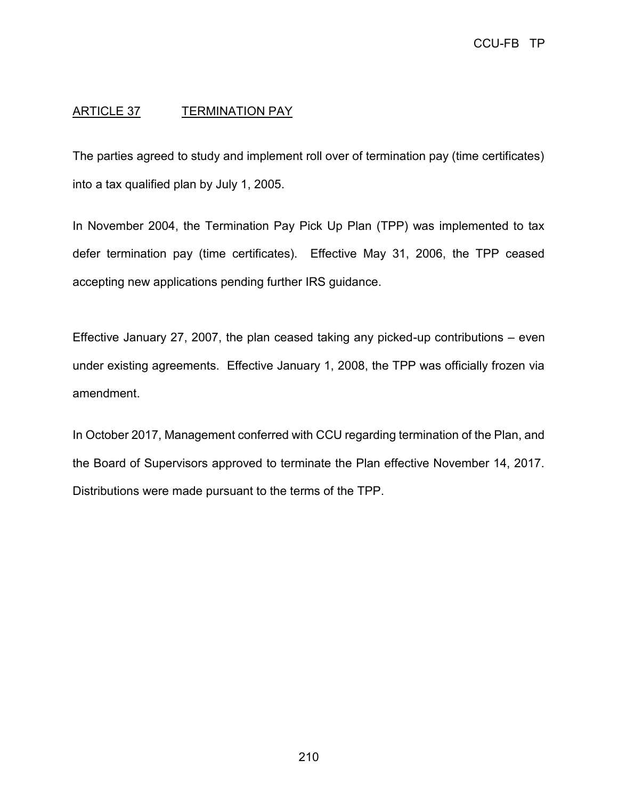# ARTICLE 37 TERMINATION PAY

The parties agreed to study and implement roll over of termination pay (time certificates) into a tax qualified plan by July 1, 2005.

In November 2004, the Termination Pay Pick Up Plan (TPP) was implemented to tax defer termination pay (time certificates). Effective May 31, 2006, the TPP ceased accepting new applications pending further IRS guidance.

Effective January 27, 2007, the plan ceased taking any picked-up contributions – even under existing agreements. Effective January 1, 2008, the TPP was officially frozen via amendment.

In October 2017, Management conferred with CCU regarding termination of the Plan, and the Board of Supervisors approved to terminate the Plan effective November 14, 2017. Distributions were made pursuant to the terms of the TPP.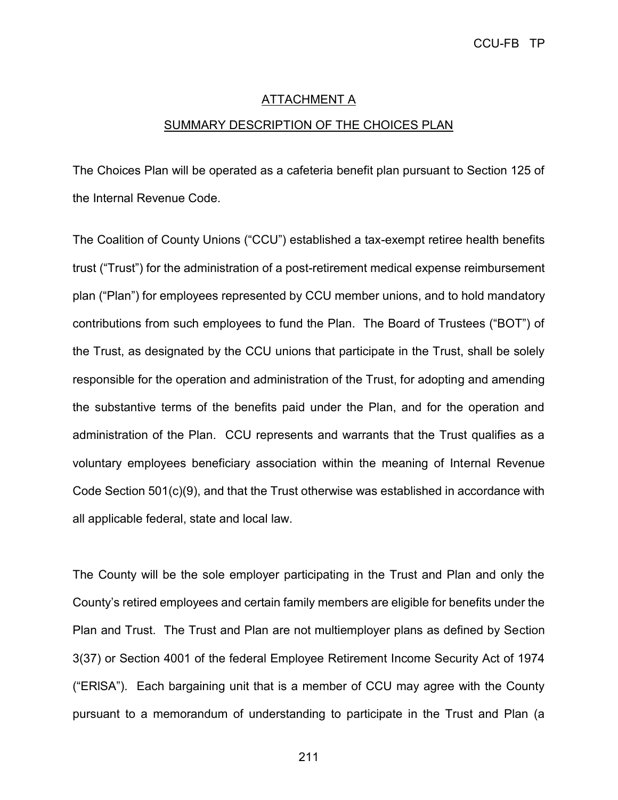#### **ATTACHMENT A**

#### SUMMARY DESCRIPTION OF THE CHOICES PLAN

The Choices Plan will be operated as a cafeteria benefit plan pursuant to Section 125 of the Internal Revenue Code.

The Coalition of County Unions ("CCU") established a tax-exempt retiree health benefits trust ("Trust") for the administration of a post-retirement medical expense reimbursement plan ("Plan") for employees represented by CCU member unions, and to hold mandatory contributions from such employees to fund the Plan. The Board of Trustees ("BOT") of the Trust, as designated by the CCU unions that participate in the Trust, shall be solely responsible for the operation and administration of the Trust, for adopting and amending the substantive terms of the benefits paid under the Plan, and for the operation and administration of the Plan. CCU represents and warrants that the Trust qualifies as a voluntary employees beneficiary association within the meaning of Internal Revenue Code Section 501(c)(9), and that the Trust otherwise was established in accordance with all applicable federal, state and local law.

The County will be the sole employer participating in the Trust and Plan and only the County's retired employees and certain family members are eligible for benefits under the Plan and Trust. The Trust and Plan are not multiemployer plans as defined by Section 3(37) or Section 4001 of the federal Employee Retirement Income Security Act of 1974 ("ERlSA"). Each bargaining unit that is a member of CCU may agree with the County pursuant to a memorandum of understanding to participate in the Trust and Plan (a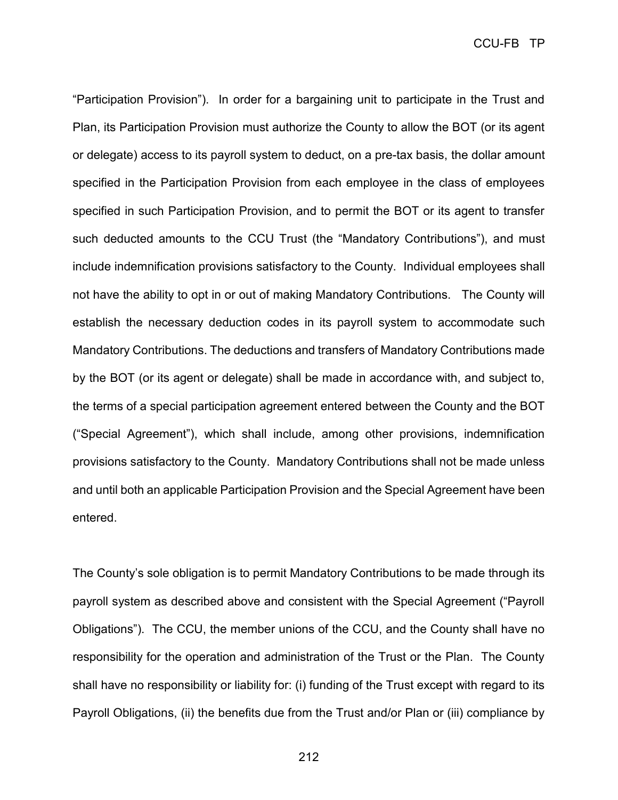CCU-FB TP

"Participation Provision"). In order for a bargaining unit to participate in the Trust and Plan, its Participation Provision must authorize the County to allow the BOT (or its agent or delegate) access to its payroll system to deduct, on a pre-tax basis, the dollar amount specified in the Participation Provision from each employee in the class of employees specified in such Participation Provision, and to permit the BOT or its agent to transfer such deducted amounts to the CCU Trust (the "Mandatory Contributions"), and must include indemnification provisions satisfactory to the County. Individual employees shall not have the ability to opt in or out of making Mandatory Contributions. The County will establish the necessary deduction codes in its payroll system to accommodate such Mandatory Contributions. The deductions and transfers of Mandatory Contributions made by the BOT (or its agent or delegate) shall be made in accordance with, and subject to, the terms of a special participation agreement entered between the County and the BOT ("Special Agreement"), which shall include, among other provisions, indemnification provisions satisfactory to the County. Mandatory Contributions shall not be made unless and until both an applicable Participation Provision and the Special Agreement have been entered.

The County's sole obligation is to permit Mandatory Contributions to be made through its payroll system as described above and consistent with the Special Agreement ("Payroll Obligations"). The CCU, the member unions of the CCU, and the County shall have no responsibility for the operation and administration of the Trust or the Plan. The County shall have no responsibility or liability for: (i) funding of the Trust except with regard to its Payroll Obligations, (ii) the benefits due from the Trust and/or Plan or (iii) compliance by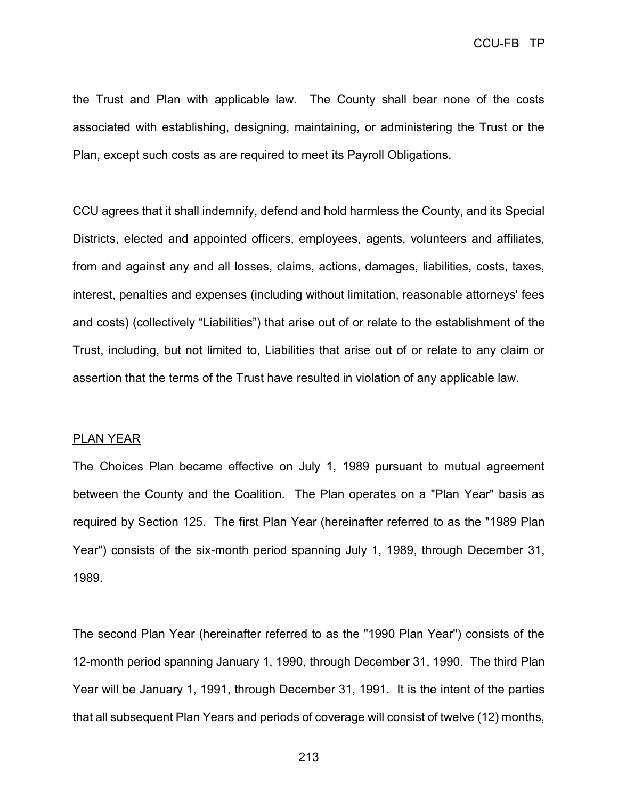the Trust and Plan with applicable law. The County shall bear none of the costs associated with establishing, designing, maintaining, or administering the Trust or the Plan, except such costs as are required to meet its Payroll Obligations.

CCU agrees that it shall indemnify, defend and hold harmless the County, and its Special Districts, elected and appointed officers, employees, agents, volunteers and affiliates, from and against any and all losses, claims, actions, damages, liabilities, costs, taxes, interest, penalties and expenses (including without limitation, reasonable attorneys' fees and costs) (collectively "Liabilities") that arise out of or relate to the establishment of the Trust, including, but not limited to, Liabilities that arise out of or relate to any claim or assertion that the terms of the Trust have resulted in violation of any applicable law.

#### PLAN YEAR

The Choices Plan became effective on July 1, 1989 pursuant to mutual agreement between the County and the Coalition. The Plan operates on a "Plan Year" basis as required by Section 125. The first Plan Year (hereinafter referred to as the "1989 Plan Year") consists of the six-month period spanning July 1, 1989, through December 31, 1989.

The second Plan Year (hereinafter referred to as the "1990 Plan Year") consists of the 12-month period spanning January 1, 1990, through December 31, 1990. The third Plan Year will be January 1, 1991, through December 31, 1991. It is the intent of the parties that all subsequent Plan Years and periods of coverage will consist of twelve (12) months,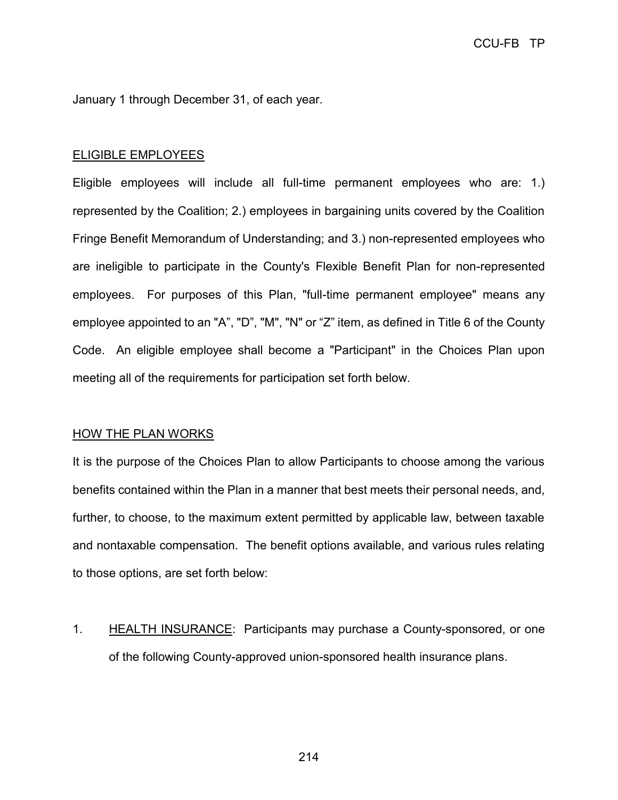January 1 through December 31, of each year.

#### ELIGIBLE EMPLOYEES

Eligible employees will include all full-time permanent employees who are: 1.) represented by the Coalition; 2.) employees in bargaining units covered by the Coalition Fringe Benefit Memorandum of Understanding; and 3.) non-represented employees who are ineligible to participate in the County's Flexible Benefit Plan for non-represented employees. For purposes of this Plan, "full-time permanent employee" means any employee appointed to an "A", "D", "M", "N" or "Z" item, as defined in Title 6 of the County Code. An eligible employee shall become a "Participant" in the Choices Plan upon meeting all of the requirements for participation set forth below.

#### HOW THE PLAN WORKS

It is the purpose of the Choices Plan to allow Participants to choose among the various benefits contained within the Plan in a manner that best meets their personal needs, and, further, to choose, to the maximum extent permitted by applicable law, between taxable and nontaxable compensation. The benefit options available, and various rules relating to those options, are set forth below:

1. HEALTH INSURANCE: Participants may purchase a County-sponsored, or one of the following County-approved union-sponsored health insurance plans.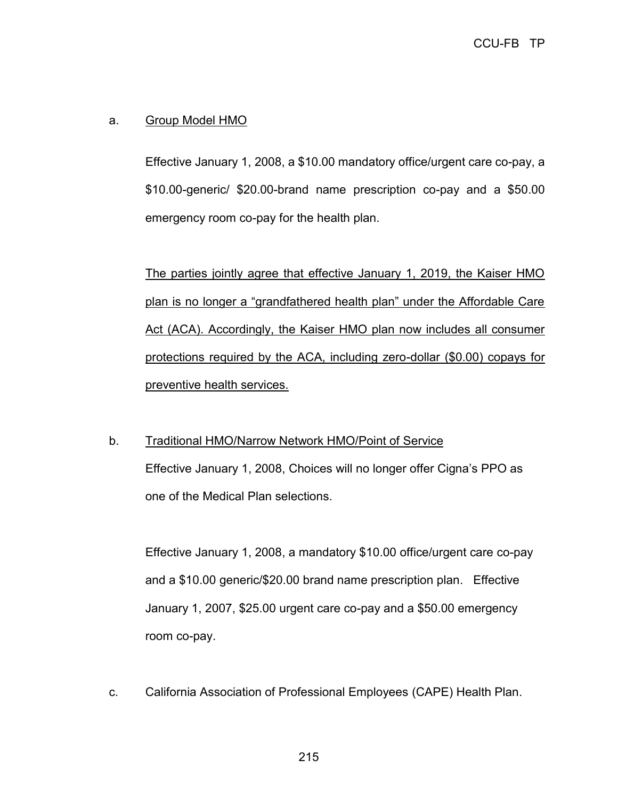# a. Group Model HMO

Effective January 1, 2008, a \$10.00 mandatory office/urgent care co-pay, a \$10.00-generic/ \$20.00-brand name prescription co-pay and a \$50.00 emergency room co-pay for the health plan.

The parties jointly agree that effective January 1, 2019, the Kaiser HMO plan is no longer a "grandfathered health plan" under the Affordable Care Act (ACA). Accordingly, the Kaiser HMO plan now includes all consumer protections required by the ACA, including zero-dollar (\$0.00) copays for preventive health services.

## b. Traditional HMO/Narrow Network HMO/Point of Service

Effective January 1, 2008, Choices will no longer offer Cigna's PPO as one of the Medical Plan selections.

Effective January 1, 2008, a mandatory \$10.00 office/urgent care co-pay and a \$10.00 generic/\$20.00 brand name prescription plan. Effective January 1, 2007, \$25.00 urgent care co-pay and a \$50.00 emergency room co-pay.

c. California Association of Professional Employees (CAPE) Health Plan.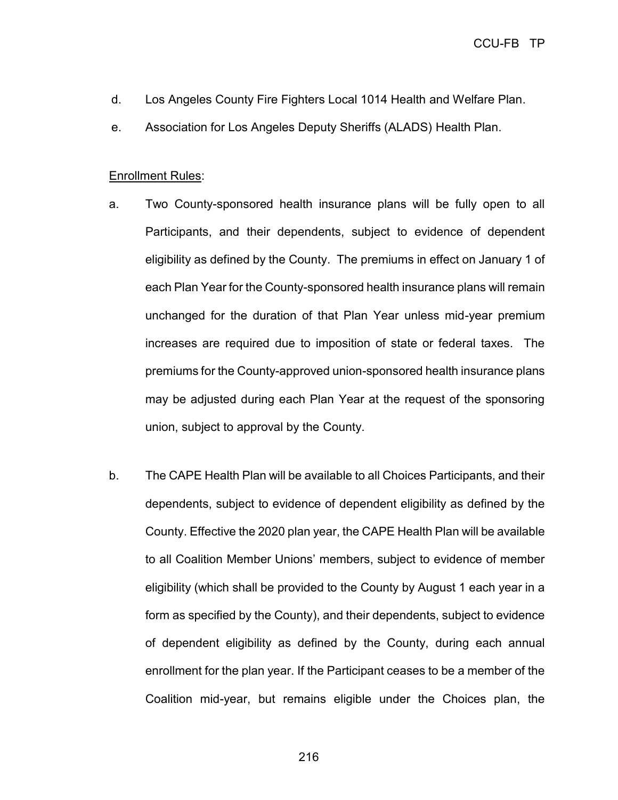- d. Los Angeles County Fire Fighters Local 1014 Health and Welfare Plan.
- e. Association for Los Angeles Deputy Sheriffs (ALADS) Health Plan.

#### Enrollment Rules:

- a. Two County-sponsored health insurance plans will be fully open to all Participants, and their dependents, subject to evidence of dependent eligibility as defined by the County. The premiums in effect on January 1 of each Plan Year for the County-sponsored health insurance plans will remain unchanged for the duration of that Plan Year unless mid-year premium increases are required due to imposition of state or federal taxes. The premiums for the County-approved union-sponsored health insurance plans may be adjusted during each Plan Year at the request of the sponsoring union, subject to approval by the County.
- b. The CAPE Health Plan will be available to all Choices Participants, and their dependents, subject to evidence of dependent eligibility as defined by the County. Effective the 2020 plan year, the CAPE Health Plan will be available to all Coalition Member Unions' members, subject to evidence of member eligibility (which shall be provided to the County by August 1 each year in a form as specified by the County), and their dependents, subject to evidence of dependent eligibility as defined by the County, during each annual enrollment for the plan year. If the Participant ceases to be a member of the Coalition mid-year, but remains eligible under the Choices plan, the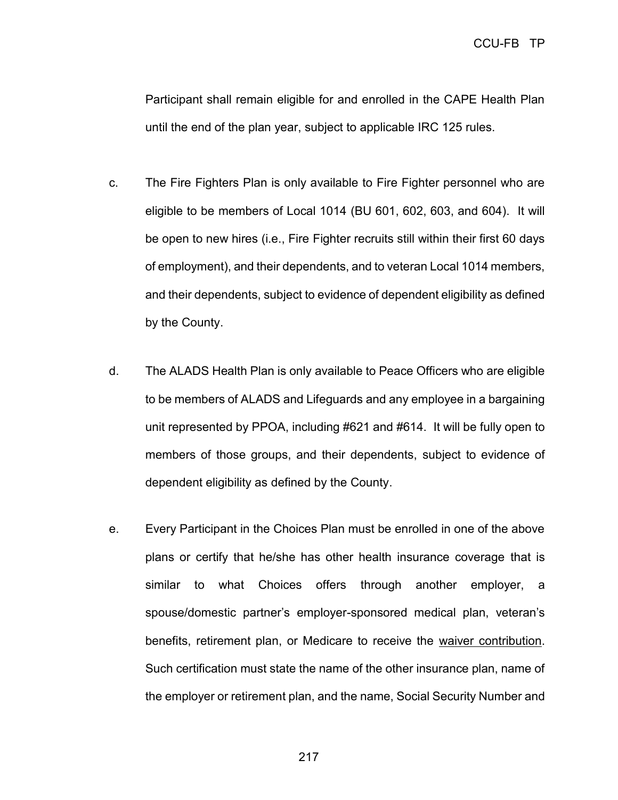Participant shall remain eligible for and enrolled in the CAPE Health Plan until the end of the plan year, subject to applicable IRC 125 rules.

- c. The Fire Fighters Plan is only available to Fire Fighter personnel who are eligible to be members of Local 1014 (BU 601, 602, 603, and 604). It will be open to new hires (i.e., Fire Fighter recruits still within their first 60 days of employment), and their dependents, and to veteran Local 1014 members, and their dependents, subject to evidence of dependent eligibility as defined by the County.
- d. The ALADS Health Plan is only available to Peace Officers who are eligible to be members of ALADS and Lifeguards and any employee in a bargaining unit represented by PPOA, including #621 and #614. It will be fully open to members of those groups, and their dependents, subject to evidence of dependent eligibility as defined by the County.
- e. Every Participant in the Choices Plan must be enrolled in one of the above plans or certify that he/she has other health insurance coverage that is similar to what Choices offers through another employer, a spouse/domestic partner's employer-sponsored medical plan, veteran's benefits, retirement plan, or Medicare to receive the waiver contribution. Such certification must state the name of the other insurance plan, name of the employer or retirement plan, and the name, Social Security Number and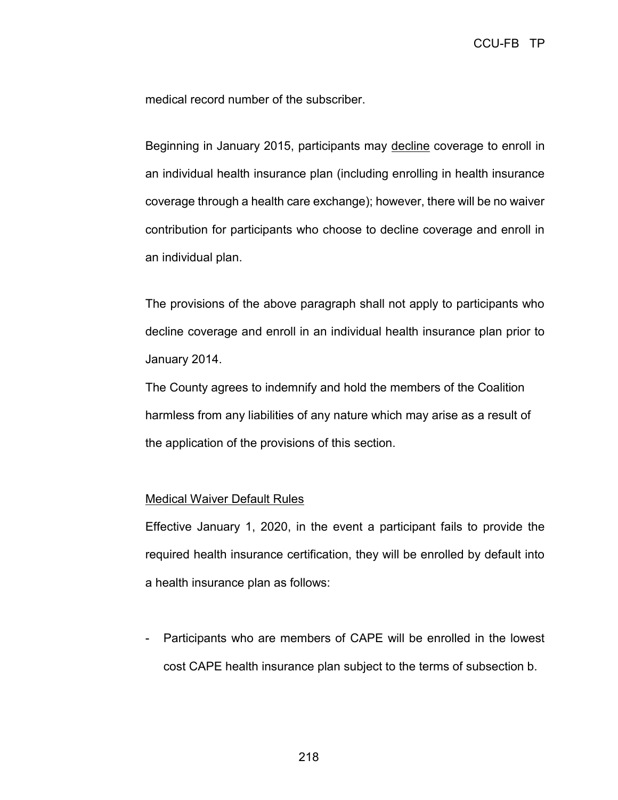medical record number of the subscriber.

Beginning in January 2015, participants may decline coverage to enroll in an individual health insurance plan (including enrolling in health insurance coverage through a health care exchange); however, there will be no waiver contribution for participants who choose to decline coverage and enroll in an individual plan.

The provisions of the above paragraph shall not apply to participants who decline coverage and enroll in an individual health insurance plan prior to January 2014.

The County agrees to indemnify and hold the members of the Coalition harmless from any liabilities of any nature which may arise as a result of the application of the provisions of this section.

#### Medical Waiver Default Rules

Effective January 1, 2020, in the event a participant fails to provide the required health insurance certification, they will be enrolled by default into a health insurance plan as follows:

- Participants who are members of CAPE will be enrolled in the lowest cost CAPE health insurance plan subject to the terms of subsection b.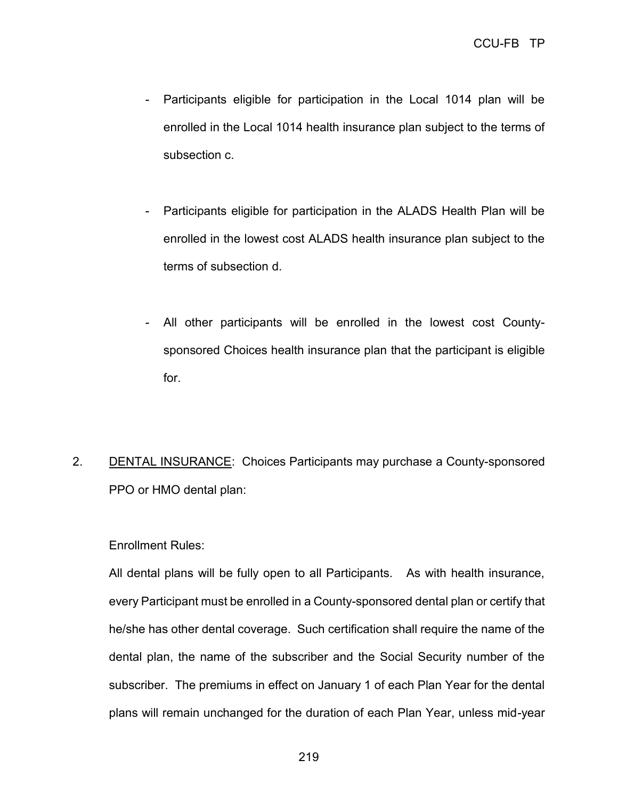- Participants eligible for participation in the Local 1014 plan will be enrolled in the Local 1014 health insurance plan subject to the terms of subsection c.
- Participants eligible for participation in the ALADS Health Plan will be enrolled in the lowest cost ALADS health insurance plan subject to the terms of subsection d.
- All other participants will be enrolled in the lowest cost Countysponsored Choices health insurance plan that the participant is eligible for.
- 2. DENTAL INSURANCE: Choices Participants may purchase a County-sponsored PPO or HMO dental plan:

## Enrollment Rules:

All dental plans will be fully open to all Participants. As with health insurance, every Participant must be enrolled in a County-sponsored dental plan or certify that he/she has other dental coverage. Such certification shall require the name of the dental plan, the name of the subscriber and the Social Security number of the subscriber. The premiums in effect on January 1 of each Plan Year for the dental plans will remain unchanged for the duration of each Plan Year, unless mid-year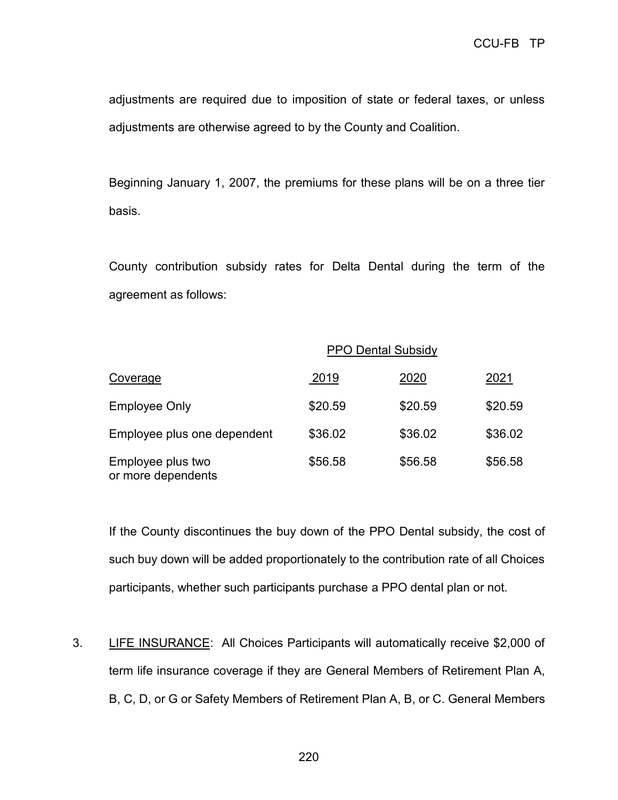adjustments are required due to imposition of state or federal taxes, or unless adjustments are otherwise agreed to by the County and Coalition.

Beginning January 1, 2007, the premiums for these plans will be on a three tier basis.

County contribution subsidy rates for Delta Dental during the term of the agreement as follows:

|                                         | <b>PPO Dental Subsidy</b> |         |         |
|-----------------------------------------|---------------------------|---------|---------|
| Coverage                                | 2019                      | 2020    | 2021    |
| <b>Employee Only</b>                    | \$20.59                   | \$20.59 | \$20.59 |
| Employee plus one dependent             | \$36.02                   | \$36.02 | \$36.02 |
| Employee plus two<br>or more dependents | \$56.58                   | \$56.58 | \$56.58 |

If the County discontinues the buy down of the PPO Dental subsidy, the cost of such buy down will be added proportionately to the contribution rate of all Choices participants, whether such participants purchase a PPO dental plan or not.

3. LIFE INSURANCE: All Choices Participants will automatically receive \$2,000 of term life insurance coverage if they are General Members of Retirement Plan A, B, C, D, or G or Safety Members of Retirement Plan A, B, or C. General Members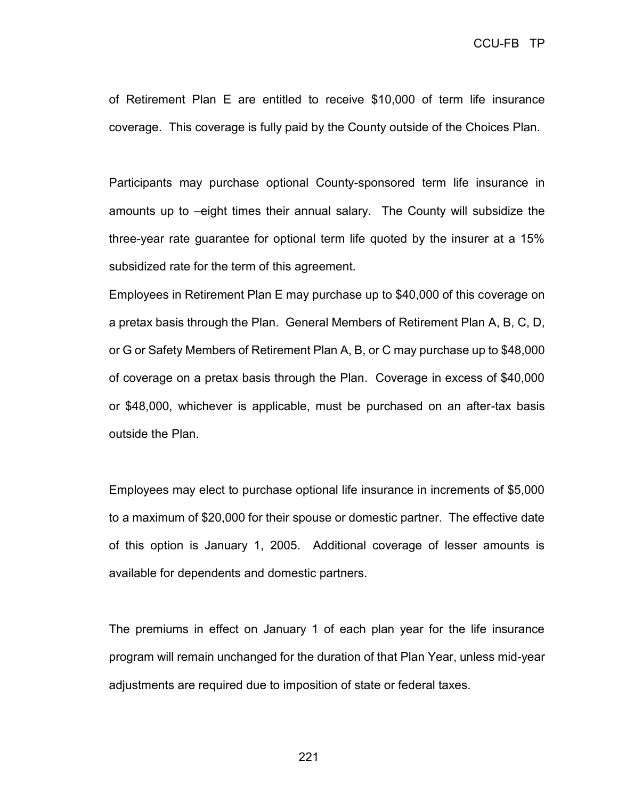of Retirement Plan E are entitled to receive \$10,000 of term life insurance coverage. This coverage is fully paid by the County outside of the Choices Plan.

Participants may purchase optional County-sponsored term life insurance in amounts up to –eight times their annual salary. The County will subsidize the three-year rate guarantee for optional term life quoted by the insurer at a 15% subsidized rate for the term of this agreement.

Employees in Retirement Plan E may purchase up to \$40,000 of this coverage on a pretax basis through the Plan. General Members of Retirement Plan A, B, C, D, or G or Safety Members of Retirement Plan A, B, or C may purchase up to \$48,000 of coverage on a pretax basis through the Plan. Coverage in excess of \$40,000 or \$48,000, whichever is applicable, must be purchased on an after-tax basis outside the Plan.

Employees may elect to purchase optional life insurance in increments of \$5,000 to a maximum of \$20,000 for their spouse or domestic partner. The effective date of this option is January 1, 2005. Additional coverage of lesser amounts is available for dependents and domestic partners.

The premiums in effect on January 1 of each plan year for the life insurance program will remain unchanged for the duration of that Plan Year, unless mid-year adjustments are required due to imposition of state or federal taxes.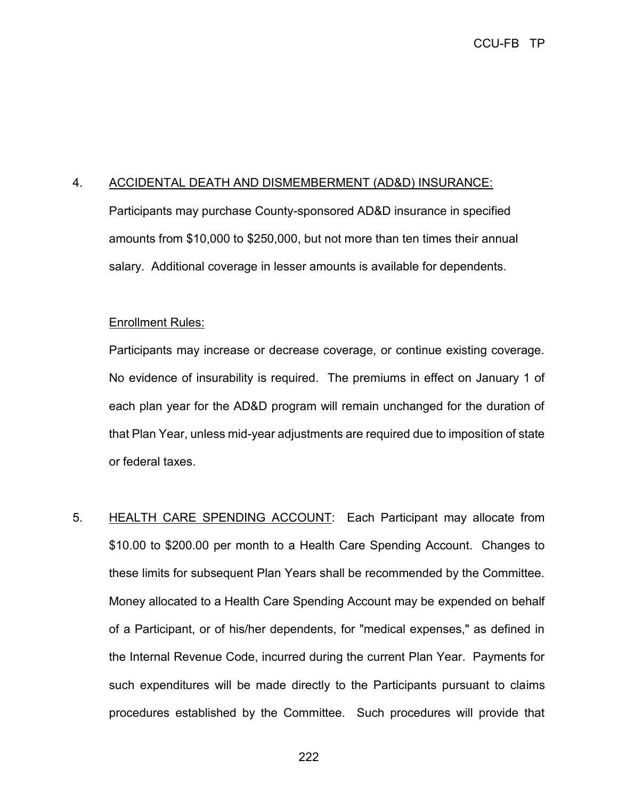## 4. ACCIDENTAL DEATH AND DISMEMBERMENT (AD&D) INSURANCE:

Participants may purchase County-sponsored AD&D insurance in specified amounts from \$10,000 to \$250,000, but not more than ten times their annual salary. Additional coverage in lesser amounts is available for dependents.

## Enrollment Rules:

Participants may increase or decrease coverage, or continue existing coverage. No evidence of insurability is required. The premiums in effect on January 1 of each plan year for the AD&D program will remain unchanged for the duration of that Plan Year, unless mid-year adjustments are required due to imposition of state or federal taxes.

5. HEALTH CARE SPENDING ACCOUNT: Each Participant may allocate from \$10.00 to \$200.00 per month to a Health Care Spending Account. Changes to these limits for subsequent Plan Years shall be recommended by the Committee. Money allocated to a Health Care Spending Account may be expended on behalf of a Participant, or of his/her dependents, for "medical expenses," as defined in the Internal Revenue Code, incurred during the current Plan Year. Payments for such expenditures will be made directly to the Participants pursuant to claims procedures established by the Committee. Such procedures will provide that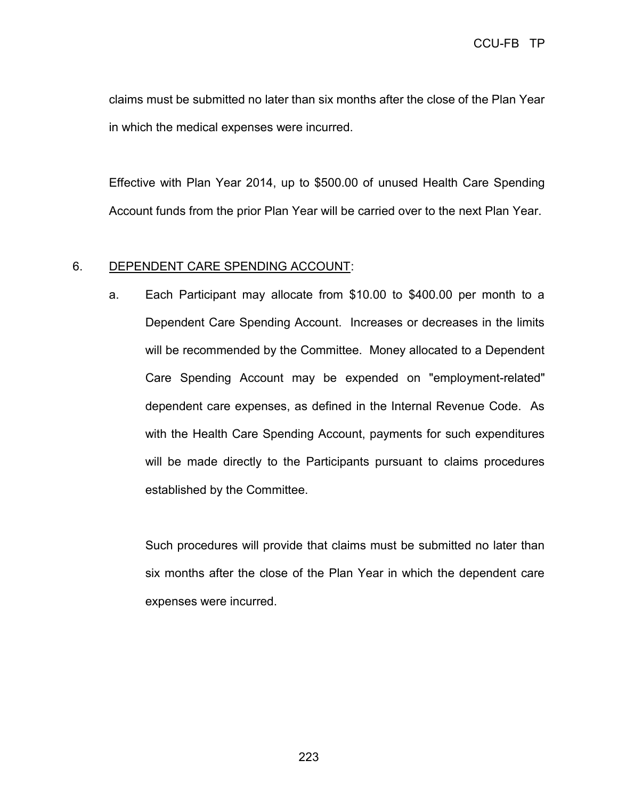claims must be submitted no later than six months after the close of the Plan Year in which the medical expenses were incurred.

Effective with Plan Year 2014, up to \$500.00 of unused Health Care Spending Account funds from the prior Plan Year will be carried over to the next Plan Year.

## 6. DEPENDENT CARE SPENDING ACCOUNT:

a. Each Participant may allocate from \$10.00 to \$400.00 per month to a Dependent Care Spending Account. Increases or decreases in the limits will be recommended by the Committee. Money allocated to a Dependent Care Spending Account may be expended on "employment-related" dependent care expenses, as defined in the Internal Revenue Code. As with the Health Care Spending Account, payments for such expenditures will be made directly to the Participants pursuant to claims procedures established by the Committee.

Such procedures will provide that claims must be submitted no later than six months after the close of the Plan Year in which the dependent care expenses were incurred.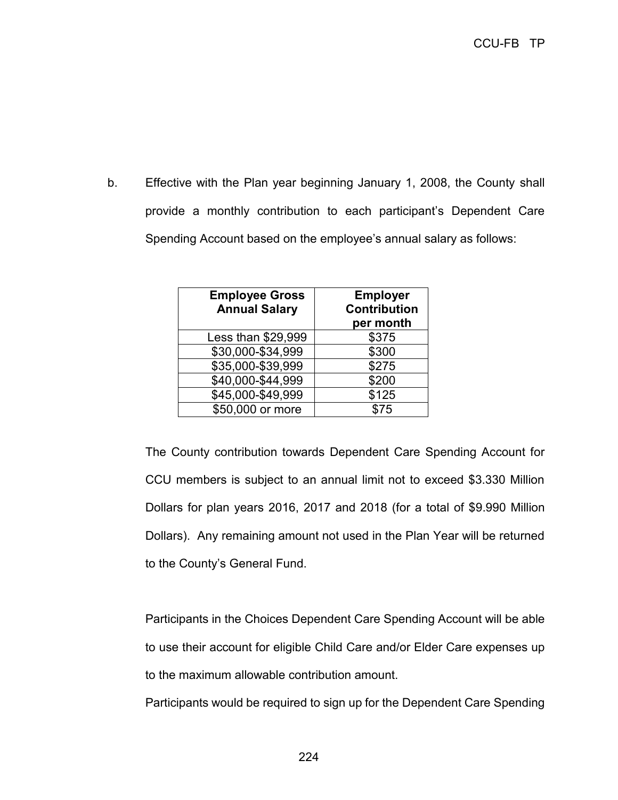b. Effective with the Plan year beginning January 1, 2008, the County shall provide a monthly contribution to each participant's Dependent Care Spending Account based on the employee's annual salary as follows:

| <b>Employee Gross</b><br><b>Annual Salary</b> | <b>Employer</b><br><b>Contribution</b><br>per month |
|-----------------------------------------------|-----------------------------------------------------|
| Less than \$29,999                            | \$375                                               |
| \$30,000-\$34,999                             | \$300                                               |
| \$35,000-\$39,999                             | \$275                                               |
| \$40,000-\$44,999                             | \$200                                               |
| \$45,000-\$49,999                             | \$125                                               |
| \$50,000 or more                              | \$75                                                |

The County contribution towards Dependent Care Spending Account for CCU members is subject to an annual limit not to exceed \$3.330 Million Dollars for plan years 2016, 2017 and 2018 (for a total of \$9.990 Million Dollars). Any remaining amount not used in the Plan Year will be returned to the County's General Fund.

Participants in the Choices Dependent Care Spending Account will be able to use their account for eligible Child Care and/or Elder Care expenses up to the maximum allowable contribution amount.

Participants would be required to sign up for the Dependent Care Spending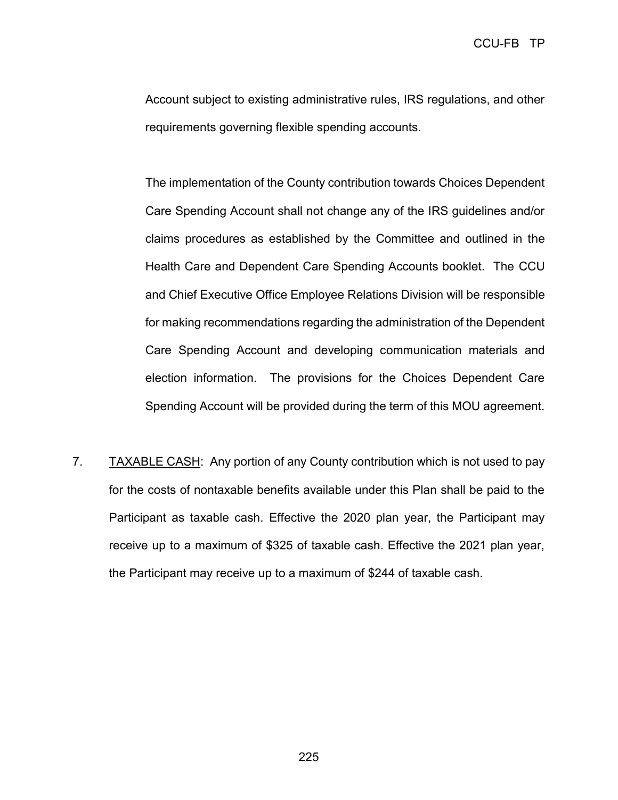Account subject to existing administrative rules, IRS regulations, and other requirements governing flexible spending accounts.

The implementation of the County contribution towards Choices Dependent Care Spending Account shall not change any of the IRS guidelines and/or claims procedures as established by the Committee and outlined in the Health Care and Dependent Care Spending Accounts booklet. The CCU and Chief Executive Office Employee Relations Division will be responsible for making recommendations regarding the administration of the Dependent Care Spending Account and developing communication materials and election information. The provisions for the Choices Dependent Care Spending Account will be provided during the term of this MOU agreement.

7. TAXABLE CASH: Any portion of any County contribution which is not used to pay for the costs of nontaxable benefits available under this Plan shall be paid to the Participant as taxable cash. Effective the 2020 plan year, the Participant may receive up to a maximum of \$325 of taxable cash. Effective the 2021 plan year, the Participant may receive up to a maximum of \$244 of taxable cash.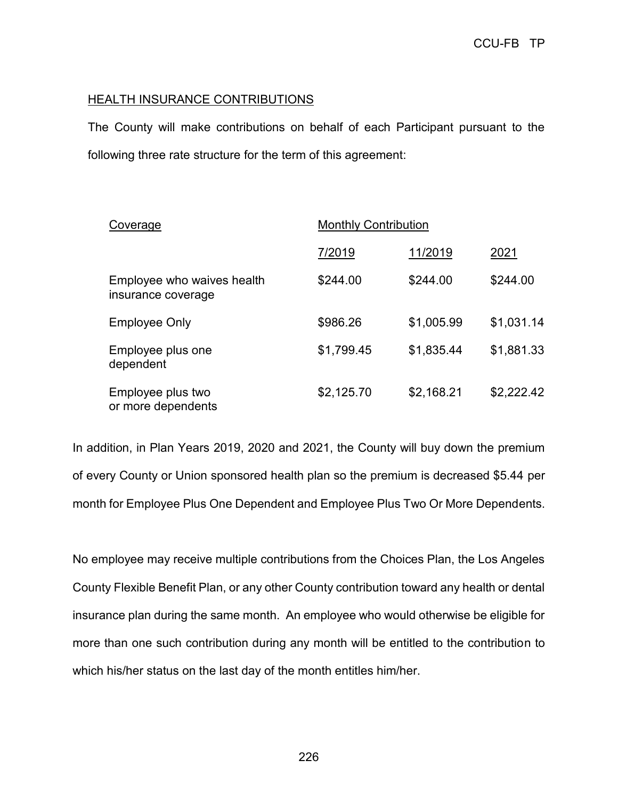# **HEALTH INSURANCE CONTRIBUTIONS**

The County will make contributions on behalf of each Participant pursuant to the following three rate structure for the term of this agreement:

| Coverage                                         | <b>Monthly Contribution</b> |            |            |  |
|--------------------------------------------------|-----------------------------|------------|------------|--|
|                                                  | 7/2019                      | 11/2019    | 2021       |  |
| Employee who waives health<br>insurance coverage | \$244.00                    | \$244.00   | \$244.00   |  |
| <b>Employee Only</b>                             | \$986.26                    | \$1,005.99 | \$1,031.14 |  |
| Employee plus one<br>dependent                   | \$1,799.45                  | \$1,835.44 | \$1,881.33 |  |
| Employee plus two<br>or more dependents          | \$2,125.70                  | \$2,168.21 | \$2,222.42 |  |

In addition, in Plan Years 2019, 2020 and 2021, the County will buy down the premium of every County or Union sponsored health plan so the premium is decreased \$5.44 per month for Employee Plus One Dependent and Employee Plus Two Or More Dependents.

No employee may receive multiple contributions from the Choices Plan, the Los Angeles County Flexible Benefit Plan, or any other County contribution toward any health or dental insurance plan during the same month. An employee who would otherwise be eligible for more than one such contribution during any month will be entitled to the contribution to which his/her status on the last day of the month entitles him/her.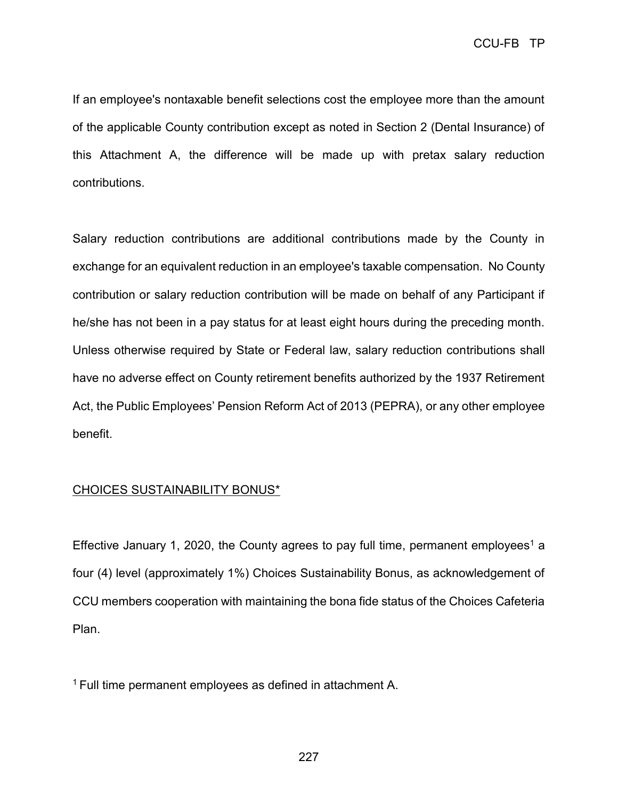If an employee's nontaxable benefit selections cost the employee more than the amount of the applicable County contribution except as noted in Section 2 (Dental Insurance) of this Attachment A, the difference will be made up with pretax salary reduction contributions.

Salary reduction contributions are additional contributions made by the County in exchange for an equivalent reduction in an employee's taxable compensation. No County contribution or salary reduction contribution will be made on behalf of any Participant if he/she has not been in a pay status for at least eight hours during the preceding month. Unless otherwise required by State or Federal law, salary reduction contributions shall have no adverse effect on County retirement benefits authorized by the 1937 Retirement Act, the Public Employees' Pension Reform Act of 2013 (PEPRA), or any other employee benefit.

## CHOICES SUSTAINABILITY BONUS\*

Effective January 1, 2020, the County agrees to pay full time, permanent employees<sup>1</sup> a four (4) level (approximately 1%) Choices Sustainability Bonus, as acknowledgement of CCU members cooperation with maintaining the bona fide status of the Choices Cafeteria Plan.

1 Full time permanent employees as defined in attachment A.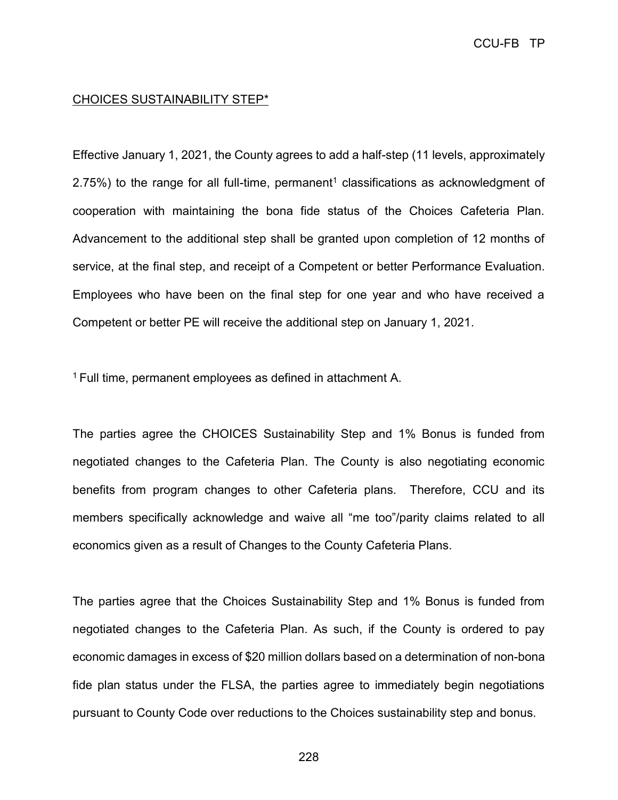## CHOICES SUSTAINABILITY STEP\*

Effective January 1, 2021, the County agrees to add a half-step (11 levels, approximately 2.75%) to the range for all full-time, permanent<sup>1</sup> classifications as acknowledgment of cooperation with maintaining the bona fide status of the Choices Cafeteria Plan. Advancement to the additional step shall be granted upon completion of 12 months of service, at the final step, and receipt of a Competent or better Performance Evaluation. Employees who have been on the final step for one year and who have received a Competent or better PE will receive the additional step on January 1, 2021.

<sup>1</sup> Full time, permanent employees as defined in attachment A.

The parties agree the CHOICES Sustainability Step and 1% Bonus is funded from negotiated changes to the Cafeteria Plan. The County is also negotiating economic benefits from program changes to other Cafeteria plans. Therefore, CCU and its members specifically acknowledge and waive all "me too"/parity claims related to all economics given as a result of Changes to the County Cafeteria Plans.

The parties agree that the Choices Sustainability Step and 1% Bonus is funded from negotiated changes to the Cafeteria Plan. As such, if the County is ordered to pay economic damages in excess of \$20 million dollars based on a determination of non-bona fide plan status under the FLSA, the parties agree to immediately begin negotiations pursuant to County Code over reductions to the Choices sustainability step and bonus.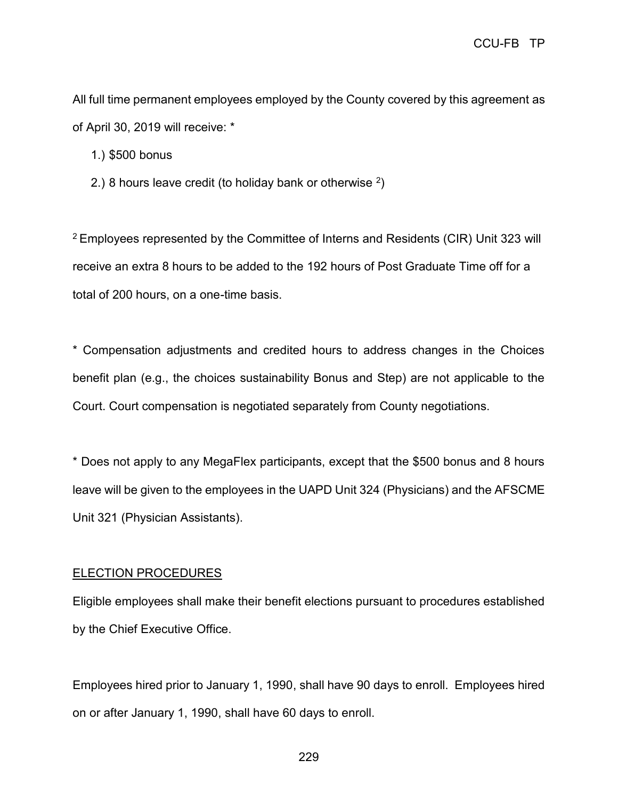All full time permanent employees employed by the County covered by this agreement as of April 30, 2019 will receive: \*

1.) \$500 bonus

2.) 8 hours leave credit (to holiday bank or otherwise  $^2$ )

<sup>2</sup>Employees represented by the Committee of Interns and Residents (CIR) Unit 323 will receive an extra 8 hours to be added to the 192 hours of Post Graduate Time off for a total of 200 hours, on a one-time basis.

\* Compensation adjustments and credited hours to address changes in the Choices benefit plan (e.g., the choices sustainability Bonus and Step) are not applicable to the Court. Court compensation is negotiated separately from County negotiations.

\* Does not apply to any MegaFlex participants, except that the \$500 bonus and 8 hours leave will be given to the employees in the UAPD Unit 324 (Physicians) and the AFSCME Unit 321 (Physician Assistants).

## ELECTION PROCEDURES

Eligible employees shall make their benefit elections pursuant to procedures established by the Chief Executive Office.

Employees hired prior to January 1, 1990, shall have 90 days to enroll. Employees hired on or after January 1, 1990, shall have 60 days to enroll.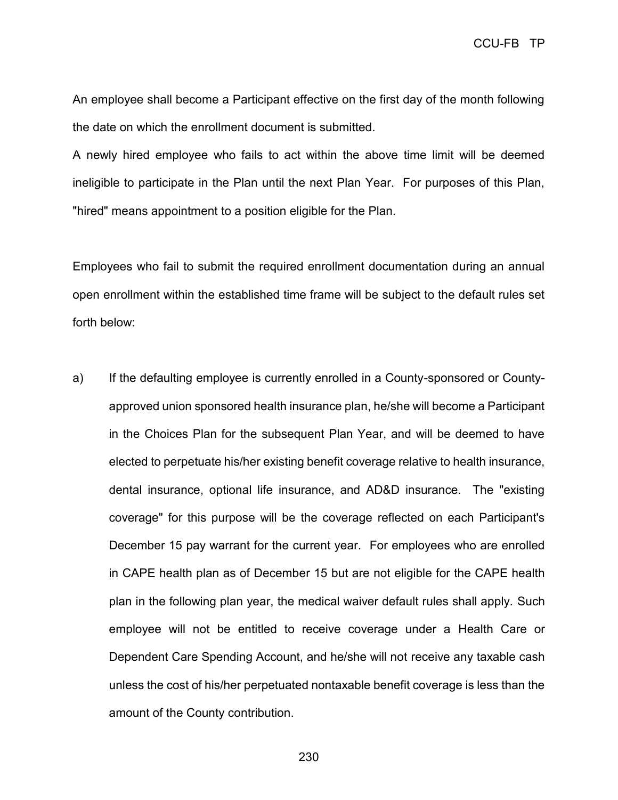An employee shall become a Participant effective on the first day of the month following the date on which the enrollment document is submitted.

A newly hired employee who fails to act within the above time limit will be deemed ineligible to participate in the Plan until the next Plan Year. For purposes of this Plan, "hired" means appointment to a position eligible for the Plan.

Employees who fail to submit the required enrollment documentation during an annual open enrollment within the established time frame will be subject to the default rules set forth below:

a) If the defaulting employee is currently enrolled in a County-sponsored or Countyapproved union sponsored health insurance plan, he/she will become a Participant in the Choices Plan for the subsequent Plan Year, and will be deemed to have elected to perpetuate his/her existing benefit coverage relative to health insurance, dental insurance, optional life insurance, and AD&D insurance. The "existing coverage" for this purpose will be the coverage reflected on each Participant's December 15 pay warrant for the current year. For employees who are enrolled in CAPE health plan as of December 15 but are not eligible for the CAPE health plan in the following plan year, the medical waiver default rules shall apply. Such employee will not be entitled to receive coverage under a Health Care or Dependent Care Spending Account, and he/she will not receive any taxable cash unless the cost of his/her perpetuated nontaxable benefit coverage is less than the amount of the County contribution.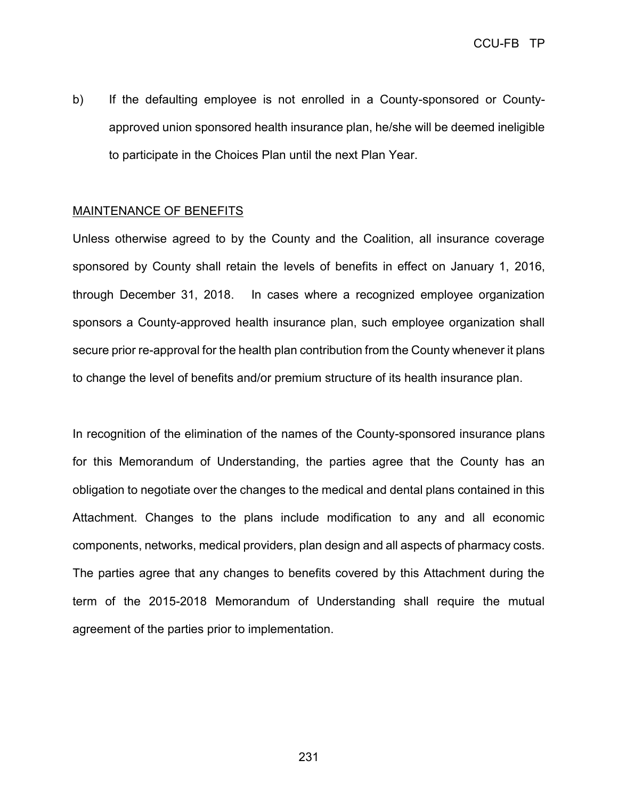b) If the defaulting employee is not enrolled in a County-sponsored or Countyapproved union sponsored health insurance plan, he/she will be deemed ineligible to participate in the Choices Plan until the next Plan Year.

#### MAINTENANCE OF BENEFITS

Unless otherwise agreed to by the County and the Coalition, all insurance coverage sponsored by County shall retain the levels of benefits in effect on January 1, 2016, through December 31, 2018. In cases where a recognized employee organization sponsors a County-approved health insurance plan, such employee organization shall secure prior re-approval for the health plan contribution from the County whenever it plans to change the level of benefits and/or premium structure of its health insurance plan.

In recognition of the elimination of the names of the County-sponsored insurance plans for this Memorandum of Understanding, the parties agree that the County has an obligation to negotiate over the changes to the medical and dental plans contained in this Attachment. Changes to the plans include modification to any and all economic components, networks, medical providers, plan design and all aspects of pharmacy costs. The parties agree that any changes to benefits covered by this Attachment during the term of the 2015-2018 Memorandum of Understanding shall require the mutual agreement of the parties prior to implementation.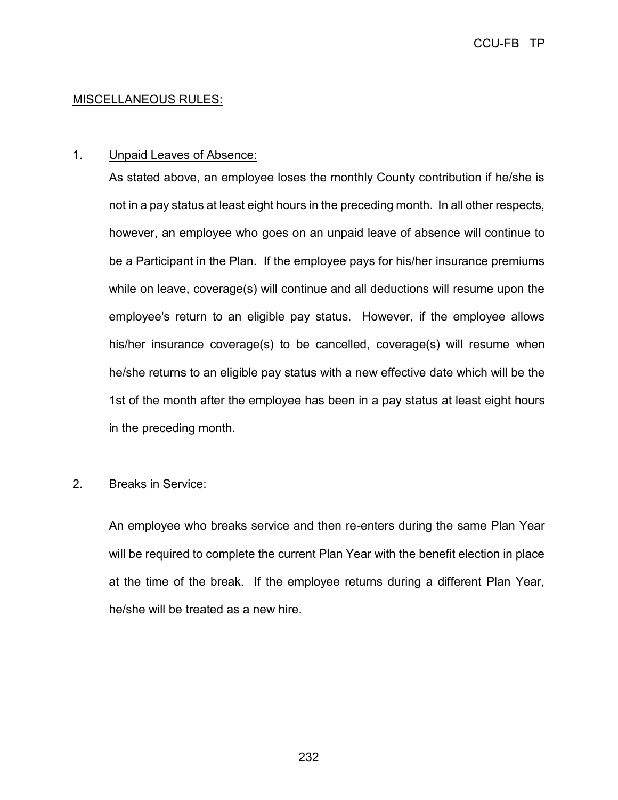# MISCELLANEOUS RULES:

# 1. Unpaid Leaves of Absence:

As stated above, an employee loses the monthly County contribution if he/she is not in a pay status at least eight hours in the preceding month. In all other respects, however, an employee who goes on an unpaid leave of absence will continue to be a Participant in the Plan. If the employee pays for his/her insurance premiums while on leave, coverage(s) will continue and all deductions will resume upon the employee's return to an eligible pay status. However, if the employee allows his/her insurance coverage(s) to be cancelled, coverage(s) will resume when he/she returns to an eligible pay status with a new effective date which will be the 1st of the month after the employee has been in a pay status at least eight hours in the preceding month.

## 2. Breaks in Service:

An employee who breaks service and then re-enters during the same Plan Year will be required to complete the current Plan Year with the benefit election in place at the time of the break. If the employee returns during a different Plan Year, he/she will be treated as a new hire.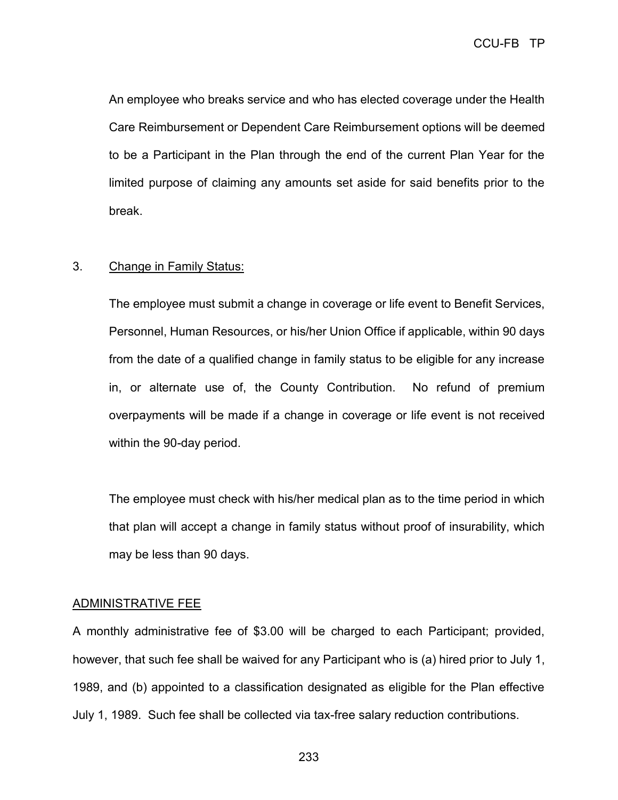CCU-FB TP

An employee who breaks service and who has elected coverage under the Health Care Reimbursement or Dependent Care Reimbursement options will be deemed to be a Participant in the Plan through the end of the current Plan Year for the limited purpose of claiming any amounts set aside for said benefits prior to the break.

## 3. Change in Family Status:

The employee must submit a change in coverage or life event to Benefit Services, Personnel, Human Resources, or his/her Union Office if applicable, within 90 days from the date of a qualified change in family status to be eligible for any increase in, or alternate use of, the County Contribution. No refund of premium overpayments will be made if a change in coverage or life event is not received within the 90-day period.

The employee must check with his/her medical plan as to the time period in which that plan will accept a change in family status without proof of insurability, which may be less than 90 days.

#### ADMINISTRATIVE FEE

A monthly administrative fee of \$3.00 will be charged to each Participant; provided, however, that such fee shall be waived for any Participant who is (a) hired prior to July 1, 1989, and (b) appointed to a classification designated as eligible for the Plan effective July 1, 1989. Such fee shall be collected via tax-free salary reduction contributions.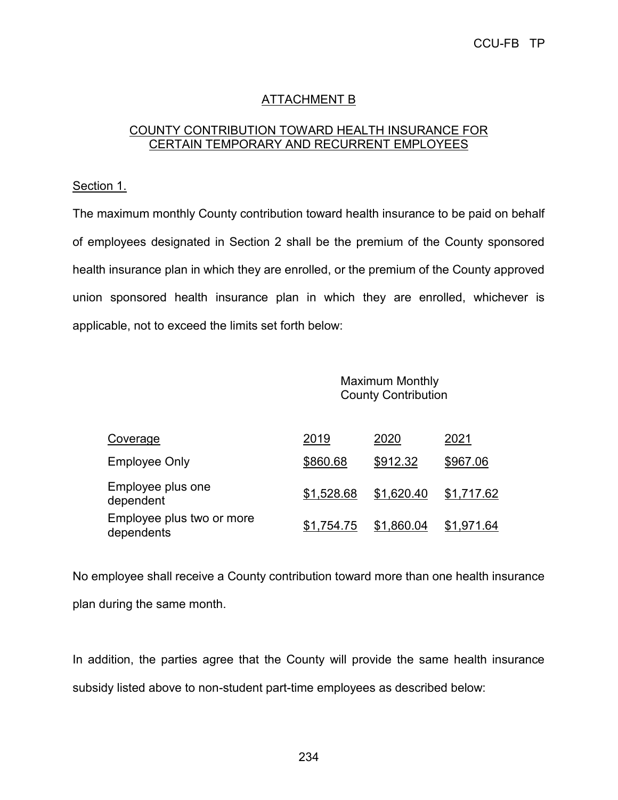# ATTACHMENT B

# COUNTY CONTRIBUTION TOWARD HEALTH INSURANCE FOR CERTAIN TEMPORARY AND RECURRENT EMPLOYEES

## Section 1.

The maximum monthly County contribution toward health insurance to be paid on behalf of employees designated in Section 2 shall be the premium of the County sponsored health insurance plan in which they are enrolled, or the premium of the County approved union sponsored health insurance plan in which they are enrolled, whichever is applicable, not to exceed the limits set forth below:

> Maximum Monthly County Contribution

| Coverage                                | 2019       | 2020       | 2021       |
|-----------------------------------------|------------|------------|------------|
| <b>Employee Only</b>                    | \$860.68   | \$912.32   | \$967.06   |
| Employee plus one<br>dependent          | \$1,528.68 | \$1,620.40 | \$1,717.62 |
| Employee plus two or more<br>dependents | \$1,754.75 | \$1,860.04 | \$1,971.64 |

No employee shall receive a County contribution toward more than one health insurance plan during the same month.

In addition, the parties agree that the County will provide the same health insurance subsidy listed above to non-student part-time employees as described below: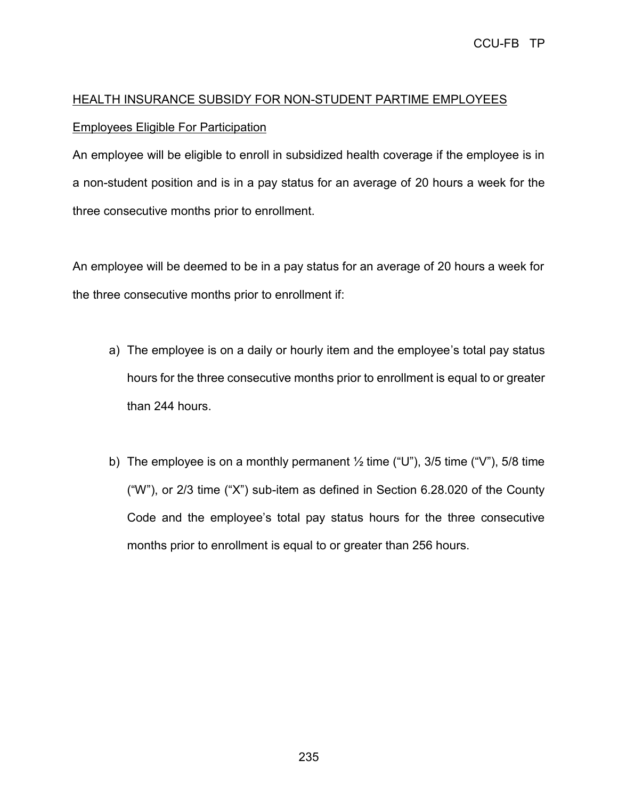# HEALTH INSURANCE SUBSIDY FOR NON-STUDENT PARTIME EMPLOYEES Employees Eligible For Participation

An employee will be eligible to enroll in subsidized health coverage if the employee is in a non-student position and is in a pay status for an average of 20 hours a week for the three consecutive months prior to enrollment.

An employee will be deemed to be in a pay status for an average of 20 hours a week for the three consecutive months prior to enrollment if:

- a) The employee is on a daily or hourly item and the employee's total pay status hours for the three consecutive months prior to enrollment is equal to or greater than 244 hours.
- b) The employee is on a monthly permanent  $\frac{1}{2}$  time ("U"), 3/5 time ("V"), 5/8 time ("W"), or 2/3 time ("X") sub-item as defined in Section 6.28.020 of the County Code and the employee's total pay status hours for the three consecutive months prior to enrollment is equal to or greater than 256 hours.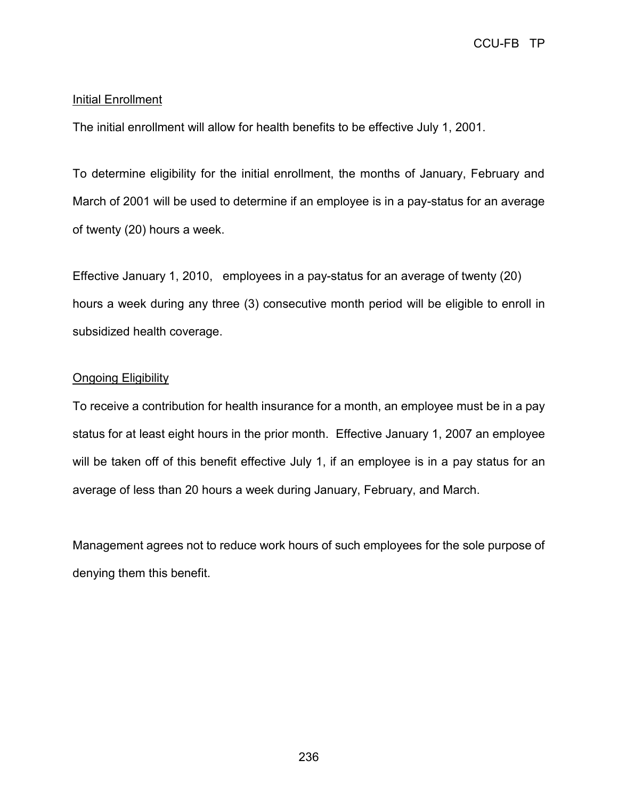## Initial Enrollment

The initial enrollment will allow for health benefits to be effective July 1, 2001.

To determine eligibility for the initial enrollment, the months of January, February and March of 2001 will be used to determine if an employee is in a pay-status for an average of twenty (20) hours a week.

Effective January 1, 2010, employees in a pay-status for an average of twenty (20) hours a week during any three (3) consecutive month period will be eligible to enroll in subsidized health coverage.

## Ongoing Eligibility

To receive a contribution for health insurance for a month, an employee must be in a pay status for at least eight hours in the prior month. Effective January 1, 2007 an employee will be taken off of this benefit effective July 1, if an employee is in a pay status for an average of less than 20 hours a week during January, February, and March.

Management agrees not to reduce work hours of such employees for the sole purpose of denying them this benefit.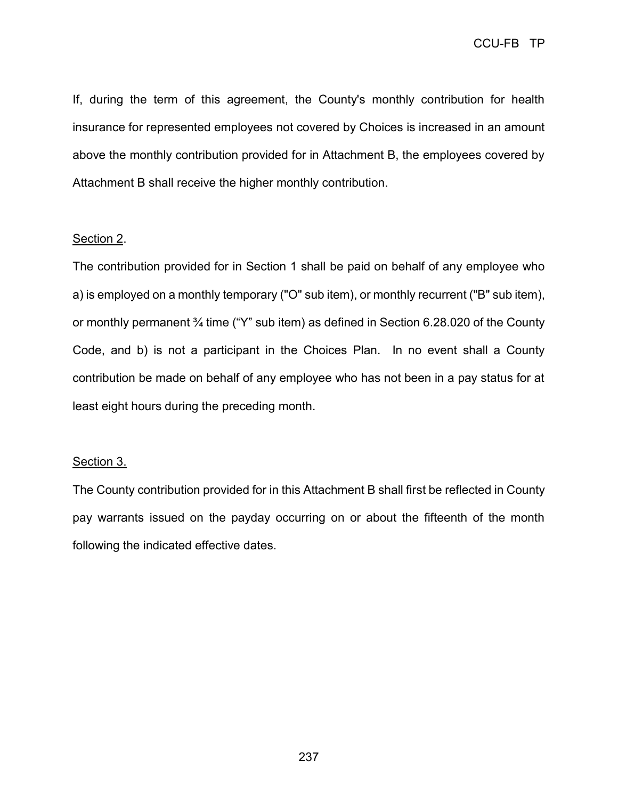If, during the term of this agreement, the County's monthly contribution for health insurance for represented employees not covered by Choices is increased in an amount above the monthly contribution provided for in Attachment B, the employees covered by Attachment B shall receive the higher monthly contribution.

## Section 2.

The contribution provided for in Section 1 shall be paid on behalf of any employee who a) is employed on a monthly temporary ("O" sub item), or monthly recurrent ("B" sub item), or monthly permanent ¾ time ("Y" sub item) as defined in Section 6.28.020 of the County Code, and b) is not a participant in the Choices Plan. In no event shall a County contribution be made on behalf of any employee who has not been in a pay status for at least eight hours during the preceding month.

#### Section 3.

The County contribution provided for in this Attachment B shall first be reflected in County pay warrants issued on the payday occurring on or about the fifteenth of the month following the indicated effective dates.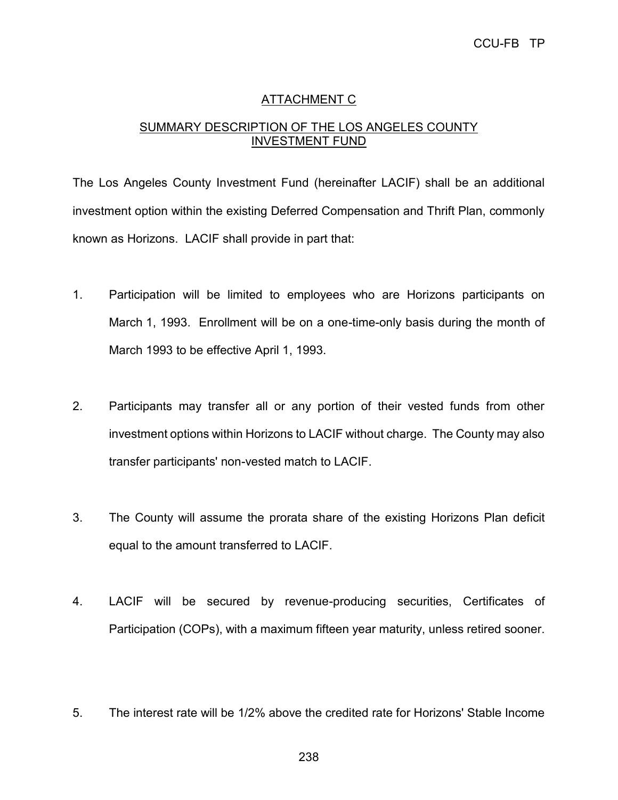# ATTACHMENT C

# SUMMARY DESCRIPTION OF THE LOS ANGELES COUNTY INVESTMENT FUND

The Los Angeles County Investment Fund (hereinafter LACIF) shall be an additional investment option within the existing Deferred Compensation and Thrift Plan, commonly known as Horizons. LACIF shall provide in part that:

- 1. Participation will be limited to employees who are Horizons participants on March 1, 1993. Enrollment will be on a one-time-only basis during the month of March 1993 to be effective April 1, 1993.
- 2. Participants may transfer all or any portion of their vested funds from other investment options within Horizons to LACIF without charge. The County may also transfer participants' non-vested match to LACIF.
- 3. The County will assume the prorata share of the existing Horizons Plan deficit equal to the amount transferred to LACIF.
- 4. LACIF will be secured by revenue-producing securities, Certificates of Participation (COPs), with a maximum fifteen year maturity, unless retired sooner.
- 5. The interest rate will be 1/2% above the credited rate for Horizons' Stable Income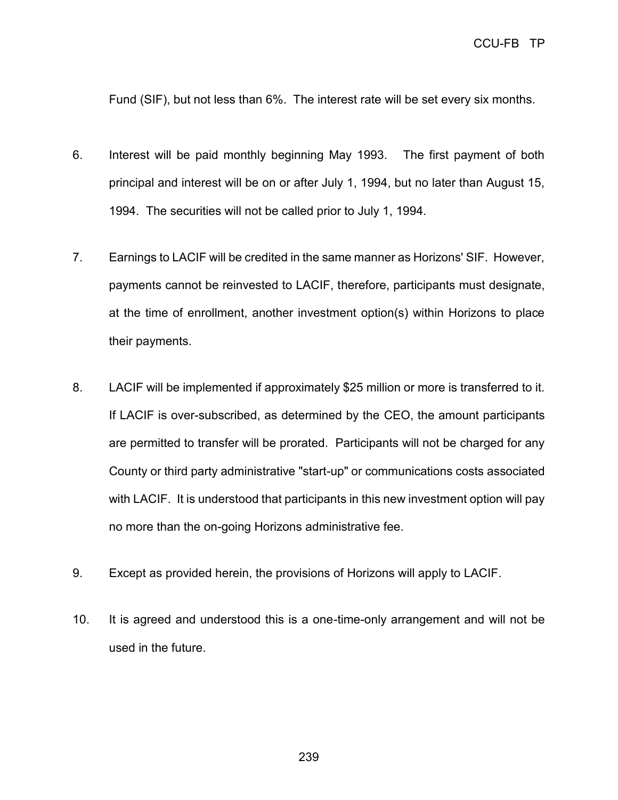Fund (SIF), but not less than 6%. The interest rate will be set every six months.

- 6. Interest will be paid monthly beginning May 1993. The first payment of both principal and interest will be on or after July 1, 1994, but no later than August 15, 1994. The securities will not be called prior to July 1, 1994.
- 7. Earnings to LACIF will be credited in the same manner as Horizons' SIF. However, payments cannot be reinvested to LACIF, therefore, participants must designate, at the time of enrollment, another investment option(s) within Horizons to place their payments.
- 8. LACIF will be implemented if approximately \$25 million or more is transferred to it. If LACIF is over-subscribed, as determined by the CEO, the amount participants are permitted to transfer will be prorated. Participants will not be charged for any County or third party administrative "start-up" or communications costs associated with LACIF. It is understood that participants in this new investment option will pay no more than the on-going Horizons administrative fee.
- 9. Except as provided herein, the provisions of Horizons will apply to LACIF.
- 10. It is agreed and understood this is a one-time-only arrangement and will not be used in the future.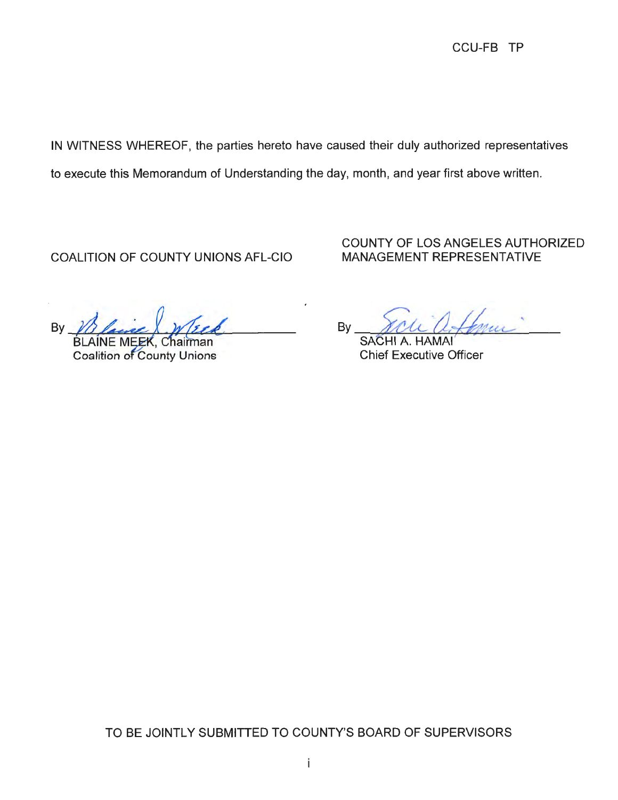IN WITNESS WHEREOF, the parties hereto have caused their duly authorized representatives

to execute this Memorandum of Understanding the day, month, and year first above written.

COALITION OF COUNTY UNIONS AFL-CIO

COUNTY OF LOS ANGELES AUTHORIZED MANAGEMENT REPRESENTATIVE

By <u>Blaise</u> <u>Week</u>

BLAINE MEEK, Chairman<br>Coalition of County Unions

By <u>You affric</u>

Chief Executive Officer

TO BE JOINTLY SUBMITTED TO COUNTY'S BOARD OF SUPERVISORS